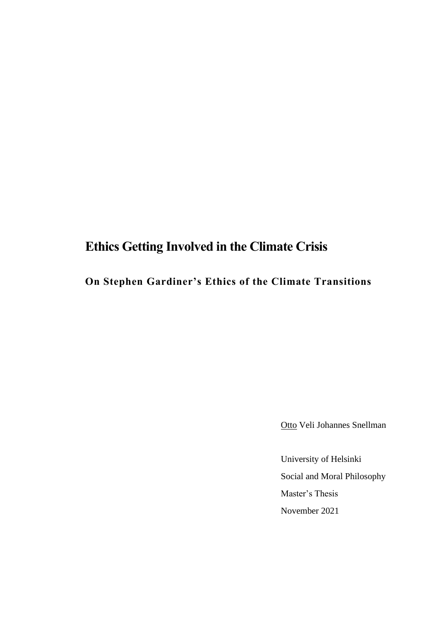# **Ethics Getting Involved in the Climate Crisis**

**On Stephen Gardiner's Ethics of the Climate Transitions**

Otto Veli Johannes Snellman

University of Helsinki Social and Moral Philosophy Master's Thesis November 2021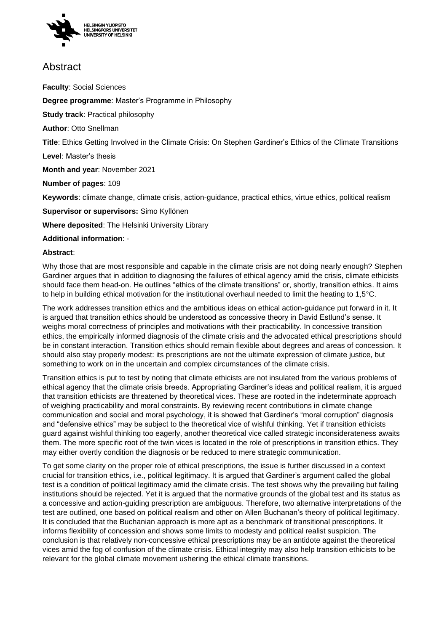

## Abstract

**Faculty**: Social Sciences

**Degree programme**: Master's Programme in Philosophy

**Study track**: Practical philosophy

**Author**: Otto Snellman

**Title**: Ethics Getting Involved in the Climate Crisis: On Stephen Gardiner's Ethics of the Climate Transitions

**Level**: Master's thesis

**Month and year**: November 2021

**Number of pages**: 109

**Keywords**: climate change, climate crisis, action-guidance, practical ethics, virtue ethics, political realism

**Supervisor or supervisors:** Simo Kyllönen

**Where deposited**: The Helsinki University Library

#### **Additional information**: -

#### **Abstract**:

Why those that are most responsible and capable in the climate crisis are not doing nearly enough? Stephen Gardiner argues that in addition to diagnosing the failures of ethical agency amid the crisis, climate ethicists should face them head-on. He outlines "ethics of the climate transitions" or, shortly, transition ethics. It aims to help in building ethical motivation for the institutional overhaul needed to limit the heating to 1,5°C.

The work addresses transition ethics and the ambitious ideas on ethical action-guidance put forward in it. It is argued that transition ethics should be understood as concessive theory in David Estlund's sense. It weighs moral correctness of principles and motivations with their practicability. In concessive transition ethics, the empirically informed diagnosis of the climate crisis and the advocated ethical prescriptions should be in constant interaction. Transition ethics should remain flexible about degrees and areas of concession. It should also stay properly modest: its prescriptions are not the ultimate expression of climate justice, but something to work on in the uncertain and complex circumstances of the climate crisis.

Transition ethics is put to test by noting that climate ethicists are not insulated from the various problems of ethical agency that the climate crisis breeds. Appropriating Gardiner's ideas and political realism, it is argued that transition ethicists are threatened by theoretical vices. These are rooted in the indeterminate approach of weighing practicability and moral constraints. By reviewing recent contributions in climate change communication and social and moral psychology, it is showed that Gardiner's "moral corruption" diagnosis and "defensive ethics" may be subject to the theoretical vice of wishful thinking. Yet if transition ethicists guard against wishful thinking too eagerly, another theoretical vice called strategic inconsiderateness awaits them. The more specific root of the twin vices is located in the role of prescriptions in transition ethics. They may either overtly condition the diagnosis or be reduced to mere strategic communication.

To get some clarity on the proper role of ethical prescriptions, the issue is further discussed in a context crucial for transition ethics, i.e., political legitimacy. It is argued that Gardiner's argument called the global test is a condition of political legitimacy amid the climate crisis. The test shows why the prevailing but failing institutions should be rejected. Yet it is argued that the normative grounds of the global test and its status as a concessive and action-guiding prescription are ambiguous. Therefore, two alternative interpretations of the test are outlined, one based on political realism and other on Allen Buchanan's theory of political legitimacy. It is concluded that the Buchanian approach is more apt as a benchmark of transitional prescriptions. It informs flexibility of concession and shows some limits to modesty and political realist suspicion. The conclusion is that relatively non-concessive ethical prescriptions may be an antidote against the theoretical vices amid the fog of confusion of the climate crisis. Ethical integrity may also help transition ethicists to be relevant for the global climate movement ushering the ethical climate transitions.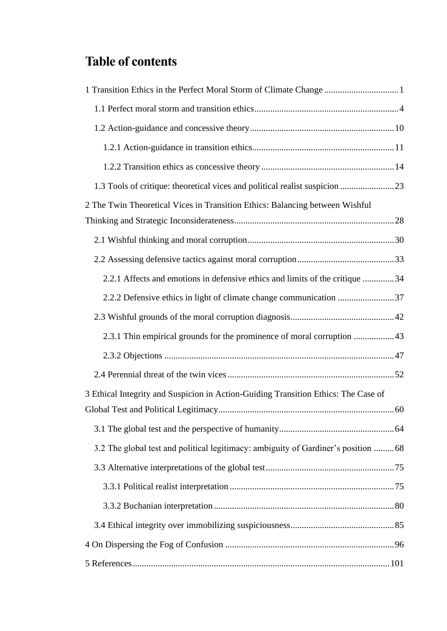# **Table of contents**

| 1 Transition Ethics in the Perfect Moral Storm of Climate Change 1                 |
|------------------------------------------------------------------------------------|
|                                                                                    |
|                                                                                    |
|                                                                                    |
|                                                                                    |
| 1.3 Tools of critique: theoretical vices and political realist suspicion 23        |
| 2 The Twin Theoretical Vices in Transition Ethics: Balancing between Wishful       |
|                                                                                    |
|                                                                                    |
| 2.2.1 Affects and emotions in defensive ethics and limits of the critique 34       |
| 2.2.2 Defensive ethics in light of climate change communication 37                 |
|                                                                                    |
|                                                                                    |
|                                                                                    |
|                                                                                    |
| 3 Ethical Integrity and Suspicion in Action-Guiding Transition Ethics: The Case of |
|                                                                                    |
|                                                                                    |
| 3.2 The global test and political legitimacy: ambiguity of Gardiner's position  68 |
|                                                                                    |
|                                                                                    |
|                                                                                    |
|                                                                                    |
|                                                                                    |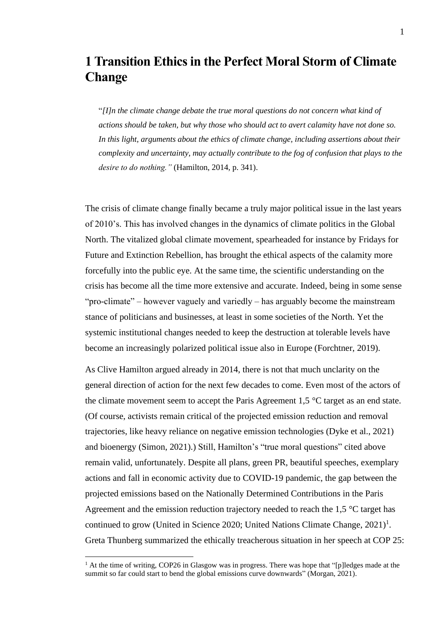## <span id="page-3-0"></span>**1 Transition Ethics in the Perfect Moral Storm of Climate Change**

"*[I]n the climate change debate the true moral questions do not concern what kind of actions should be taken, but why those who should act to avert calamity have not done so. In this light, arguments about the ethics of climate change, including assertions about their complexity and uncertainty, may actually contribute to the fog of confusion that plays to the desire to do nothing."* (Hamilton, 2014, p. 341).

The crisis of climate change finally became a truly major political issue in the last years of 2010's. This has involved changes in the dynamics of climate politics in the Global North. The vitalized global climate movement, spearheaded for instance by Fridays for Future and Extinction Rebellion, has brought the ethical aspects of the calamity more forcefully into the public eye. At the same time, the scientific understanding on the crisis has become all the time more extensive and accurate. Indeed, being in some sense "pro-climate" – however vaguely and variedly – has arguably become the mainstream stance of politicians and businesses, at least in some societies of the North. Yet the systemic institutional changes needed to keep the destruction at tolerable levels have become an increasingly polarized political issue also in Europe (Forchtner, 2019).

As Clive Hamilton argued already in 2014, there is not that much unclarity on the general direction of action for the next few decades to come. Even most of the actors of the climate movement seem to accept the Paris Agreement 1,5 °C target as an end state. (Of course, activists remain critical of the projected emission reduction and removal trajectories, like heavy reliance on negative emission technologies (Dyke et al., 2021) and bioenergy (Simon, 2021).) Still, Hamilton's "true moral questions" cited above remain valid, unfortunately. Despite all plans, green PR, beautiful speeches, exemplary actions and fall in economic activity due to COVID-19 pandemic, the gap between the projected emissions based on the Nationally Determined Contributions in the Paris Agreement and the emission reduction trajectory needed to reach the 1,5 °C target has continued to grow (United in Science 2020; United Nations Climate Change,  $2021$ )<sup>1</sup>. Greta Thunberg summarized the ethically treacherous situation in her speech at COP 25:

 $<sup>1</sup>$  At the time of writing, COP26 in Glasgow was in progress. There was hope that "[p]ledges made at the</sup> summit so far could start to bend the global emissions curve downwards" (Morgan, 2021).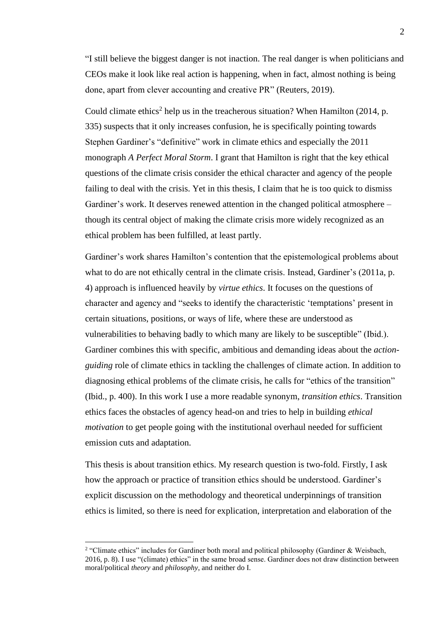"I still believe the biggest danger is not inaction. The real danger is when politicians and CEOs make it look like real action is happening, when in fact, almost nothing is being done, apart from clever accounting and creative PR" (Reuters, 2019).

Could climate ethics<sup>2</sup> help us in the treacherous situation? When Hamilton (2014, p. 335) suspects that it only increases confusion, he is specifically pointing towards Stephen Gardiner's "definitive" work in climate ethics and especially the 2011 monograph *A Perfect Moral Storm*. I grant that Hamilton is right that the key ethical questions of the climate crisis consider the ethical character and agency of the people failing to deal with the crisis. Yet in this thesis, I claim that he is too quick to dismiss Gardiner's work. It deserves renewed attention in the changed political atmosphere – though its central object of making the climate crisis more widely recognized as an ethical problem has been fulfilled, at least partly.

Gardiner's work shares Hamilton's contention that the epistemological problems about what to do are not ethically central in the climate crisis. Instead, Gardiner's (2011a, p. 4) approach is influenced heavily by *virtue ethics*. It focuses on the questions of character and agency and "seeks to identify the characteristic 'temptations' present in certain situations, positions, or ways of life, where these are understood as vulnerabilities to behaving badly to which many are likely to be susceptible" (Ibid.). Gardiner combines this with specific, ambitious and demanding ideas about the *actionguiding* role of climate ethics in tackling the challenges of climate action. In addition to diagnosing ethical problems of the climate crisis, he calls for "ethics of the transition" (Ibid., p. 400). In this work I use a more readable synonym, *transition ethics*. Transition ethics faces the obstacles of agency head-on and tries to help in building *ethical motivation* to get people going with the institutional overhaul needed for sufficient emission cuts and adaptation.

This thesis is about transition ethics. My research question is two-fold. Firstly, I ask how the approach or practice of transition ethics should be understood. Gardiner's explicit discussion on the methodology and theoretical underpinnings of transition ethics is limited, so there is need for explication, interpretation and elaboration of the

<sup>&</sup>lt;sup>2</sup> "Climate ethics" includes for Gardiner both moral and political philosophy (Gardiner & Weisbach, 2016, p. 8). I use "(climate) ethics" in the same broad sense. Gardiner does not draw distinction between moral/political *theory* and *philosophy*, and neither do I.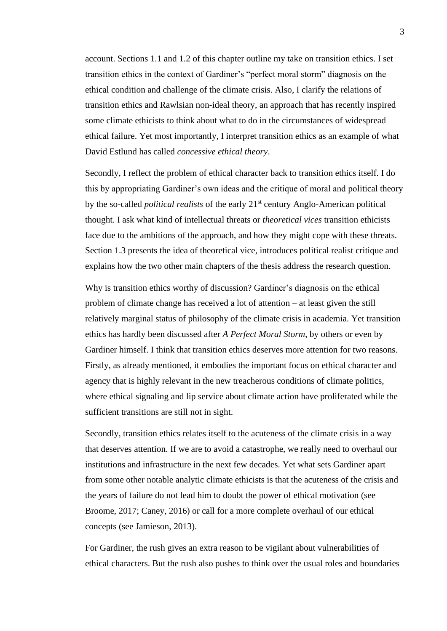account. Sections 1.1 and 1.2 of this chapter outline my take on transition ethics. I set transition ethics in the context of Gardiner's "perfect moral storm" diagnosis on the ethical condition and challenge of the climate crisis. Also, I clarify the relations of transition ethics and Rawlsian non-ideal theory, an approach that has recently inspired some climate ethicists to think about what to do in the circumstances of widespread ethical failure. Yet most importantly, I interpret transition ethics as an example of what David Estlund has called *concessive ethical theory*.

Secondly, I reflect the problem of ethical character back to transition ethics itself. I do this by appropriating Gardiner's own ideas and the critique of moral and political theory by the so-called *political realists* of the early 21st century Anglo-American political thought. I ask what kind of intellectual threats or *theoretical vices* transition ethicists face due to the ambitions of the approach, and how they might cope with these threats. Section 1.3 presents the idea of theoretical vice, introduces political realist critique and explains how the two other main chapters of the thesis address the research question.

Why is transition ethics worthy of discussion? Gardiner's diagnosis on the ethical problem of climate change has received a lot of attention ‒ at least given the still relatively marginal status of philosophy of the climate crisis in academia. Yet transition ethics has hardly been discussed after *A Perfect Moral Storm*, by others or even by Gardiner himself. I think that transition ethics deserves more attention for two reasons. Firstly, as already mentioned, it embodies the important focus on ethical character and agency that is highly relevant in the new treacherous conditions of climate politics, where ethical signaling and lip service about climate action have proliferated while the sufficient transitions are still not in sight.

Secondly, transition ethics relates itself to the acuteness of the climate crisis in a way that deserves attention. If we are to avoid a catastrophe, we really need to overhaul our institutions and infrastructure in the next few decades. Yet what sets Gardiner apart from some other notable analytic climate ethicists is that the acuteness of the crisis and the years of failure do not lead him to doubt the power of ethical motivation (see Broome, 2017; Caney, 2016) or call for a more complete overhaul of our ethical concepts (see Jamieson, 2013).

For Gardiner, the rush gives an extra reason to be vigilant about vulnerabilities of ethical characters. But the rush also pushes to think over the usual roles and boundaries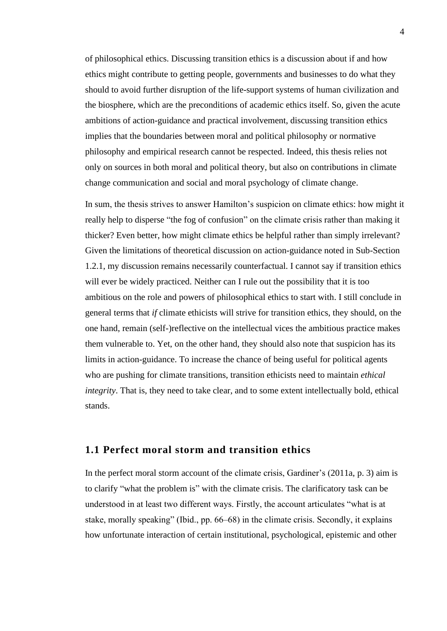of philosophical ethics. Discussing transition ethics is a discussion about if and how ethics might contribute to getting people, governments and businesses to do what they should to avoid further disruption of the life-support systems of human civilization and the biosphere, which are the preconditions of academic ethics itself. So, given the acute ambitions of action-guidance and practical involvement, discussing transition ethics implies that the boundaries between moral and political philosophy or normative philosophy and empirical research cannot be respected. Indeed, this thesis relies not only on sources in both moral and political theory, but also on contributions in climate change communication and social and moral psychology of climate change.

In sum, the thesis strives to answer Hamilton's suspicion on climate ethics: how might it really help to disperse "the fog of confusion" on the climate crisis rather than making it thicker? Even better, how might climate ethics be helpful rather than simply irrelevant? Given the limitations of theoretical discussion on action-guidance noted in Sub-Section 1.2.1, my discussion remains necessarily counterfactual. I cannot say if transition ethics will ever be widely practiced. Neither can I rule out the possibility that it is too ambitious on the role and powers of philosophical ethics to start with. I still conclude in general terms that *if* climate ethicists will strive for transition ethics, they should, on the one hand, remain (self-)reflective on the intellectual vices the ambitious practice makes them vulnerable to. Yet, on the other hand, they should also note that suspicion has its limits in action-guidance. To increase the chance of being useful for political agents who are pushing for climate transitions, transition ethicists need to maintain *ethical integrity*. That is, they need to take clear, and to some extent intellectually bold, ethical stands.

### <span id="page-6-0"></span>**1.1 Perfect moral storm and transition ethics**

In the perfect moral storm account of the climate crisis, Gardiner's (2011a, p. 3) aim is to clarify "what the problem is" with the climate crisis. The clarificatory task can be understood in at least two different ways. Firstly, the account articulates "what is at stake, morally speaking" (Ibid., pp. 66–68) in the climate crisis. Secondly, it explains how unfortunate interaction of certain institutional, psychological, epistemic and other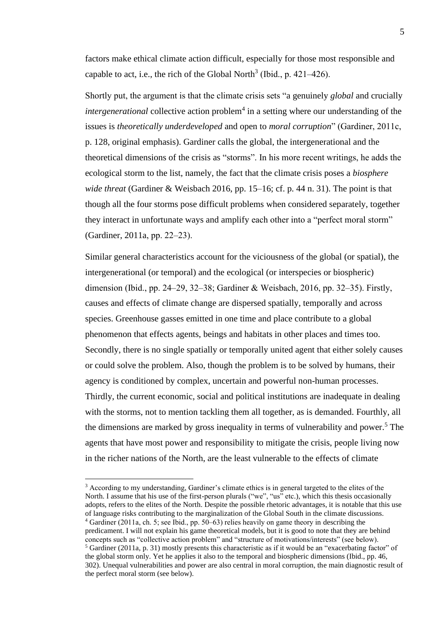factors make ethical climate action difficult, especially for those most responsible and capable to act, i.e., the rich of the Global North<sup>3</sup> (Ibid., p. 421–426).

Shortly put, the argument is that the climate crisis sets "a genuinely *global* and crucially *intergenerational* collective action problem<sup>4</sup> in a setting where our understanding of the issues is *theoretically underdeveloped* and open to *moral corruption*" (Gardiner, 2011c, p. 128, original emphasis). Gardiner calls the global, the intergenerational and the theoretical dimensions of the crisis as "storms". In his more recent writings, he adds the ecological storm to the list, namely, the fact that the climate crisis poses a *biosphere wide threat* (Gardiner & Weisbach 2016, pp. 15–16; cf. p. 44 n. 31). The point is that though all the four storms pose difficult problems when considered separately, together they interact in unfortunate ways and amplify each other into a "perfect moral storm" (Gardiner, 2011a, pp. 22–23).

Similar general characteristics account for the viciousness of the global (or spatial), the intergenerational (or temporal) and the ecological (or interspecies or biospheric) dimension (Ibid., pp. 24‒29, 32‒38; Gardiner & Weisbach, 2016, pp. 32‒35). Firstly, causes and effects of climate change are dispersed spatially, temporally and across species. Greenhouse gasses emitted in one time and place contribute to a global phenomenon that effects agents, beings and habitats in other places and times too. Secondly, there is no single spatially or temporally united agent that either solely causes or could solve the problem. Also, though the problem is to be solved by humans, their agency is conditioned by complex, uncertain and powerful non-human processes. Thirdly, the current economic, social and political institutions are inadequate in dealing with the storms, not to mention tackling them all together, as is demanded. Fourthly, all the dimensions are marked by gross inequality in terms of vulnerability and power.<sup>5</sup> The agents that have most power and responsibility to mitigate the crisis, people living now in the richer nations of the North, are the least vulnerable to the effects of climate

<sup>&</sup>lt;sup>3</sup> According to my understanding, Gardiner's climate ethics is in general targeted to the elites of the North. I assume that his use of the first-person plurals ("we", "us" etc.), which this thesis occasionally adopts, refers to the elites of the North. Despite the possible rhetoric advantages, it is notable that this use of language risks contributing to the marginalization of the Global South in the climate discussions.

<sup>4</sup> Gardiner (2011a, ch. 5; see Ibid., pp. 50‒63) relies heavily on game theory in describing the predicament. I will not explain his game theoretical models, but it is good to note that they are behind concepts such as "collective action problem" and "structure of motivations/interests" (see below). <sup>5</sup> Gardiner (2011a, p. 31) mostly presents this characteristic as if it would be an "exacerbating factor" of the global storm only. Yet he applies it also to the temporal and biospheric dimensions (Ibid., pp. 46, 302). Unequal vulnerabilities and power are also central in moral corruption, the main diagnostic result of the perfect moral storm (see below).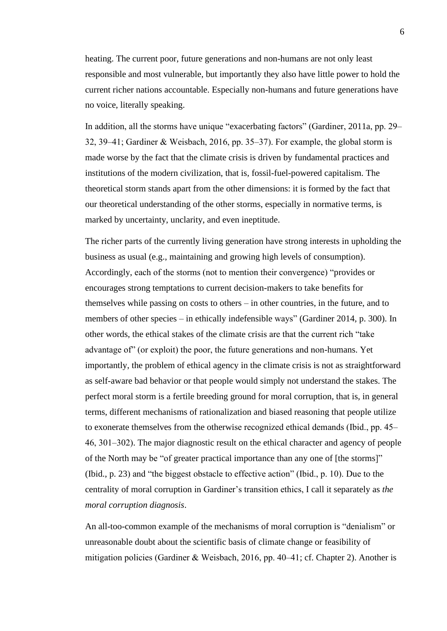heating. The current poor, future generations and non-humans are not only least responsible and most vulnerable, but importantly they also have little power to hold the current richer nations accountable. Especially non-humans and future generations have no voice, literally speaking.

In addition, all the storms have unique "exacerbating factors" (Gardiner, 2011a, pp. 29– 32, 39‒41; Gardiner & Weisbach, 2016, pp. 35‒37). For example, the global storm is made worse by the fact that the climate crisis is driven by fundamental practices and institutions of the modern civilization, that is, fossil-fuel-powered capitalism. The theoretical storm stands apart from the other dimensions: it is formed by the fact that our theoretical understanding of the other storms, especially in normative terms, is marked by uncertainty, unclarity, and even ineptitude.

The richer parts of the currently living generation have strong interests in upholding the business as usual (e.g., maintaining and growing high levels of consumption). Accordingly, each of the storms (not to mention their convergence) "provides or encourages strong temptations to current decision-makers to take benefits for themselves while passing on costs to others – in other countries, in the future, and to members of other species – in ethically indefensible ways" (Gardiner 2014, p. 300). In other words, the ethical stakes of the climate crisis are that the current rich "take advantage of" (or exploit) the poor, the future generations and non-humans. Yet importantly, the problem of ethical agency in the climate crisis is not as straightforward as self-aware bad behavior or that people would simply not understand the stakes. The perfect moral storm is a fertile breeding ground for moral corruption, that is, in general terms, different mechanisms of rationalization and biased reasoning that people utilize to exonerate themselves from the otherwise recognized ethical demands (Ibid., pp. 45– 46, 301‒302). The major diagnostic result on the ethical character and agency of people of the North may be "of greater practical importance than any one of [the storms]" (Ibid., p. 23) and "the biggest obstacle to effective action" (Ibid., p. 10). Due to the centrality of moral corruption in Gardiner's transition ethics, I call it separately as *the moral corruption diagnosis*.

An all-too-common example of the mechanisms of moral corruption is "denialism" or unreasonable doubt about the scientific basis of climate change or feasibility of mitigation policies (Gardiner & Weisbach, 2016, pp. 40–41; cf. Chapter 2). Another is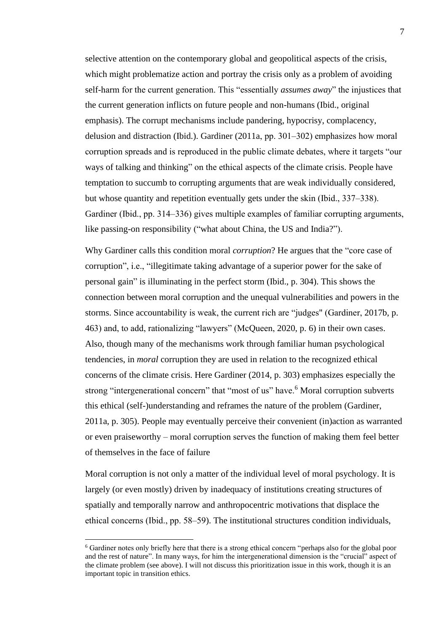selective attention on the contemporary global and geopolitical aspects of the crisis, which might problematize action and portray the crisis only as a problem of avoiding self-harm for the current generation. This "essentially *assumes away*" the injustices that the current generation inflicts on future people and non-humans (Ibid., original emphasis). The corrupt mechanisms include pandering, hypocrisy, complacency, delusion and distraction (Ibid.). Gardiner (2011a, pp. 301–302) emphasizes how moral corruption spreads and is reproduced in the public climate debates, where it targets "our ways of talking and thinking" on the ethical aspects of the climate crisis. People have temptation to succumb to corrupting arguments that are weak individually considered, but whose quantity and repetition eventually gets under the skin (Ibid., 337–338). Gardiner (Ibid., pp. 314–336) gives multiple examples of familiar corrupting arguments, like passing-on responsibility ("what about China, the US and India?").

Why Gardiner calls this condition moral *corruption*? He argues that the "core case of corruption", i.e., "illegitimate taking advantage of a superior power for the sake of personal gain" is illuminating in the perfect storm (Ibid., p. 304). This shows the connection between moral corruption and the unequal vulnerabilities and powers in the storms. Since accountability is weak, the current rich are "judges" (Gardiner, 2017b, p. 463) and, to add, rationalizing "lawyers" (McQueen, 2020, p. 6) in their own cases. Also, though many of the mechanisms work through familiar human psychological tendencies, in *moral* corruption they are used in relation to the recognized ethical concerns of the climate crisis. Here Gardiner (2014, p. 303) emphasizes especially the strong "intergenerational concern" that "most of us" have.<sup>6</sup> Moral corruption subverts this ethical (self-)understanding and reframes the nature of the problem (Gardiner, 2011a, p. 305). People may eventually perceive their convenient (in)action as warranted or even praiseworthy – moral corruption serves the function of making them feel better of themselves in the face of failure

Moral corruption is not only a matter of the individual level of moral psychology. It is largely (or even mostly) driven by inadequacy of institutions creating structures of spatially and temporally narrow and anthropocentric motivations that displace the ethical concerns (Ibid., pp. 58–59). The institutional structures condition individuals,

<sup>6</sup> Gardiner notes only briefly here that there is a strong ethical concern "perhaps also for the global poor and the rest of nature". In many ways, for him the intergenerational dimension is the "crucial" aspect of the climate problem (see above). I will not discuss this prioritization issue in this work, though it is an important topic in transition ethics.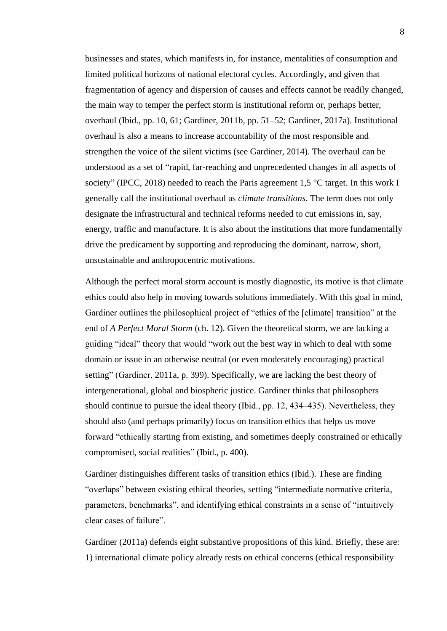businesses and states, which manifests in, for instance, mentalities of consumption and limited political horizons of national electoral cycles. Accordingly, and given that fragmentation of agency and dispersion of causes and effects cannot be readily changed, the main way to temper the perfect storm is institutional reform or, perhaps better, overhaul (Ibid., pp. 10, 61; Gardiner, 2011b, pp. 51–52; Gardiner, 2017a). Institutional overhaul is also a means to increase accountability of the most responsible and strengthen the voice of the silent victims (see Gardiner, 2014). The overhaul can be understood as a set of "rapid, far-reaching and unprecedented changes in all aspects of society" (IPCC, 2018) needed to reach the Paris agreement 1,5 °C target. In this work I generally call the institutional overhaul as *climate transitions*. The term does not only designate the infrastructural and technical reforms needed to cut emissions in, say, energy, traffic and manufacture. It is also about the institutions that more fundamentally drive the predicament by supporting and reproducing the dominant, narrow, short, unsustainable and anthropocentric motivations.

Although the perfect moral storm account is mostly diagnostic, its motive is that climate ethics could also help in moving towards solutions immediately. With this goal in mind, Gardiner outlines the philosophical project of "ethics of the [climate] transition" at the end of *A Perfect Moral Storm* (ch. 12). Given the theoretical storm, we are lacking a guiding "ideal" theory that would "work out the best way in which to deal with some domain or issue in an otherwise neutral (or even moderately encouraging) practical setting" (Gardiner, 2011a, p. 399). Specifically, we are lacking the best theory of intergenerational, global and biospheric justice. Gardiner thinks that philosophers should continue to pursue the ideal theory (Ibid., pp. 12, 434–435). Nevertheless, they should also (and perhaps primarily) focus on transition ethics that helps us move forward "ethically starting from existing, and sometimes deeply constrained or ethically compromised, social realities" (Ibid., p. 400).

Gardiner distinguishes different tasks of transition ethics (Ibid.). These are finding "overlaps" between existing ethical theories, setting "intermediate normative criteria, parameters, benchmarks", and identifying ethical constraints in a sense of "intuitively clear cases of failure".

Gardiner (2011a) defends eight substantive propositions of this kind. Briefly, these are: 1) international climate policy already rests on ethical concerns (ethical responsibility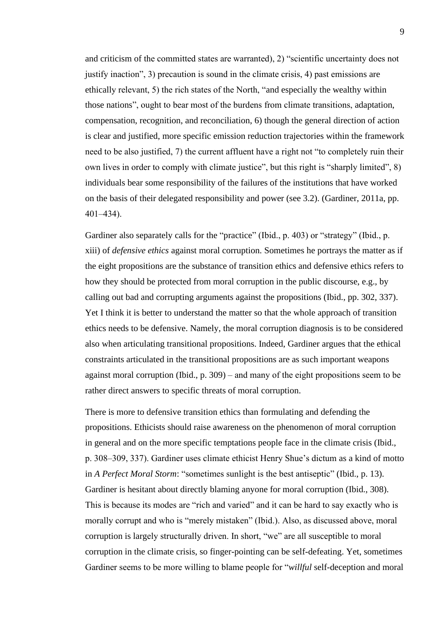and criticism of the committed states are warranted), 2) "scientific uncertainty does not justify inaction", 3) precaution is sound in the climate crisis, 4) past emissions are ethically relevant, 5) the rich states of the North, "and especially the wealthy within those nations", ought to bear most of the burdens from climate transitions, adaptation, compensation, recognition, and reconciliation, 6) though the general direction of action is clear and justified, more specific emission reduction trajectories within the framework need to be also justified, 7) the current affluent have a right not "to completely ruin their own lives in order to comply with climate justice", but this right is "sharply limited", 8) individuals bear some responsibility of the failures of the institutions that have worked on the basis of their delegated responsibility and power (see 3.2). (Gardiner, 2011a, pp.  $401 - 434$ ).

Gardiner also separately calls for the "practice" (Ibid., p. 403) or "strategy" (Ibid., p. xiii) of *defensive ethics* against moral corruption. Sometimes he portrays the matter as if the eight propositions are the substance of transition ethics and defensive ethics refers to how they should be protected from moral corruption in the public discourse, e.g., by calling out bad and corrupting arguments against the propositions (Ibid., pp. 302, 337). Yet I think it is better to understand the matter so that the whole approach of transition ethics needs to be defensive. Namely, the moral corruption diagnosis is to be considered also when articulating transitional propositions. Indeed, Gardiner argues that the ethical constraints articulated in the transitional propositions are as such important weapons against moral corruption (Ibid.,  $p. 309$ ) – and many of the eight propositions seem to be rather direct answers to specific threats of moral corruption.

There is more to defensive transition ethics than formulating and defending the propositions. Ethicists should raise awareness on the phenomenon of moral corruption in general and on the more specific temptations people face in the climate crisis (Ibid., p. 308‒309, 337). Gardiner uses climate ethicist Henry Shue's dictum as a kind of motto in *A Perfect Moral Storm*: "sometimes sunlight is the best antiseptic" (Ibid., p. 13). Gardiner is hesitant about directly blaming anyone for moral corruption (Ibid., 308). This is because its modes are "rich and varied" and it can be hard to say exactly who is morally corrupt and who is "merely mistaken" (Ibid.). Also, as discussed above, moral corruption is largely structurally driven. In short, "we" are all susceptible to moral corruption in the climate crisis, so finger-pointing can be self-defeating. Yet, sometimes Gardiner seems to be more willing to blame people for "*willful* self-deception and moral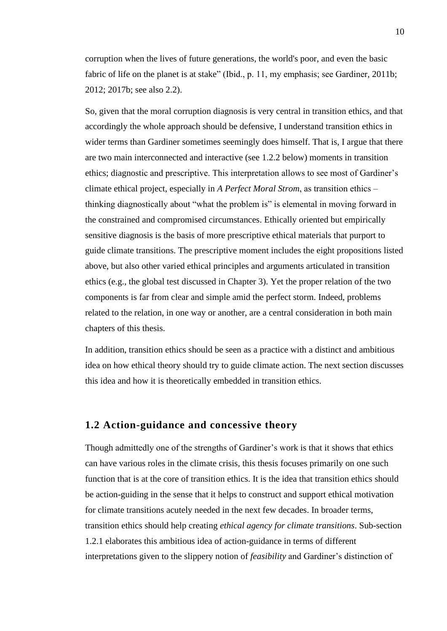corruption when the lives of future generations, the world's poor, and even the basic fabric of life on the planet is at stake" (Ibid., p. 11, my emphasis; see Gardiner, 2011b; 2012; 2017b; see also 2.2).

So, given that the moral corruption diagnosis is very central in transition ethics, and that accordingly the whole approach should be defensive, I understand transition ethics in wider terms than Gardiner sometimes seemingly does himself. That is, I argue that there are two main interconnected and interactive (see 1.2.2 below) moments in transition ethics; diagnostic and prescriptive. This interpretation allows to see most of Gardiner's climate ethical project, especially in *A Perfect Moral Strom*, as transition ethics – thinking diagnostically about "what the problem is" is elemental in moving forward in the constrained and compromised circumstances. Ethically oriented but empirically sensitive diagnosis is the basis of more prescriptive ethical materials that purport to guide climate transitions. The prescriptive moment includes the eight propositions listed above, but also other varied ethical principles and arguments articulated in transition ethics (e.g., the global test discussed in Chapter 3). Yet the proper relation of the two components is far from clear and simple amid the perfect storm. Indeed, problems related to the relation, in one way or another, are a central consideration in both main chapters of this thesis.

In addition, transition ethics should be seen as a practice with a distinct and ambitious idea on how ethical theory should try to guide climate action. The next section discusses this idea and how it is theoretically embedded in transition ethics.

## <span id="page-12-0"></span>**1.2 Action-guidance and concessive theory**

Though admittedly one of the strengths of Gardiner's work is that it shows that ethics can have various roles in the climate crisis, this thesis focuses primarily on one such function that is at the core of transition ethics. It is the idea that transition ethics should be action-guiding in the sense that it helps to construct and support ethical motivation for climate transitions acutely needed in the next few decades. In broader terms, transition ethics should help creating *ethical agency for climate transitions*. Sub-section 1.2.1 elaborates this ambitious idea of action-guidance in terms of different interpretations given to the slippery notion of *feasibility* and Gardiner's distinction of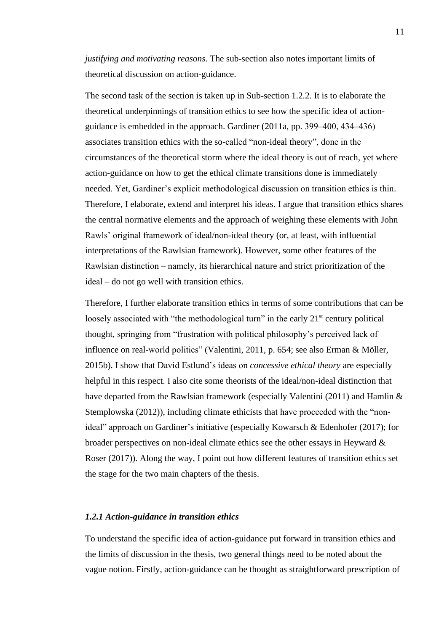*justifying and motivating reasons*. The sub-section also notes important limits of theoretical discussion on action-guidance.

The second task of the section is taken up in Sub-section 1.2.2. It is to elaborate the theoretical underpinnings of transition ethics to see how the specific idea of actionguidance is embedded in the approach. Gardiner (2011a, pp. 399–400, 434–436) associates transition ethics with the so-called "non-ideal theory", done in the circumstances of the theoretical storm where the ideal theory is out of reach, yet where action-guidance on how to get the ethical climate transitions done is immediately needed. Yet, Gardiner's explicit methodological discussion on transition ethics is thin. Therefore, I elaborate, extend and interpret his ideas. I argue that transition ethics shares the central normative elements and the approach of weighing these elements with John Rawls' original framework of ideal/non-ideal theory (or, at least, with influential interpretations of the Rawlsian framework). However, some other features of the Rawlsian distinction – namely, its hierarchical nature and strict prioritization of the ideal – do not go well with transition ethics.

Therefore, I further elaborate transition ethics in terms of some contributions that can be loosely associated with "the methodological turn" in the early  $21<sup>st</sup>$  century political thought, springing from "frustration with political philosophy's perceived lack of influence on real-world politics" (Valentini, 2011, p. 654; see also Erman & Möller, 2015b). I show that David Estlund's ideas on *concessive ethical theory* are especially helpful in this respect. I also cite some theorists of the ideal/non-ideal distinction that have departed from the Rawlsian framework (especially Valentini (2011) and Hamlin & Stemplowska (2012)), including climate ethicists that have proceeded with the "nonideal" approach on Gardiner's initiative (especially Kowarsch & Edenhofer (2017); for broader perspectives on non-ideal climate ethics see the other essays in Heyward & Roser (2017)). Along the way, I point out how different features of transition ethics set the stage for the two main chapters of the thesis.

#### <span id="page-13-0"></span>*1.2.1 Action-guidance in transition ethics*

To understand the specific idea of action-guidance put forward in transition ethics and the limits of discussion in the thesis, two general things need to be noted about the vague notion. Firstly, action-guidance can be thought as straightforward prescription of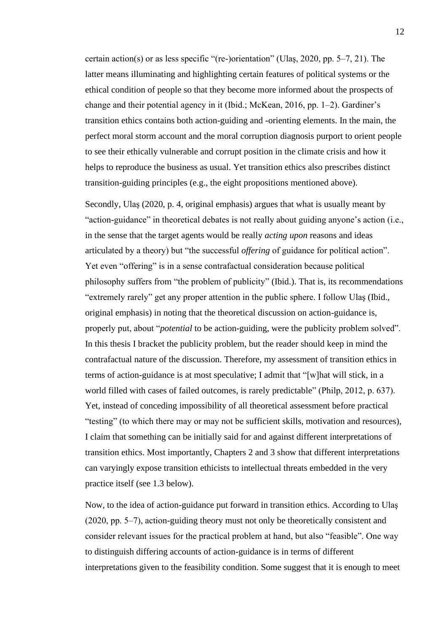certain action(s) or as less specific "(re-)orientation" (Ulas, 2020, pp.  $5-7$ , 21). The latter means illuminating and highlighting certain features of political systems or the ethical condition of people so that they become more informed about the prospects of change and their potential agency in it (Ibid.; McKean, 2016, pp. 1‒2). Gardiner's transition ethics contains both action-guiding and -orienting elements. In the main, the perfect moral storm account and the moral corruption diagnosis purport to orient people to see their ethically vulnerable and corrupt position in the climate crisis and how it helps to reproduce the business as usual. Yet transition ethics also prescribes distinct transition-guiding principles (e.g., the eight propositions mentioned above).

Secondly, Ulaş (2020, p. 4, original emphasis) argues that what is usually meant by "action-guidance" in theoretical debates is not really about guiding anyone's action (i.e., in the sense that the target agents would be really *acting upon* reasons and ideas articulated by a theory) but "the successful *offering* of guidance for political action". Yet even "offering" is in a sense contrafactual consideration because political philosophy suffers from "the problem of publicity" (Ibid.). That is, its recommendations "extremely rarely" get any proper attention in the public sphere. I follow Ulaş (Ibid., original emphasis) in noting that the theoretical discussion on action-guidance is, properly put, about "*potential* to be action-guiding, were the publicity problem solved". In this thesis I bracket the publicity problem, but the reader should keep in mind the contrafactual nature of the discussion. Therefore, my assessment of transition ethics in terms of action-guidance is at most speculative; I admit that "[w]hat will stick, in a world filled with cases of failed outcomes, is rarely predictable" (Philp, 2012, p. 637). Yet, instead of conceding impossibility of all theoretical assessment before practical "testing" (to which there may or may not be sufficient skills, motivation and resources), I claim that something can be initially said for and against different interpretations of transition ethics. Most importantly, Chapters 2 and 3 show that different interpretations can varyingly expose transition ethicists to intellectual threats embedded in the very practice itself (see 1.3 below).

Now, to the idea of action-guidance put forward in transition ethics. According to Ulaş (2020, pp. 5‒7), action-guiding theory must not only be theoretically consistent and consider relevant issues for the practical problem at hand, but also "feasible". One way to distinguish differing accounts of action-guidance is in terms of different interpretations given to the feasibility condition. Some suggest that it is enough to meet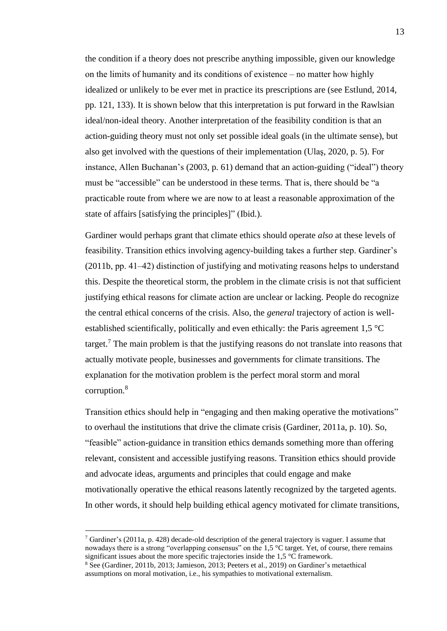the condition if a theory does not prescribe anything impossible, given our knowledge on the limits of humanity and its conditions of existence  $-$  no matter how highly idealized or unlikely to be ever met in practice its prescriptions are (see Estlund, 2014, pp. 121, 133). It is shown below that this interpretation is put forward in the Rawlsian ideal/non-ideal theory. Another interpretation of the feasibility condition is that an action-guiding theory must not only set possible ideal goals (in the ultimate sense), but also get involved with the questions of their implementation (Ulaş, 2020, p. 5). For instance, Allen Buchanan's (2003, p. 61) demand that an action-guiding ("ideal") theory must be "accessible" can be understood in these terms. That is, there should be "a practicable route from where we are now to at least a reasonable approximation of the state of affairs [satisfying the principles]" (Ibid.).

Gardiner would perhaps grant that climate ethics should operate *also* at these levels of feasibility. Transition ethics involving agency-building takes a further step. Gardiner's  $(2011b, pp. 41–42)$  distinction of justifying and motivating reasons helps to understand this. Despite the theoretical storm, the problem in the climate crisis is not that sufficient justifying ethical reasons for climate action are unclear or lacking. People do recognize the central ethical concerns of the crisis. Also, the *general* trajectory of action is wellestablished scientifically, politically and even ethically: the Paris agreement 1,5 °C target.<sup>7</sup> The main problem is that the justifying reasons do not translate into reasons that actually motivate people, businesses and governments for climate transitions. The explanation for the motivation problem is the perfect moral storm and moral corruption.<sup>8</sup>

Transition ethics should help in "engaging and then making operative the motivations" to overhaul the institutions that drive the climate crisis (Gardiner, 2011a, p. 10). So, "feasible" action-guidance in transition ethics demands something more than offering relevant, consistent and accessible justifying reasons. Transition ethics should provide and advocate ideas, arguments and principles that could engage and make motivationally operative the ethical reasons latently recognized by the targeted agents. In other words, it should help building ethical agency motivated for climate transitions,

 $<sup>7</sup>$  Gardiner's (2011a, p. 428) decade-old description of the general trajectory is vaguer. I assume that</sup> nowadays there is a strong "overlapping consensus" on the 1,5 °C target. Yet, of course, there remains significant issues about the more specific trajectories inside the 1,5 °C framework.

<sup>8</sup> See (Gardiner, 2011b, 2013; Jamieson, 2013; Peeters et al., 2019) on Gardiner's metaethical assumptions on moral motivation, i.e., his sympathies to motivational externalism.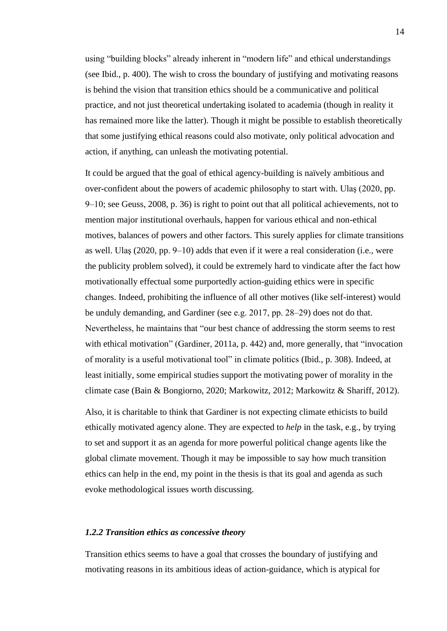using "building blocks" already inherent in "modern life" and ethical understandings (see Ibid., p. 400). The wish to cross the boundary of justifying and motivating reasons is behind the vision that transition ethics should be a communicative and political practice, and not just theoretical undertaking isolated to academia (though in reality it has remained more like the latter). Though it might be possible to establish theoretically that some justifying ethical reasons could also motivate, only political advocation and action, if anything, can unleash the motivating potential.

It could be argued that the goal of ethical agency-building is naïvely ambitious and over-confident about the powers of academic philosophy to start with. Ulaş (2020, pp. 9‒10; see Geuss, 2008, p. 36) is right to point out that all political achievements, not to mention major institutional overhauls, happen for various ethical and non-ethical motives, balances of powers and other factors. This surely applies for climate transitions as well. Ulas  $(2020, pp. 9–10)$  adds that even if it were a real consideration (i.e., were the publicity problem solved), it could be extremely hard to vindicate after the fact how motivationally effectual some purportedly action-guiding ethics were in specific changes. Indeed, prohibiting the influence of all other motives (like self-interest) would be unduly demanding, and Gardiner (see e.g.  $2017$ , pp.  $28-29$ ) does not do that. Nevertheless, he maintains that "our best chance of addressing the storm seems to rest with ethical motivation" (Gardiner, 2011a, p. 442) and, more generally, that "invocation of morality is a useful motivational tool" in climate politics (Ibid., p. 308). Indeed, at least initially, some empirical studies support the motivating power of morality in the climate case (Bain & Bongiorno, 2020; Markowitz, 2012; Markowitz & Shariff, 2012).

Also, it is charitable to think that Gardiner is not expecting climate ethicists to build ethically motivated agency alone. They are expected to *help* in the task, e.g., by trying to set and support it as an agenda for more powerful political change agents like the global climate movement. Though it may be impossible to say how much transition ethics can help in the end, my point in the thesis is that its goal and agenda as such evoke methodological issues worth discussing.

#### <span id="page-16-0"></span>*1.2.2 Transition ethics as concessive theory*

Transition ethics seems to have a goal that crosses the boundary of justifying and motivating reasons in its ambitious ideas of action-guidance, which is atypical for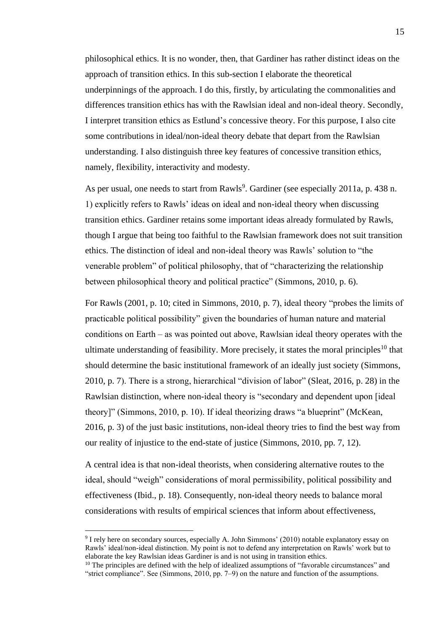philosophical ethics. It is no wonder, then, that Gardiner has rather distinct ideas on the approach of transition ethics. In this sub-section I elaborate the theoretical underpinnings of the approach. I do this, firstly, by articulating the commonalities and differences transition ethics has with the Rawlsian ideal and non-ideal theory. Secondly, I interpret transition ethics as Estlund's concessive theory. For this purpose, I also cite some contributions in ideal/non-ideal theory debate that depart from the Rawlsian understanding. I also distinguish three key features of concessive transition ethics, namely, flexibility, interactivity and modesty.

As per usual, one needs to start from Rawls<sup>9</sup>. Gardiner (see especially 2011a, p. 438 n. 1) explicitly refers to Rawls' ideas on ideal and non-ideal theory when discussing transition ethics. Gardiner retains some important ideas already formulated by Rawls, though I argue that being too faithful to the Rawlsian framework does not suit transition ethics. The distinction of ideal and non-ideal theory was Rawls' solution to "the venerable problem" of political philosophy, that of "characterizing the relationship between philosophical theory and political practice" (Simmons, 2010, p. 6).

For Rawls (2001, p. 10; cited in Simmons, 2010, p. 7), ideal theory "probes the limits of practicable political possibility" given the boundaries of human nature and material conditions on Earth  $-$  as was pointed out above, Rawlsian ideal theory operates with the ultimate understanding of feasibility. More precisely, it states the moral principles<sup>10</sup> that should determine the basic institutional framework of an ideally just society (Simmons, 2010, p. 7). There is a strong, hierarchical "division of labor" (Sleat, 2016, p. 28) in the Rawlsian distinction, where non-ideal theory is "secondary and dependent upon [ideal theory]" (Simmons, 2010, p. 10). If ideal theorizing draws "a blueprint" (McKean, 2016, p. 3) of the just basic institutions, non-ideal theory tries to find the best way from our reality of injustice to the end-state of justice (Simmons, 2010, pp. 7, 12).

A central idea is that non-ideal theorists, when considering alternative routes to the ideal, should "weigh" considerations of moral permissibility, political possibility and effectiveness (Ibid., p. 18). Consequently, non-ideal theory needs to balance moral considerations with results of empirical sciences that inform about effectiveness,

<sup>&</sup>lt;sup>9</sup> I rely here on secondary sources, especially A. John Simmons' (2010) notable explanatory essay on Rawls' ideal/non-ideal distinction. My point is not to defend any interpretation on Rawls' work but to elaborate the key Rawlsian ideas Gardiner is and is not using in transition ethics.

 $10$  The principles are defined with the help of idealized assumptions of "favorable circumstances" and "strict compliance". See (Simmons, 2010, pp. 7‒9) on the nature and function of the assumptions.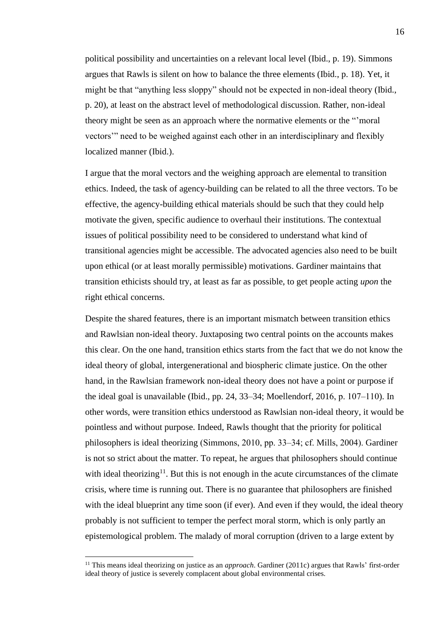political possibility and uncertainties on a relevant local level (Ibid., p. 19). Simmons argues that Rawls is silent on how to balance the three elements (Ibid., p. 18). Yet, it might be that "anything less sloppy" should not be expected in non-ideal theory (Ibid., p. 20), at least on the abstract level of methodological discussion. Rather, non-ideal theory might be seen as an approach where the normative elements or the "'moral vectors'" need to be weighed against each other in an interdisciplinary and flexibly localized manner (Ibid.).

I argue that the moral vectors and the weighing approach are elemental to transition ethics. Indeed, the task of agency-building can be related to all the three vectors. To be effective, the agency-building ethical materials should be such that they could help motivate the given, specific audience to overhaul their institutions. The contextual issues of political possibility need to be considered to understand what kind of transitional agencies might be accessible. The advocated agencies also need to be built upon ethical (or at least morally permissible) motivations. Gardiner maintains that transition ethicists should try, at least as far as possible, to get people acting *upon* the right ethical concerns.

Despite the shared features, there is an important mismatch between transition ethics and Rawlsian non-ideal theory. Juxtaposing two central points on the accounts makes this clear. On the one hand, transition ethics starts from the fact that we do not know the ideal theory of global, intergenerational and biospheric climate justice. On the other hand, in the Rawlsian framework non-ideal theory does not have a point or purpose if the ideal goal is unavailable (Ibid., pp. 24, 33–34; Moellendorf, 2016, p.  $107-110$ ). In other words, were transition ethics understood as Rawlsian non-ideal theory, it would be pointless and without purpose. Indeed, Rawls thought that the priority for political philosophers is ideal theorizing (Simmons, 2010, pp. 33‒34; cf. Mills, 2004). Gardiner is not so strict about the matter. To repeat, he argues that philosophers should continue with ideal theorizing<sup>11</sup>. But this is not enough in the acute circumstances of the climate crisis, where time is running out. There is no guarantee that philosophers are finished with the ideal blueprint any time soon (if ever). And even if they would, the ideal theory probably is not sufficient to temper the perfect moral storm, which is only partly an epistemological problem. The malady of moral corruption (driven to a large extent by

<sup>&</sup>lt;sup>11</sup> This means ideal theorizing on justice as an *approach*. Gardiner (2011c) argues that Rawls' first-order ideal theory of justice is severely complacent about global environmental crises.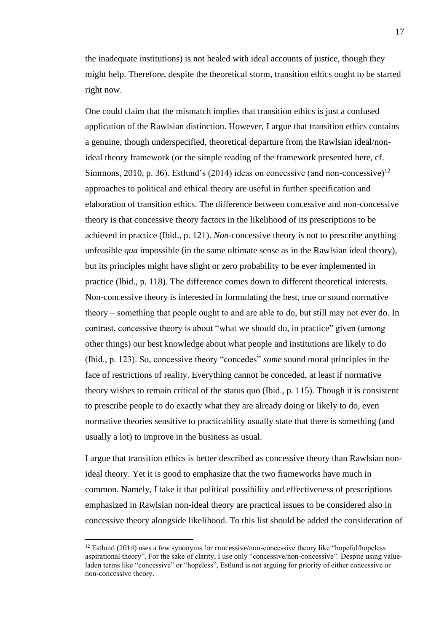the inadequate institutions) is not healed with ideal accounts of justice, though they might help. Therefore, despite the theoretical storm, transition ethics ought to be started right now.

One could claim that the mismatch implies that transition ethics is just a confused application of the Rawlsian distinction. However, I argue that transition ethics contains a genuine, though underspecified, theoretical departure from the Rawlsian ideal/nonideal theory framework (or the simple reading of the framework presented here, cf. Simmons, 2010, p. 36). Estlund's (2014) ideas on concessive (and non-concessive)<sup>12</sup> approaches to political and ethical theory are useful in further specification and elaboration of transition ethics. The difference between concessive and non-concessive theory is that concessive theory factors in the likelihood of its prescriptions to be achieved in practice (Ibid., p. 121). *Non-*concessive theory is not to prescribe anything unfeasible *qua* impossible (in the same ultimate sense as in the Rawlsian ideal theory), but its principles might have slight or zero probability to be ever implemented in practice (Ibid., p. 118). The difference comes down to different theoretical interests. Non-concessive theory is interested in formulating the best, true or sound normative theory – something that people ought to and are able to do, but still may not ever do. In contrast, concessive theory is about "what we should do, in practice" given (among other things) our best knowledge about what people and institutions are likely to do (Ibid., p. 123). So, concessive theory "concedes" *some* sound moral principles in the face of restrictions of reality. Everything cannot be conceded, at least if normative theory wishes to remain critical of the status quo (Ibid., p. 115). Though it is consistent to prescribe people to do exactly what they are already doing or likely to do, even normative theories sensitive to practicability usually state that there is something (and usually a lot) to improve in the business as usual.

I argue that transition ethics is better described as concessive theory than Rawlsian nonideal theory. Yet it is good to emphasize that the two frameworks have much in common. Namely, I take it that political possibility and effectiveness of prescriptions emphasized in Rawlsian non-ideal theory are practical issues to be considered also in concessive theory alongside likelihood. To this list should be added the consideration of

<sup>&</sup>lt;sup>12</sup> Estlund (2014) uses a few synonyms for concessive/non-concessive theory like "hopeful/hopeless aspirational theory". For the sake of clarity, I use only "concessive/non-concessive". Despite using valueladen terms like "concessive" or "hopeless", Estlund is not arguing for priority of either concessive or non-concessive theory.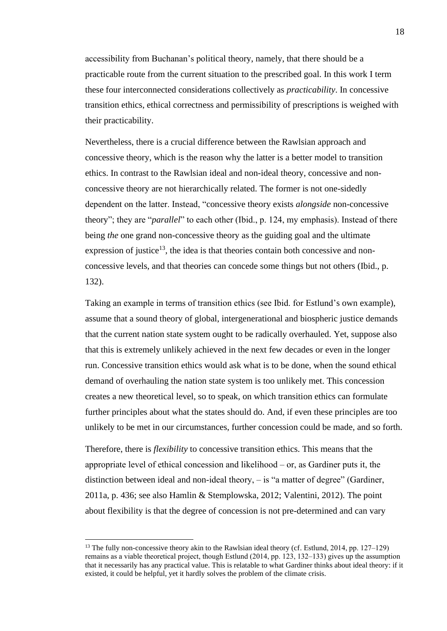accessibility from Buchanan's political theory, namely, that there should be a practicable route from the current situation to the prescribed goal. In this work I term these four interconnected considerations collectively as *practicability*. In concessive transition ethics, ethical correctness and permissibility of prescriptions is weighed with their practicability.

Nevertheless, there is a crucial difference between the Rawlsian approach and concessive theory, which is the reason why the latter is a better model to transition ethics. In contrast to the Rawlsian ideal and non-ideal theory, concessive and nonconcessive theory are not hierarchically related. The former is not one-sidedly dependent on the latter. Instead, "concessive theory exists *alongside* non-concessive theory"; they are "*parallel*" to each other (Ibid., p. 124, my emphasis). Instead of there being *the* one grand non-concessive theory as the guiding goal and the ultimate expression of justice<sup>13</sup>, the idea is that theories contain both concessive and nonconcessive levels, and that theories can concede some things but not others (Ibid., p. 132).

Taking an example in terms of transition ethics (see Ibid. for Estlund's own example), assume that a sound theory of global, intergenerational and biospheric justice demands that the current nation state system ought to be radically overhauled. Yet, suppose also that this is extremely unlikely achieved in the next few decades or even in the longer run. Concessive transition ethics would ask what is to be done, when the sound ethical demand of overhauling the nation state system is too unlikely met. This concession creates a new theoretical level, so to speak, on which transition ethics can formulate further principles about what the states should do. And, if even these principles are too unlikely to be met in our circumstances, further concession could be made, and so forth.

Therefore, there is *flexibility* to concessive transition ethics. This means that the appropriate level of ethical concession and likelihood  $-$  or, as Gardiner puts it, the distinction between ideal and non-ideal theory,  $-$  is "a matter of degree" (Gardiner, 2011a, p. 436; see also Hamlin & Stemplowska, 2012; Valentini, 2012). The point about flexibility is that the degree of concession is not pre-determined and can vary

<sup>&</sup>lt;sup>13</sup> The fully non-concessive theory akin to the Rawlsian ideal theory (cf. Estlund, 2014, pp. 127–129) remains as a viable theoretical project, though Estlund (2014, pp. 123, 132–133) gives up the assumption that it necessarily has any practical value. This is relatable to what Gardiner thinks about ideal theory: if it existed, it could be helpful, yet it hardly solves the problem of the climate crisis.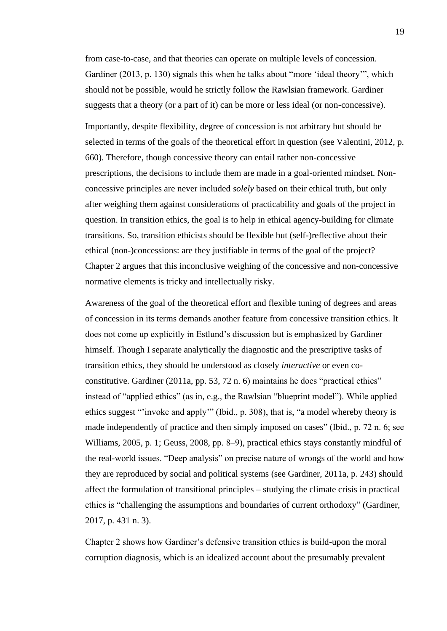from case-to-case, and that theories can operate on multiple levels of concession. Gardiner (2013, p. 130) signals this when he talks about "more 'ideal theory'", which should not be possible, would he strictly follow the Rawlsian framework. Gardiner suggests that a theory (or a part of it) can be more or less ideal (or non-concessive).

Importantly, despite flexibility, degree of concession is not arbitrary but should be selected in terms of the goals of the theoretical effort in question (see Valentini, 2012, p. 660). Therefore, though concessive theory can entail rather non-concessive prescriptions, the decisions to include them are made in a goal-oriented mindset. Nonconcessive principles are never included *solely* based on their ethical truth, but only after weighing them against considerations of practicability and goals of the project in question. In transition ethics, the goal is to help in ethical agency-building for climate transitions. So, transition ethicists should be flexible but (self-)reflective about their ethical (non-)concessions: are they justifiable in terms of the goal of the project? Chapter 2 argues that this inconclusive weighing of the concessive and non-concessive normative elements is tricky and intellectually risky.

Awareness of the goal of the theoretical effort and flexible tuning of degrees and areas of concession in its terms demands another feature from concessive transition ethics. It does not come up explicitly in Estlund's discussion but is emphasized by Gardiner himself. Though I separate analytically the diagnostic and the prescriptive tasks of transition ethics, they should be understood as closely *interactive* or even coconstitutive. Gardiner (2011a, pp. 53, 72 n. 6) maintains he does "practical ethics" instead of "applied ethics" (as in, e.g., the Rawlsian "blueprint model"). While applied ethics suggest "'invoke and apply'" (Ibid., p. 308), that is, "a model whereby theory is made independently of practice and then simply imposed on cases" (Ibid., p. 72 n. 6; see Williams, 2005, p. 1; Geuss, 2008, pp. 8–9), practical ethics stays constantly mindful of the real-world issues. "Deep analysis" on precise nature of wrongs of the world and how they are reproduced by social and political systems (see Gardiner, 2011a, p. 243) should affect the formulation of transitional principles – studying the climate crisis in practical ethics is "challenging the assumptions and boundaries of current orthodoxy" (Gardiner, 2017, p. 431 n. 3).

Chapter 2 shows how Gardiner's defensive transition ethics is build-upon the moral corruption diagnosis, which is an idealized account about the presumably prevalent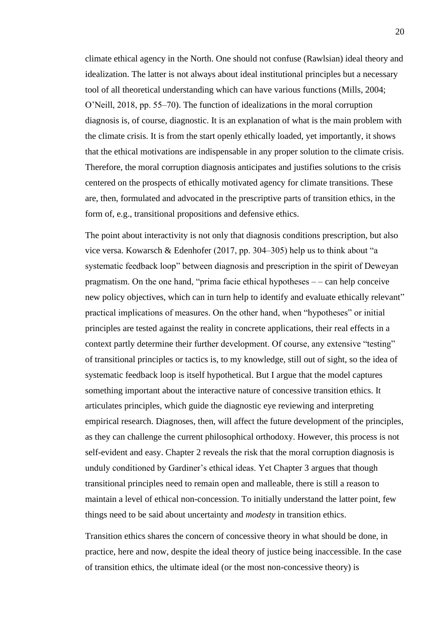climate ethical agency in the North. One should not confuse (Rawlsian) ideal theory and idealization. The latter is not always about ideal institutional principles but a necessary tool of all theoretical understanding which can have various functions (Mills, 2004; O'Neill, 2018, pp. 55–70). The function of idealizations in the moral corruption diagnosis is, of course, diagnostic. It is an explanation of what is the main problem with the climate crisis. It is from the start openly ethically loaded, yet importantly, it shows that the ethical motivations are indispensable in any proper solution to the climate crisis. Therefore, the moral corruption diagnosis anticipates and justifies solutions to the crisis centered on the prospects of ethically motivated agency for climate transitions. These are, then, formulated and advocated in the prescriptive parts of transition ethics, in the form of, e.g., transitional propositions and defensive ethics.

The point about interactivity is not only that diagnosis conditions prescription, but also vice versa. Kowarsch & Edenhofer (2017, pp. 304‒305) help us to think about "a systematic feedback loop" between diagnosis and prescription in the spirit of Deweyan pragmatism. On the one hand, "prima facie ethical hypotheses  $-$  - can help conceive new policy objectives, which can in turn help to identify and evaluate ethically relevant" practical implications of measures. On the other hand, when "hypotheses" or initial principles are tested against the reality in concrete applications, their real effects in a context partly determine their further development. Of course, any extensive "testing" of transitional principles or tactics is, to my knowledge, still out of sight, so the idea of systematic feedback loop is itself hypothetical. But I argue that the model captures something important about the interactive nature of concessive transition ethics. It articulates principles, which guide the diagnostic eye reviewing and interpreting empirical research. Diagnoses, then, will affect the future development of the principles, as they can challenge the current philosophical orthodoxy. However, this process is not self-evident and easy. Chapter 2 reveals the risk that the moral corruption diagnosis is unduly conditioned by Gardiner's ethical ideas. Yet Chapter 3 argues that though transitional principles need to remain open and malleable, there is still a reason to maintain a level of ethical non-concession. To initially understand the latter point, few things need to be said about uncertainty and *modesty* in transition ethics.

Transition ethics shares the concern of concessive theory in what should be done, in practice, here and now, despite the ideal theory of justice being inaccessible. In the case of transition ethics, the ultimate ideal (or the most non-concessive theory) is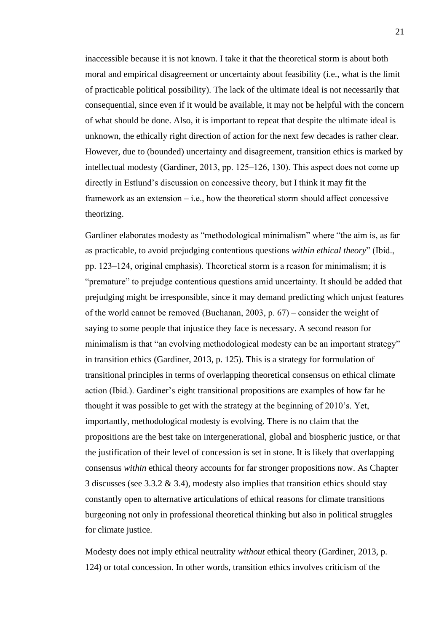inaccessible because it is not known. I take it that the theoretical storm is about both moral and empirical disagreement or uncertainty about feasibility (i.e., what is the limit of practicable political possibility). The lack of the ultimate ideal is not necessarily that consequential, since even if it would be available, it may not be helpful with the concern of what should be done. Also, it is important to repeat that despite the ultimate ideal is unknown, the ethically right direction of action for the next few decades is rather clear. However, due to (bounded) uncertainty and disagreement, transition ethics is marked by intellectual modesty (Gardiner, 2013, pp. 125–126, 130). This aspect does not come up directly in Estlund's discussion on concessive theory, but I think it may fit the framework as an extension  $-$  i.e., how the theoretical storm should affect concessive theorizing.

Gardiner elaborates modesty as "methodological minimalism" where "the aim is, as far as practicable, to avoid prejudging contentious questions *within ethical theory*" (Ibid., pp. 123‒124, original emphasis). Theoretical storm is a reason for minimalism; it is "premature" to prejudge contentious questions amid uncertainty. It should be added that prejudging might be irresponsible, since it may demand predicting which unjust features of the world cannot be removed (Buchanan, 2003, p.  $67$ ) – consider the weight of saying to some people that injustice they face is necessary. A second reason for minimalism is that "an evolving methodological modesty can be an important strategy" in transition ethics (Gardiner, 2013, p. 125). This is a strategy for formulation of transitional principles in terms of overlapping theoretical consensus on ethical climate action (Ibid.). Gardiner's eight transitional propositions are examples of how far he thought it was possible to get with the strategy at the beginning of 2010's. Yet, importantly, methodological modesty is evolving. There is no claim that the propositions are the best take on intergenerational, global and biospheric justice, or that the justification of their level of concession is set in stone. It is likely that overlapping consensus *within* ethical theory accounts for far stronger propositions now. As Chapter 3 discusses (see 3.3.2  $\&$  3.4), modesty also implies that transition ethics should stay constantly open to alternative articulations of ethical reasons for climate transitions burgeoning not only in professional theoretical thinking but also in political struggles for climate justice.

Modesty does not imply ethical neutrality *without* ethical theory (Gardiner, 2013, p. 124) or total concession. In other words, transition ethics involves criticism of the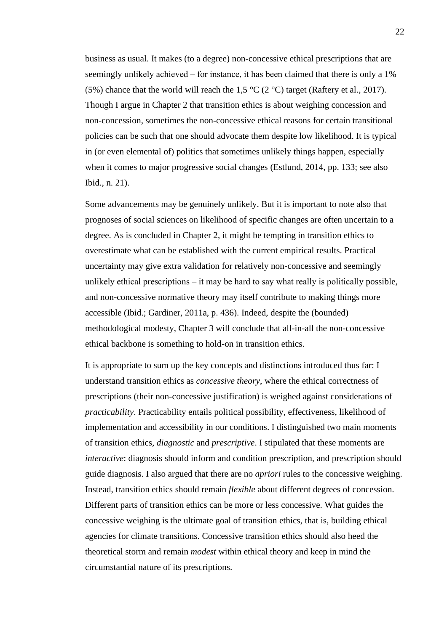business as usual. It makes (to a degree) non-concessive ethical prescriptions that are seemingly unlikely achieved – for instance, it has been claimed that there is only a 1% (5%) chance that the world will reach the 1,5  $\degree$ C (2  $\degree$ C) target (Raftery et al., 2017). Though I argue in Chapter 2 that transition ethics is about weighing concession and non-concession, sometimes the non-concessive ethical reasons for certain transitional policies can be such that one should advocate them despite low likelihood. It is typical in (or even elemental of) politics that sometimes unlikely things happen, especially when it comes to major progressive social changes (Estlund, 2014, pp. 133; see also Ibid., n. 21).

Some advancements may be genuinely unlikely. But it is important to note also that prognoses of social sciences on likelihood of specific changes are often uncertain to a degree. As is concluded in Chapter 2, it might be tempting in transition ethics to overestimate what can be established with the current empirical results. Practical uncertainty may give extra validation for relatively non-concessive and seemingly unlikely ethical prescriptions  $-$  it may be hard to say what really is politically possible, and non-concessive normative theory may itself contribute to making things more accessible (Ibid.; Gardiner, 2011a, p. 436). Indeed, despite the (bounded) methodological modesty, Chapter 3 will conclude that all-in-all the non-concessive ethical backbone is something to hold-on in transition ethics.

It is appropriate to sum up the key concepts and distinctions introduced thus far: I understand transition ethics as *concessive theory*, where the ethical correctness of prescriptions (their non-concessive justification) is weighed against considerations of *practicability*. Practicability entails political possibility, effectiveness, likelihood of implementation and accessibility in our conditions. I distinguished two main moments of transition ethics, *diagnostic* and *prescriptive*. I stipulated that these moments are *interactive*: diagnosis should inform and condition prescription, and prescription should guide diagnosis. I also argued that there are no *apriori* rules to the concessive weighing. Instead, transition ethics should remain *flexible* about different degrees of concession. Different parts of transition ethics can be more or less concessive. What guides the concessive weighing is the ultimate goal of transition ethics, that is, building ethical agencies for climate transitions. Concessive transition ethics should also heed the theoretical storm and remain *modest* within ethical theory and keep in mind the circumstantial nature of its prescriptions.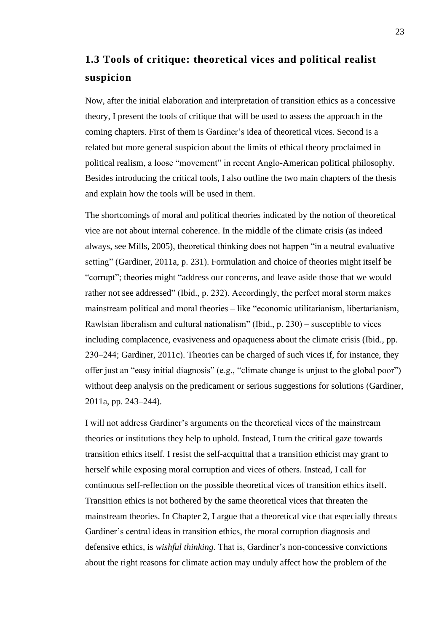## <span id="page-25-0"></span>**1.3 Tools of critique: theoretical vices and political realist suspicion**

Now, after the initial elaboration and interpretation of transition ethics as a concessive theory, I present the tools of critique that will be used to assess the approach in the coming chapters. First of them is Gardiner's idea of theoretical vices. Second is a related but more general suspicion about the limits of ethical theory proclaimed in political realism, a loose "movement" in recent Anglo-American political philosophy. Besides introducing the critical tools, I also outline the two main chapters of the thesis and explain how the tools will be used in them.

The shortcomings of moral and political theories indicated by the notion of theoretical vice are not about internal coherence. In the middle of the climate crisis (as indeed always, see Mills, 2005), theoretical thinking does not happen "in a neutral evaluative setting" (Gardiner, 2011a, p. 231). Formulation and choice of theories might itself be "corrupt"; theories might "address our concerns, and leave aside those that we would rather not see addressed" (Ibid., p. 232). Accordingly, the perfect moral storm makes mainstream political and moral theories – like "economic utilitarianism, libertarianism, Rawlsian liberalism and cultural nationalism" (Ibid.,  $p. 230$ ) – susceptible to vices including complacence, evasiveness and opaqueness about the climate crisis (Ibid., pp. 230‒244; Gardiner, 2011c). Theories can be charged of such vices if, for instance, they offer just an "easy initial diagnosis" (e.g., "climate change is unjust to the global poor") without deep analysis on the predicament or serious suggestions for solutions (Gardiner, 2011a, pp. 243‒244).

I will not address Gardiner's arguments on the theoretical vices of the mainstream theories or institutions they help to uphold. Instead, I turn the critical gaze towards transition ethics itself. I resist the self-acquittal that a transition ethicist may grant to herself while exposing moral corruption and vices of others. Instead, I call for continuous self-reflection on the possible theoretical vices of transition ethics itself. Transition ethics is not bothered by the same theoretical vices that threaten the mainstream theories. In Chapter 2, I argue that a theoretical vice that especially threats Gardiner's central ideas in transition ethics, the moral corruption diagnosis and defensive ethics, is *wishful thinking*. That is, Gardiner's non-concessive convictions about the right reasons for climate action may unduly affect how the problem of the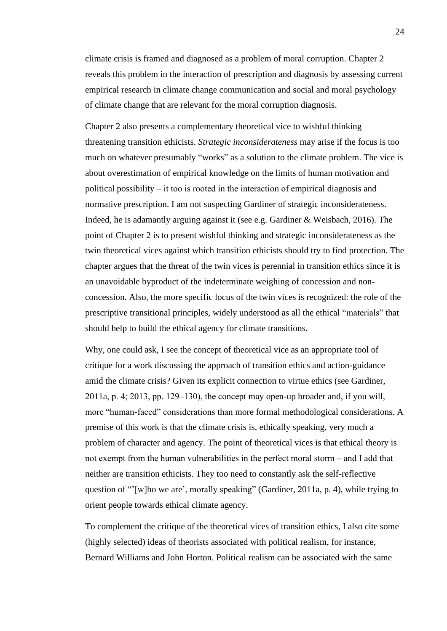climate crisis is framed and diagnosed as a problem of moral corruption. Chapter 2 reveals this problem in the interaction of prescription and diagnosis by assessing current empirical research in climate change communication and social and moral psychology of climate change that are relevant for the moral corruption diagnosis.

Chapter 2 also presents a complementary theoretical vice to wishful thinking threatening transition ethicists. *Strategic inconsiderateness* may arise if the focus is too much on whatever presumably "works" as a solution to the climate problem. The vice is about overestimation of empirical knowledge on the limits of human motivation and political possibility  $-$  it too is rooted in the interaction of empirical diagnosis and normative prescription. I am not suspecting Gardiner of strategic inconsiderateness. Indeed, he is adamantly arguing against it (see e.g. Gardiner & Weisbach, 2016). The point of Chapter 2 is to present wishful thinking and strategic inconsiderateness as the twin theoretical vices against which transition ethicists should try to find protection. The chapter argues that the threat of the twin vices is perennial in transition ethics since it is an unavoidable byproduct of the indeterminate weighing of concession and nonconcession. Also, the more specific locus of the twin vices is recognized: the role of the prescriptive transitional principles, widely understood as all the ethical "materials" that should help to build the ethical agency for climate transitions.

Why, one could ask, I see the concept of theoretical vice as an appropriate tool of critique for a work discussing the approach of transition ethics and action-guidance amid the climate crisis? Given its explicit connection to virtue ethics (see Gardiner,  $2011a$ , p. 4;  $2013$ , pp.  $129-130$ ), the concept may open-up broader and, if you will, more "human-faced" considerations than more formal methodological considerations. A premise of this work is that the climate crisis is, ethically speaking, very much a problem of character and agency. The point of theoretical vices is that ethical theory is not exempt from the human vulnerabilities in the perfect moral storm – and I add that neither are transition ethicists. They too need to constantly ask the self-reflective question of "'[w]ho we are', morally speaking" (Gardiner, 2011a, p. 4), while trying to orient people towards ethical climate agency.

To complement the critique of the theoretical vices of transition ethics, I also cite some (highly selected) ideas of theorists associated with political realism, for instance, Bernard Williams and John Horton. Political realism can be associated with the same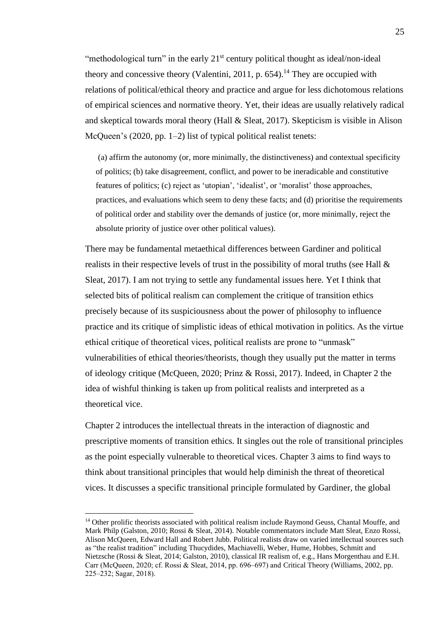"methodological turn" in the early  $21<sup>st</sup>$  century political thought as ideal/non-ideal theory and concessive theory (Valentini, 2011, p. 654). <sup>14</sup> They are occupied with relations of political/ethical theory and practice and argue for less dichotomous relations of empirical sciences and normative theory. Yet, their ideas are usually relatively radical and skeptical towards moral theory (Hall & Sleat, 2017). Skepticism is visible in Alison McQueen's (2020, pp. 1–2) list of typical political realist tenets:

(a) affirm the autonomy (or, more minimally, the distinctiveness) and contextual specificity of politics; (b) take disagreement, conflict, and power to be ineradicable and constitutive features of politics; (c) reject as 'utopian', 'idealist', or 'moralist' those approaches, practices, and evaluations which seem to deny these facts; and (d) prioritise the requirements of political order and stability over the demands of justice (or, more minimally, reject the absolute priority of justice over other political values).

There may be fundamental metaethical differences between Gardiner and political realists in their respective levels of trust in the possibility of moral truths (see Hall  $\&$ Sleat, 2017). I am not trying to settle any fundamental issues here. Yet I think that selected bits of political realism can complement the critique of transition ethics precisely because of its suspiciousness about the power of philosophy to influence practice and its critique of simplistic ideas of ethical motivation in politics. As the virtue ethical critique of theoretical vices, political realists are prone to "unmask" vulnerabilities of ethical theories/theorists, though they usually put the matter in terms of ideology critique (McQueen, 2020; Prinz & Rossi, 2017). Indeed, in Chapter 2 the idea of wishful thinking is taken up from political realists and interpreted as a theoretical vice.

Chapter 2 introduces the intellectual threats in the interaction of diagnostic and prescriptive moments of transition ethics. It singles out the role of transitional principles as the point especially vulnerable to theoretical vices. Chapter 3 aims to find ways to think about transitional principles that would help diminish the threat of theoretical vices. It discusses a specific transitional principle formulated by Gardiner, the global

<sup>&</sup>lt;sup>14</sup> Other prolific theorists associated with political realism include Raymond Geuss, Chantal Mouffe, and Mark Philp (Galston, 2010; Rossi & Sleat, 2014). Notable commentators include Matt Sleat, Enzo Rossi, Alison McQueen, Edward Hall and Robert Jubb. Political realists draw on varied intellectual sources such as "the realist tradition" including Thucydides, Machiavelli, Weber, Hume, Hobbes, Schmitt and Nietzsche (Rossi & Sleat, 2014; Galston, 2010), classical IR realism of, e.g., Hans Morgenthau and E.H. Carr (McQueen, 2020; cf. Rossi & Sleat, 2014, pp. 696–697) and Critical Theory (Williams, 2002, pp. 225‒232; Sagar, 2018).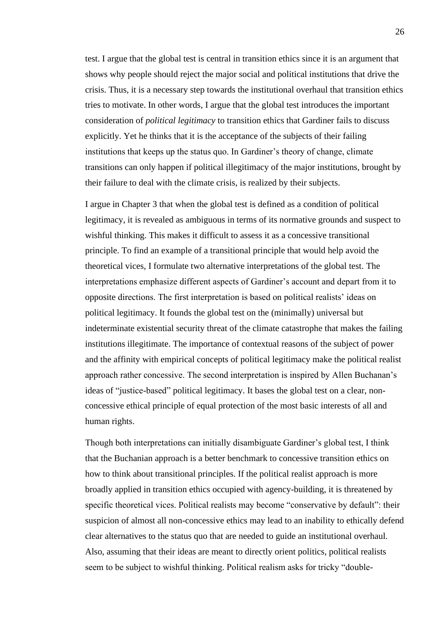test. I argue that the global test is central in transition ethics since it is an argument that shows why people should reject the major social and political institutions that drive the crisis. Thus, it is a necessary step towards the institutional overhaul that transition ethics tries to motivate. In other words, I argue that the global test introduces the important consideration of *political legitimacy* to transition ethics that Gardiner fails to discuss explicitly. Yet he thinks that it is the acceptance of the subjects of their failing institutions that keeps up the status quo. In Gardiner's theory of change, climate transitions can only happen if political illegitimacy of the major institutions, brought by their failure to deal with the climate crisis, is realized by their subjects.

I argue in Chapter 3 that when the global test is defined as a condition of political legitimacy, it is revealed as ambiguous in terms of its normative grounds and suspect to wishful thinking. This makes it difficult to assess it as a concessive transitional principle. To find an example of a transitional principle that would help avoid the theoretical vices, I formulate two alternative interpretations of the global test. The interpretations emphasize different aspects of Gardiner's account and depart from it to opposite directions. The first interpretation is based on political realists' ideas on political legitimacy. It founds the global test on the (minimally) universal but indeterminate existential security threat of the climate catastrophe that makes the failing institutions illegitimate. The importance of contextual reasons of the subject of power and the affinity with empirical concepts of political legitimacy make the political realist approach rather concessive. The second interpretation is inspired by Allen Buchanan's ideas of "justice-based" political legitimacy. It bases the global test on a clear, nonconcessive ethical principle of equal protection of the most basic interests of all and human rights.

Though both interpretations can initially disambiguate Gardiner's global test, I think that the Buchanian approach is a better benchmark to concessive transition ethics on how to think about transitional principles. If the political realist approach is more broadly applied in transition ethics occupied with agency-building, it is threatened by specific theoretical vices. Political realists may become "conservative by default": their suspicion of almost all non-concessive ethics may lead to an inability to ethically defend clear alternatives to the status quo that are needed to guide an institutional overhaul. Also, assuming that their ideas are meant to directly orient politics, political realists seem to be subject to wishful thinking. Political realism asks for tricky "double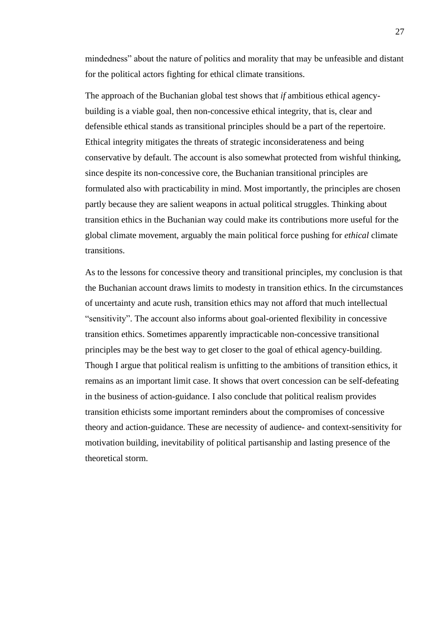mindedness" about the nature of politics and morality that may be unfeasible and distant for the political actors fighting for ethical climate transitions.

The approach of the Buchanian global test shows that *if* ambitious ethical agencybuilding is a viable goal, then non-concessive ethical integrity, that is, clear and defensible ethical stands as transitional principles should be a part of the repertoire. Ethical integrity mitigates the threats of strategic inconsiderateness and being conservative by default. The account is also somewhat protected from wishful thinking, since despite its non-concessive core, the Buchanian transitional principles are formulated also with practicability in mind. Most importantly, the principles are chosen partly because they are salient weapons in actual political struggles. Thinking about transition ethics in the Buchanian way could make its contributions more useful for the global climate movement, arguably the main political force pushing for *ethical* climate transitions.

As to the lessons for concessive theory and transitional principles, my conclusion is that the Buchanian account draws limits to modesty in transition ethics. In the circumstances of uncertainty and acute rush, transition ethics may not afford that much intellectual "sensitivity". The account also informs about goal-oriented flexibility in concessive transition ethics. Sometimes apparently impracticable non-concessive transitional principles may be the best way to get closer to the goal of ethical agency-building. Though I argue that political realism is unfitting to the ambitions of transition ethics, it remains as an important limit case. It shows that overt concession can be self-defeating in the business of action-guidance. I also conclude that political realism provides transition ethicists some important reminders about the compromises of concessive theory and action-guidance. These are necessity of audience- and context-sensitivity for motivation building, inevitability of political partisanship and lasting presence of the theoretical storm.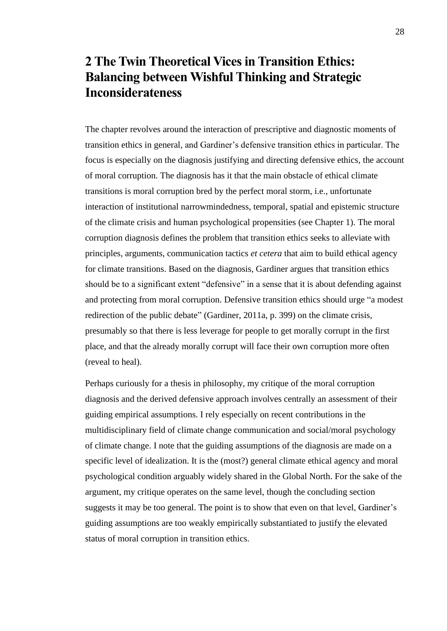## <span id="page-30-0"></span>**2 The Twin Theoretical Vices in Transition Ethics: Balancing between Wishful Thinking and Strategic Inconsiderateness**

The chapter revolves around the interaction of prescriptive and diagnostic moments of transition ethics in general, and Gardiner's defensive transition ethics in particular. The focus is especially on the diagnosis justifying and directing defensive ethics, the account of moral corruption. The diagnosis has it that the main obstacle of ethical climate transitions is moral corruption bred by the perfect moral storm, i.e., unfortunate interaction of institutional narrowmindedness, temporal, spatial and epistemic structure of the climate crisis and human psychological propensities (see Chapter 1). The moral corruption diagnosis defines the problem that transition ethics seeks to alleviate with principles, arguments, communication tactics *et cetera* that aim to build ethical agency for climate transitions. Based on the diagnosis, Gardiner argues that transition ethics should be to a significant extent "defensive" in a sense that it is about defending against and protecting from moral corruption. Defensive transition ethics should urge "a modest redirection of the public debate" (Gardiner, 2011a, p. 399) on the climate crisis, presumably so that there is less leverage for people to get morally corrupt in the first place, and that the already morally corrupt will face their own corruption more often (reveal to heal).

Perhaps curiously for a thesis in philosophy, my critique of the moral corruption diagnosis and the derived defensive approach involves centrally an assessment of their guiding empirical assumptions. I rely especially on recent contributions in the multidisciplinary field of climate change communication and social/moral psychology of climate change. I note that the guiding assumptions of the diagnosis are made on a specific level of idealization. It is the (most?) general climate ethical agency and moral psychological condition arguably widely shared in the Global North. For the sake of the argument, my critique operates on the same level, though the concluding section suggests it may be too general. The point is to show that even on that level, Gardiner's guiding assumptions are too weakly empirically substantiated to justify the elevated status of moral corruption in transition ethics.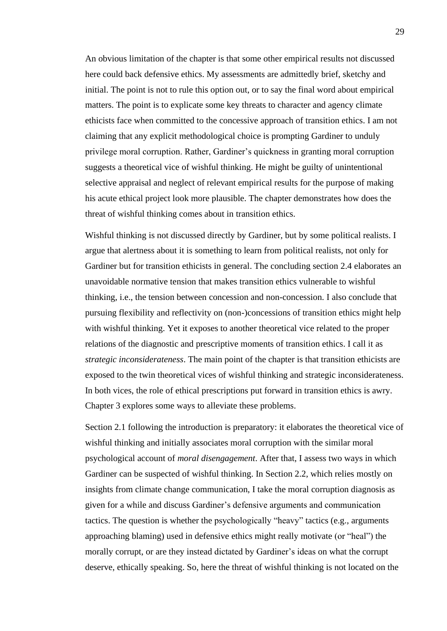An obvious limitation of the chapter is that some other empirical results not discussed here could back defensive ethics. My assessments are admittedly brief, sketchy and initial. The point is not to rule this option out, or to say the final word about empirical matters. The point is to explicate some key threats to character and agency climate ethicists face when committed to the concessive approach of transition ethics. I am not claiming that any explicit methodological choice is prompting Gardiner to unduly privilege moral corruption. Rather, Gardiner's quickness in granting moral corruption suggests a theoretical vice of wishful thinking. He might be guilty of unintentional selective appraisal and neglect of relevant empirical results for the purpose of making his acute ethical project look more plausible. The chapter demonstrates how does the threat of wishful thinking comes about in transition ethics.

Wishful thinking is not discussed directly by Gardiner, but by some political realists. I argue that alertness about it is something to learn from political realists, not only for Gardiner but for transition ethicists in general. The concluding section 2.4 elaborates an unavoidable normative tension that makes transition ethics vulnerable to wishful thinking, i.e., the tension between concession and non-concession. I also conclude that pursuing flexibility and reflectivity on (non-)concessions of transition ethics might help with wishful thinking. Yet it exposes to another theoretical vice related to the proper relations of the diagnostic and prescriptive moments of transition ethics. I call it as *strategic inconsiderateness*. The main point of the chapter is that transition ethicists are exposed to the twin theoretical vices of wishful thinking and strategic inconsiderateness. In both vices, the role of ethical prescriptions put forward in transition ethics is awry. Chapter 3 explores some ways to alleviate these problems.

Section 2.1 following the introduction is preparatory: it elaborates the theoretical vice of wishful thinking and initially associates moral corruption with the similar moral psychological account of *moral disengagement*. After that, I assess two ways in which Gardiner can be suspected of wishful thinking. In Section 2.2, which relies mostly on insights from climate change communication, I take the moral corruption diagnosis as given for a while and discuss Gardiner's defensive arguments and communication tactics. The question is whether the psychologically "heavy" tactics (e.g., arguments approaching blaming) used in defensive ethics might really motivate (or "heal") the morally corrupt, or are they instead dictated by Gardiner's ideas on what the corrupt deserve, ethically speaking. So, here the threat of wishful thinking is not located on the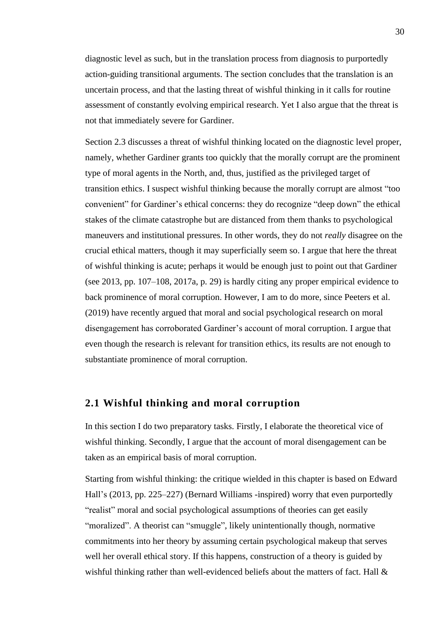diagnostic level as such, but in the translation process from diagnosis to purportedly action-guiding transitional arguments. The section concludes that the translation is an uncertain process, and that the lasting threat of wishful thinking in it calls for routine assessment of constantly evolving empirical research. Yet I also argue that the threat is not that immediately severe for Gardiner.

Section 2.3 discusses a threat of wishful thinking located on the diagnostic level proper, namely, whether Gardiner grants too quickly that the morally corrupt are the prominent type of moral agents in the North, and, thus, justified as the privileged target of transition ethics. I suspect wishful thinking because the morally corrupt are almost "too convenient" for Gardiner's ethical concerns: they do recognize "deep down" the ethical stakes of the climate catastrophe but are distanced from them thanks to psychological maneuvers and institutional pressures. In other words, they do not *really* disagree on the crucial ethical matters, though it may superficially seem so. I argue that here the threat of wishful thinking is acute; perhaps it would be enough just to point out that Gardiner (see 2013, pp. 107–108, 2017a, p. 29) is hardly citing any proper empirical evidence to back prominence of moral corruption. However, I am to do more, since Peeters et al. (2019) have recently argued that moral and social psychological research on moral disengagement has corroborated Gardiner's account of moral corruption. I argue that even though the research is relevant for transition ethics, its results are not enough to substantiate prominence of moral corruption.

### <span id="page-32-0"></span>**2.1 Wishful thinking and moral corruption**

In this section I do two preparatory tasks. Firstly, I elaborate the theoretical vice of wishful thinking. Secondly, I argue that the account of moral disengagement can be taken as an empirical basis of moral corruption.

Starting from wishful thinking: the critique wielded in this chapter is based on Edward Hall's (2013, pp. 225–227) (Bernard Williams -inspired) worry that even purportedly "realist" moral and social psychological assumptions of theories can get easily "moralized". A theorist can "smuggle", likely unintentionally though, normative commitments into her theory by assuming certain psychological makeup that serves well her overall ethical story. If this happens, construction of a theory is guided by wishful thinking rather than well-evidenced beliefs about the matters of fact. Hall &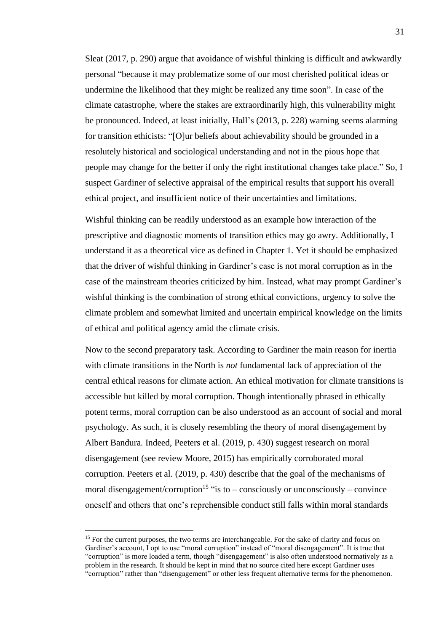Sleat (2017, p. 290) argue that avoidance of wishful thinking is difficult and awkwardly personal "because it may problematize some of our most cherished political ideas or undermine the likelihood that they might be realized any time soon". In case of the climate catastrophe, where the stakes are extraordinarily high, this vulnerability might be pronounced. Indeed, at least initially, Hall's (2013, p. 228) warning seems alarming for transition ethicists: "[O]ur beliefs about achievability should be grounded in a resolutely historical and sociological understanding and not in the pious hope that people may change for the better if only the right institutional changes take place." So, I suspect Gardiner of selective appraisal of the empirical results that support his overall ethical project, and insufficient notice of their uncertainties and limitations.

Wishful thinking can be readily understood as an example how interaction of the prescriptive and diagnostic moments of transition ethics may go awry. Additionally, I understand it as a theoretical vice as defined in Chapter 1. Yet it should be emphasized that the driver of wishful thinking in Gardiner's case is not moral corruption as in the case of the mainstream theories criticized by him. Instead, what may prompt Gardiner's wishful thinking is the combination of strong ethical convictions, urgency to solve the climate problem and somewhat limited and uncertain empirical knowledge on the limits of ethical and political agency amid the climate crisis.

Now to the second preparatory task. According to Gardiner the main reason for inertia with climate transitions in the North is *not* fundamental lack of appreciation of the central ethical reasons for climate action. An ethical motivation for climate transitions is accessible but killed by moral corruption. Though intentionally phrased in ethically potent terms, moral corruption can be also understood as an account of social and moral psychology. As such, it is closely resembling the theory of moral disengagement by Albert Bandura. Indeed, Peeters et al. (2019, p. 430) suggest research on moral disengagement (see review Moore, 2015) has empirically corroborated moral corruption. Peeters et al. (2019, p. 430) describe that the goal of the mechanisms of moral disengagement/corruption<sup>15</sup> "is to – consciously or unconsciously – convince oneself and others that one's reprehensible conduct still falls within moral standards

<sup>&</sup>lt;sup>15</sup> For the current purposes, the two terms are interchangeable. For the sake of clarity and focus on Gardiner's account, I opt to use "moral corruption" instead of "moral disengagement". It is true that "corruption" is more loaded a term, though "disengagement" is also often understood normatively as a problem in the research. It should be kept in mind that no source cited here except Gardiner uses "corruption" rather than "disengagement" or other less frequent alternative terms for the phenomenon.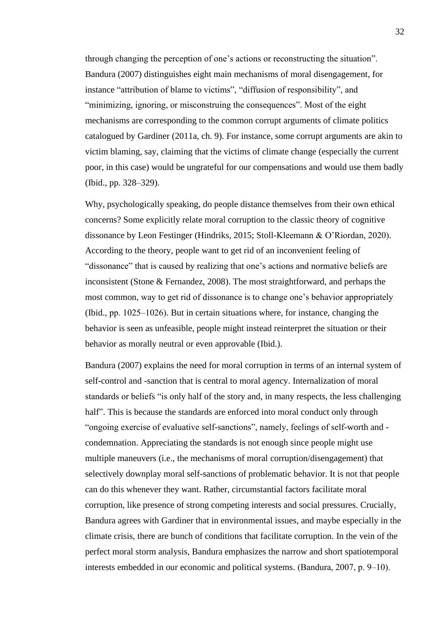through changing the perception of one's actions or reconstructing the situation". Bandura (2007) distinguishes eight main mechanisms of moral disengagement, for instance "attribution of blame to victims", "diffusion of responsibility", and "minimizing, ignoring, or misconstruing the consequences". Most of the eight mechanisms are corresponding to the common corrupt arguments of climate politics catalogued by Gardiner (2011a, ch. 9). For instance, some corrupt arguments are akin to victim blaming, say, claiming that the victims of climate change (especially the current poor, in this case) would be ungrateful for our compensations and would use them badly (Ibid., pp. 328‒329).

Why, psychologically speaking, do people distance themselves from their own ethical concerns? Some explicitly relate moral corruption to the classic theory of cognitive dissonance by Leon Festinger (Hindriks, 2015; Stoll-Kleemann & O'Riordan, 2020). According to the theory, people want to get rid of an inconvenient feeling of "dissonance" that is caused by realizing that one's actions and normative beliefs are inconsistent (Stone & Fernandez, 2008). The most straightforward, and perhaps the most common, way to get rid of dissonance is to change one's behavior appropriately (Ibid., pp.  $1025-1026$ ). But in certain situations where, for instance, changing the behavior is seen as unfeasible, people might instead reinterpret the situation or their behavior as morally neutral or even approvable (Ibid.).

Bandura (2007) explains the need for moral corruption in terms of an internal system of self-control and -sanction that is central to moral agency. Internalization of moral standards or beliefs "is only half of the story and, in many respects, the less challenging half". This is because the standards are enforced into moral conduct only through "ongoing exercise of evaluative self-sanctions", namely, feelings of self-worth and condemnation. Appreciating the standards is not enough since people might use multiple maneuvers (i.e., the mechanisms of moral corruption/disengagement) that selectively downplay moral self-sanctions of problematic behavior. It is not that people can do this whenever they want. Rather, circumstantial factors facilitate moral corruption, like presence of strong competing interests and social pressures. Crucially, Bandura agrees with Gardiner that in environmental issues, and maybe especially in the climate crisis, there are bunch of conditions that facilitate corruption. In the vein of the perfect moral storm analysis, Bandura emphasizes the narrow and short spatiotemporal interests embedded in our economic and political systems. (Bandura, 2007, p. 9–10).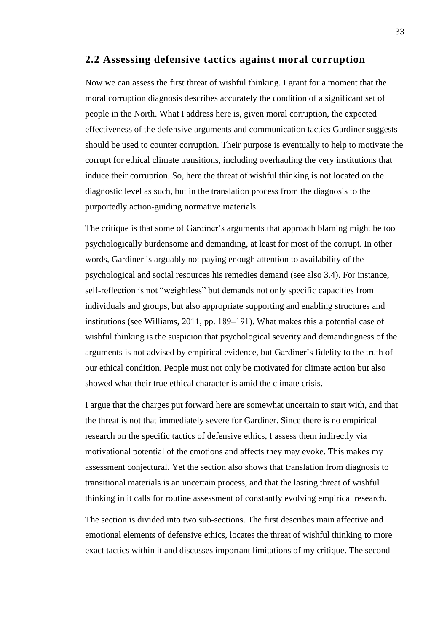### <span id="page-35-0"></span>**2.2 Assessing defensive tactics against moral corruption**

Now we can assess the first threat of wishful thinking. I grant for a moment that the moral corruption diagnosis describes accurately the condition of a significant set of people in the North. What I address here is, given moral corruption, the expected effectiveness of the defensive arguments and communication tactics Gardiner suggests should be used to counter corruption. Their purpose is eventually to help to motivate the corrupt for ethical climate transitions, including overhauling the very institutions that induce their corruption. So, here the threat of wishful thinking is not located on the diagnostic level as such, but in the translation process from the diagnosis to the purportedly action-guiding normative materials.

The critique is that some of Gardiner's arguments that approach blaming might be too psychologically burdensome and demanding, at least for most of the corrupt. In other words, Gardiner is arguably not paying enough attention to availability of the psychological and social resources his remedies demand (see also 3.4). For instance, self-reflection is not "weightless" but demands not only specific capacities from individuals and groups, but also appropriate supporting and enabling structures and institutions (see Williams, 2011, pp. 189–191). What makes this a potential case of wishful thinking is the suspicion that psychological severity and demandingness of the arguments is not advised by empirical evidence, but Gardiner's fidelity to the truth of our ethical condition. People must not only be motivated for climate action but also showed what their true ethical character is amid the climate crisis.

I argue that the charges put forward here are somewhat uncertain to start with, and that the threat is not that immediately severe for Gardiner. Since there is no empirical research on the specific tactics of defensive ethics, I assess them indirectly via motivational potential of the emotions and affects they may evoke. This makes my assessment conjectural. Yet the section also shows that translation from diagnosis to transitional materials is an uncertain process, and that the lasting threat of wishful thinking in it calls for routine assessment of constantly evolving empirical research.

The section is divided into two sub-sections. The first describes main affective and emotional elements of defensive ethics, locates the threat of wishful thinking to more exact tactics within it and discusses important limitations of my critique. The second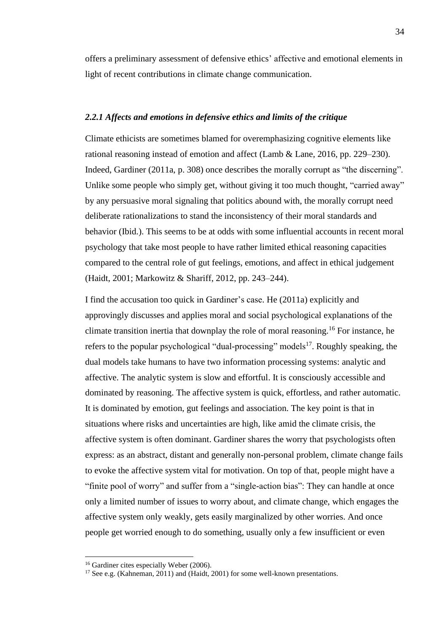offers a preliminary assessment of defensive ethics' affective and emotional elements in light of recent contributions in climate change communication.

#### *2.2.1 Affects and emotions in defensive ethics and limits of the critique*

Climate ethicists are sometimes blamed for overemphasizing cognitive elements like rational reasoning instead of emotion and affect (Lamb & Lane, 2016, pp. 229–230). Indeed, Gardiner (2011a, p. 308) once describes the morally corrupt as "the discerning". Unlike some people who simply get, without giving it too much thought, "carried away" by any persuasive moral signaling that politics abound with, the morally corrupt need deliberate rationalizations to stand the inconsistency of their moral standards and behavior (Ibid.). This seems to be at odds with some influential accounts in recent moral psychology that take most people to have rather limited ethical reasoning capacities compared to the central role of gut feelings, emotions, and affect in ethical judgement (Haidt, 2001; Markowitz & Shariff, 2012, pp. 243–244).

I find the accusation too quick in Gardiner's case. He (2011a) explicitly and approvingly discusses and applies moral and social psychological explanations of the climate transition inertia that downplay the role of moral reasoning.<sup>16</sup> For instance, he refers to the popular psychological "dual-processing" models<sup>17</sup>. Roughly speaking, the dual models take humans to have two information processing systems: analytic and affective. The analytic system is slow and effortful. It is consciously accessible and dominated by reasoning. The affective system is quick, effortless, and rather automatic. It is dominated by emotion, gut feelings and association. The key point is that in situations where risks and uncertainties are high, like amid the climate crisis, the affective system is often dominant. Gardiner shares the worry that psychologists often express: as an abstract, distant and generally non-personal problem, climate change fails to evoke the affective system vital for motivation. On top of that, people might have a "finite pool of worry" and suffer from a "single-action bias": They can handle at once only a limited number of issues to worry about, and climate change, which engages the affective system only weakly, gets easily marginalized by other worries. And once people get worried enough to do something, usually only a few insufficient or even

<sup>&</sup>lt;sup>16</sup> Gardiner cites especially Weber (2006).

<sup>&</sup>lt;sup>17</sup> See e.g. (Kahneman, 2011) and (Haidt, 2001) for some well-known presentations.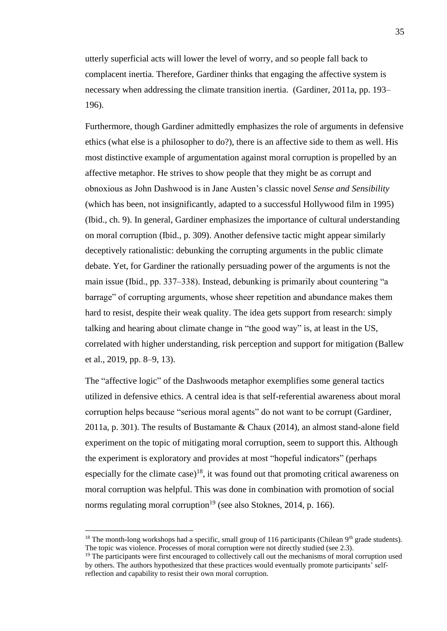utterly superficial acts will lower the level of worry, and so people fall back to complacent inertia. Therefore, Gardiner thinks that engaging the affective system is necessary when addressing the climate transition inertia. (Gardiner, 2011a, pp. 193– 196).

Furthermore, though Gardiner admittedly emphasizes the role of arguments in defensive ethics (what else is a philosopher to do?), there is an affective side to them as well. His most distinctive example of argumentation against moral corruption is propelled by an affective metaphor. He strives to show people that they might be as corrupt and obnoxious as John Dashwood is in Jane Austen's classic novel *Sense and Sensibility* (which has been, not insignificantly, adapted to a successful Hollywood film in 1995) (Ibid., ch. 9). In general, Gardiner emphasizes the importance of cultural understanding on moral corruption (Ibid., p. 309). Another defensive tactic might appear similarly deceptively rationalistic: debunking the corrupting arguments in the public climate debate. Yet, for Gardiner the rationally persuading power of the arguments is not the main issue (Ibid., pp. 337–338). Instead, debunking is primarily about countering "a barrage" of corrupting arguments, whose sheer repetition and abundance makes them hard to resist, despite their weak quality. The idea gets support from research: simply talking and hearing about climate change in "the good way" is, at least in the US, correlated with higher understanding, risk perception and support for mitigation (Ballew et al., 2019, pp. 8–9, 13).

The "affective logic" of the Dashwoods metaphor exemplifies some general tactics utilized in defensive ethics. A central idea is that self-referential awareness about moral corruption helps because "serious moral agents" do not want to be corrupt (Gardiner, 2011a, p. 301). The results of Bustamante & Chaux (2014), an almost stand-alone field experiment on the topic of mitigating moral corruption, seem to support this. Although the experiment is exploratory and provides at most "hopeful indicators" (perhaps especially for the climate case)<sup>18</sup>, it was found out that promoting critical awareness on moral corruption was helpful. This was done in combination with promotion of social norms regulating moral corruption<sup>19</sup> (see also Stoknes, 2014, p. 166).

<sup>&</sup>lt;sup>18</sup> The month-long workshops had a specific, small group of 116 participants (Chilean 9<sup>th</sup> grade students). The topic was violence. Processes of moral corruption were not directly studied (see 2.3).

<sup>&</sup>lt;sup>19</sup> The participants were first encouraged to collectively call out the mechanisms of moral corruption used by others. The authors hypothesized that these practices would eventually promote participants' selfreflection and capability to resist their own moral corruption.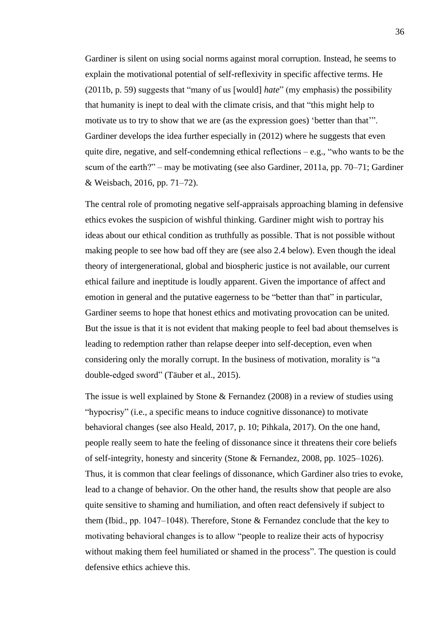Gardiner is silent on using social norms against moral corruption. Instead, he seems to explain the motivational potential of self-reflexivity in specific affective terms. He (2011b, p. 59) suggests that "many of us [would] *hate*" (my emphasis) the possibility that humanity is inept to deal with the climate crisis, and that "this might help to motivate us to try to show that we are (as the expression goes) 'better than that'". Gardiner develops the idea further especially in (2012) where he suggests that even quite dire, negative, and self-condemning ethical reflections  $-e.g.,$  "who wants to be the scum of the earth?" – may be motivating (see also Gardiner, 2011a, pp. 70–71; Gardiner & Weisbach, 2016, pp. 71–72).

The central role of promoting negative self-appraisals approaching blaming in defensive ethics evokes the suspicion of wishful thinking. Gardiner might wish to portray his ideas about our ethical condition as truthfully as possible. That is not possible without making people to see how bad off they are (see also 2.4 below). Even though the ideal theory of intergenerational, global and biospheric justice is not available, our current ethical failure and ineptitude is loudly apparent. Given the importance of affect and emotion in general and the putative eagerness to be "better than that" in particular, Gardiner seems to hope that honest ethics and motivating provocation can be united. But the issue is that it is not evident that making people to feel bad about themselves is leading to redemption rather than relapse deeper into self-deception, even when considering only the morally corrupt. In the business of motivation, morality is "a double-edged sword" (Täuber et al., 2015).

The issue is well explained by Stone & Fernandez (2008) in a review of studies using "hypocrisy" (i.e., a specific means to induce cognitive dissonance) to motivate behavioral changes (see also Heald, 2017, p. 10; Pihkala, 2017). On the one hand, people really seem to hate the feeling of dissonance since it threatens their core beliefs of self-integrity, honesty and sincerity (Stone & Fernandez, 2008, pp. 1025–1026). Thus, it is common that clear feelings of dissonance, which Gardiner also tries to evoke, lead to a change of behavior. On the other hand, the results show that people are also quite sensitive to shaming and humiliation, and often react defensively if subject to them (Ibid., pp. 1047–1048). Therefore, Stone  $&$  Fernandez conclude that the key to motivating behavioral changes is to allow "people to realize their acts of hypocrisy without making them feel humiliated or shamed in the process". The question is could defensive ethics achieve this.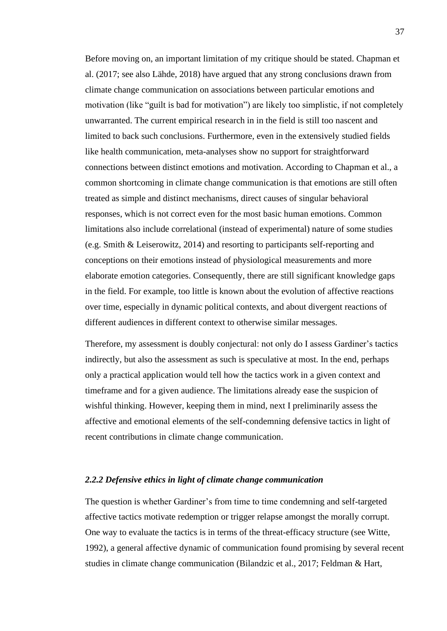Before moving on, an important limitation of my critique should be stated. Chapman et al. (2017; see also Lähde, 2018) have argued that any strong conclusions drawn from climate change communication on associations between particular emotions and motivation (like "guilt is bad for motivation") are likely too simplistic, if not completely unwarranted. The current empirical research in in the field is still too nascent and limited to back such conclusions. Furthermore, even in the extensively studied fields like health communication, meta-analyses show no support for straightforward connections between distinct emotions and motivation. According to Chapman et al., a common shortcoming in climate change communication is that emotions are still often treated as simple and distinct mechanisms, direct causes of singular behavioral responses, which is not correct even for the most basic human emotions. Common limitations also include correlational (instead of experimental) nature of some studies (e.g. Smith & Leiserowitz, 2014) and resorting to participants self-reporting and conceptions on their emotions instead of physiological measurements and more elaborate emotion categories. Consequently, there are still significant knowledge gaps in the field. For example, too little is known about the evolution of affective reactions over time, especially in dynamic political contexts, and about divergent reactions of different audiences in different context to otherwise similar messages.

Therefore, my assessment is doubly conjectural: not only do I assess Gardiner's tactics indirectly, but also the assessment as such is speculative at most. In the end, perhaps only a practical application would tell how the tactics work in a given context and timeframe and for a given audience. The limitations already ease the suspicion of wishful thinking. However, keeping them in mind, next I preliminarily assess the affective and emotional elements of the self-condemning defensive tactics in light of recent contributions in climate change communication.

### *2.2.2 Defensive ethics in light of climate change communication*

The question is whether Gardiner's from time to time condemning and self-targeted affective tactics motivate redemption or trigger relapse amongst the morally corrupt. One way to evaluate the tactics is in terms of the threat-efficacy structure (see Witte, 1992), a general affective dynamic of communication found promising by several recent studies in climate change communication (Bilandzic et al., 2017; Feldman & Hart,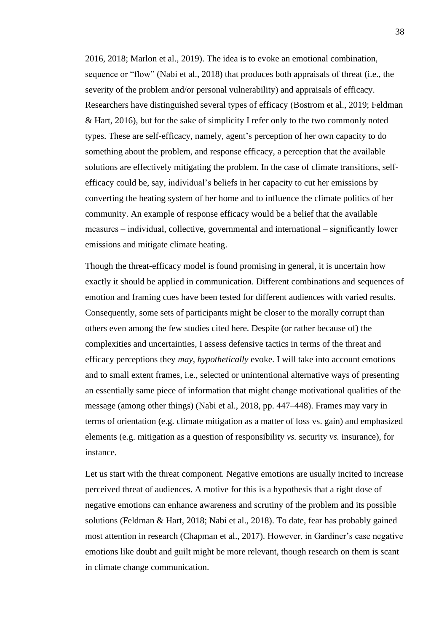2016, 2018; Marlon et al., 2019). The idea is to evoke an emotional combination, sequence or "flow" (Nabi et al., 2018) that produces both appraisals of threat (i.e., the severity of the problem and/or personal vulnerability) and appraisals of efficacy. Researchers have distinguished several types of efficacy (Bostrom et al., 2019; Feldman & Hart, 2016), but for the sake of simplicity I refer only to the two commonly noted types. These are self-efficacy, namely, agent's perception of her own capacity to do something about the problem, and response efficacy, a perception that the available solutions are effectively mitigating the problem. In the case of climate transitions, selfefficacy could be, say, individual's beliefs in her capacity to cut her emissions by converting the heating system of her home and to influence the climate politics of her community. An example of response efficacy would be a belief that the available measures – individual, collective, governmental and international – significantly lower emissions and mitigate climate heating.

Though the threat-efficacy model is found promising in general, it is uncertain how exactly it should be applied in communication. Different combinations and sequences of emotion and framing cues have been tested for different audiences with varied results. Consequently, some sets of participants might be closer to the morally corrupt than others even among the few studies cited here. Despite (or rather because of) the complexities and uncertainties, I assess defensive tactics in terms of the threat and efficacy perceptions they *may, hypothetically* evoke. I will take into account emotions and to small extent frames, i.e., selected or unintentional alternative ways of presenting an essentially same piece of information that might change motivational qualities of the message (among other things) (Nabi et al., 2018, pp. 447–448). Frames may vary in terms of orientation (e.g. climate mitigation as a matter of loss vs. gain) and emphasized elements (e.g. mitigation as a question of responsibility *vs.* security *vs.* insurance), for instance.

Let us start with the threat component. Negative emotions are usually incited to increase perceived threat of audiences. A motive for this is a hypothesis that a right dose of negative emotions can enhance awareness and scrutiny of the problem and its possible solutions (Feldman & Hart, 2018; Nabi et al., 2018). To date, fear has probably gained most attention in research (Chapman et al., 2017). However, in Gardiner's case negative emotions like doubt and guilt might be more relevant, though research on them is scant in climate change communication.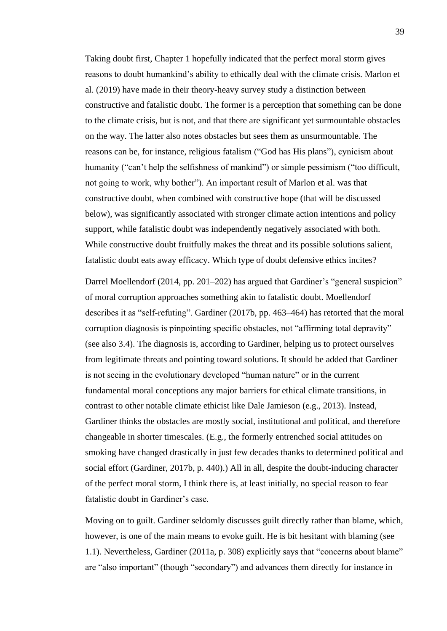Taking doubt first, Chapter 1 hopefully indicated that the perfect moral storm gives reasons to doubt humankind's ability to ethically deal with the climate crisis. Marlon et al. (2019) have made in their theory-heavy survey study a distinction between constructive and fatalistic doubt. The former is a perception that something can be done to the climate crisis, but is not, and that there are significant yet surmountable obstacles on the way. The latter also notes obstacles but sees them as unsurmountable. The reasons can be, for instance, religious fatalism ("God has His plans"), cynicism about humanity ("can't help the selfishness of mankind") or simple pessimism ("too difficult, not going to work, why bother"). An important result of Marlon et al. was that constructive doubt, when combined with constructive hope (that will be discussed below), was significantly associated with stronger climate action intentions and policy support, while fatalistic doubt was independently negatively associated with both. While constructive doubt fruitfully makes the threat and its possible solutions salient, fatalistic doubt eats away efficacy. Which type of doubt defensive ethics incites?

Darrel Moellendorf (2014, pp. 201–202) has argued that Gardiner's "general suspicion" of moral corruption approaches something akin to fatalistic doubt. Moellendorf describes it as "self-refuting". Gardiner (2017b, pp. 463–464) has retorted that the moral corruption diagnosis is pinpointing specific obstacles, not "affirming total depravity" (see also 3.4). The diagnosis is, according to Gardiner, helping us to protect ourselves from legitimate threats and pointing toward solutions. It should be added that Gardiner is not seeing in the evolutionary developed "human nature" or in the current fundamental moral conceptions any major barriers for ethical climate transitions, in contrast to other notable climate ethicist like Dale Jamieson (e.g., 2013). Instead, Gardiner thinks the obstacles are mostly social, institutional and political, and therefore changeable in shorter timescales. (E.g., the formerly entrenched social attitudes on smoking have changed drastically in just few decades thanks to determined political and social effort (Gardiner, 2017b, p. 440).) All in all, despite the doubt-inducing character of the perfect moral storm, I think there is, at least initially, no special reason to fear fatalistic doubt in Gardiner's case.

Moving on to guilt. Gardiner seldomly discusses guilt directly rather than blame, which, however, is one of the main means to evoke guilt. He is bit hesitant with blaming (see 1.1). Nevertheless, Gardiner (2011a, p. 308) explicitly says that "concerns about blame" are "also important" (though "secondary") and advances them directly for instance in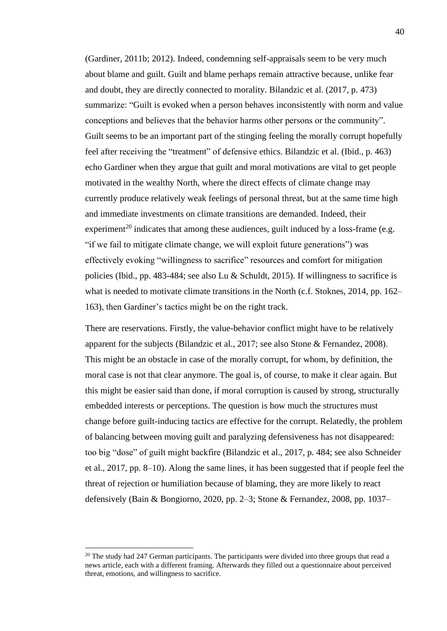(Gardiner, 2011b; 2012). Indeed, condemning self-appraisals seem to be very much about blame and guilt. Guilt and blame perhaps remain attractive because, unlike fear and doubt, they are directly connected to morality. Bilandzic et al. (2017, p. 473) summarize: "Guilt is evoked when a person behaves inconsistently with norm and value conceptions and believes that the behavior harms other persons or the community". Guilt seems to be an important part of the stinging feeling the morally corrupt hopefully feel after receiving the "treatment" of defensive ethics. Bilandzic et al. (Ibid., p. 463) echo Gardiner when they argue that guilt and moral motivations are vital to get people motivated in the wealthy North, where the direct effects of climate change may currently produce relatively weak feelings of personal threat, but at the same time high and immediate investments on climate transitions are demanded. Indeed, their experiment<sup>20</sup> indicates that among these audiences, guilt induced by a loss-frame (e.g. "if we fail to mitigate climate change, we will exploit future generations") was effectively evoking "willingness to sacrifice" resources and comfort for mitigation policies (Ibid., pp. 483-484; see also Lu & Schuldt, 2015). If willingness to sacrifice is what is needed to motivate climate transitions in the North (c.f. Stoknes, 2014, pp. 162– 163), then Gardiner's tactics might be on the right track.

There are reservations. Firstly, the value-behavior conflict might have to be relatively apparent for the subjects (Bilandzic et al., 2017; see also Stone & Fernandez, 2008). This might be an obstacle in case of the morally corrupt, for whom, by definition, the moral case is not that clear anymore. The goal is, of course, to make it clear again. But this might be easier said than done, if moral corruption is caused by strong, structurally embedded interests or perceptions. The question is how much the structures must change before guilt-inducing tactics are effective for the corrupt. Relatedly, the problem of balancing between moving guilt and paralyzing defensiveness has not disappeared: too big "dose" of guilt might backfire (Bilandzic et al., 2017, p. 484; see also Schneider et al., 2017, pp. 8–10). Along the same lines, it has been suggested that if people feel the threat of rejection or humiliation because of blaming, they are more likely to react defensively (Bain & Bongiorno, 2020, pp. 2–3; Stone & Fernandez, 2008, pp. 1037–

 $20$  The study had 247 German participants. The participants were divided into three groups that read a news article, each with a different framing. Afterwards they filled out a questionnaire about perceived threat, emotions, and willingness to sacrifice.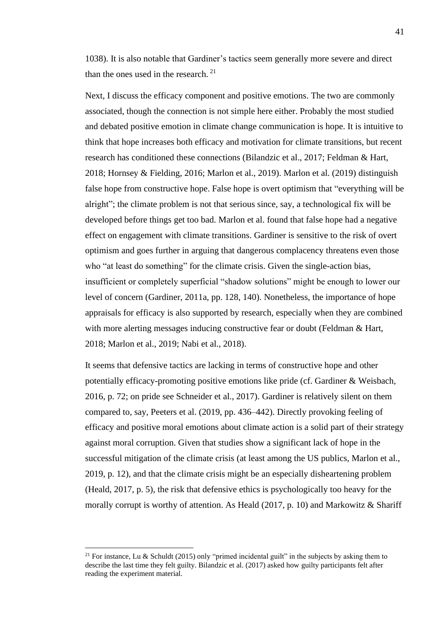1038). It is also notable that Gardiner's tactics seem generally more severe and direct than the ones used in the research.  $21$ 

Next, I discuss the efficacy component and positive emotions. The two are commonly associated, though the connection is not simple here either. Probably the most studied and debated positive emotion in climate change communication is hope. It is intuitive to think that hope increases both efficacy and motivation for climate transitions, but recent research has conditioned these connections (Bilandzic et al., 2017; Feldman & Hart, 2018; Hornsey & Fielding, 2016; Marlon et al., 2019). Marlon et al. (2019) distinguish false hope from constructive hope. False hope is overt optimism that "everything will be alright"; the climate problem is not that serious since, say, a technological fix will be developed before things get too bad. Marlon et al. found that false hope had a negative effect on engagement with climate transitions. Gardiner is sensitive to the risk of overt optimism and goes further in arguing that dangerous complacency threatens even those who "at least do something" for the climate crisis. Given the single-action bias, insufficient or completely superficial "shadow solutions" might be enough to lower our level of concern (Gardiner, 2011a, pp. 128, 140). Nonetheless, the importance of hope appraisals for efficacy is also supported by research, especially when they are combined with more alerting messages inducing constructive fear or doubt (Feldman & Hart, 2018; Marlon et al., 2019; Nabi et al., 2018).

It seems that defensive tactics are lacking in terms of constructive hope and other potentially efficacy-promoting positive emotions like pride (cf. Gardiner & Weisbach, 2016, p. 72; on pride see Schneider et al., 2017). Gardiner is relatively silent on them compared to, say, Peeters et al. (2019, pp. 436–442). Directly provoking feeling of efficacy and positive moral emotions about climate action is a solid part of their strategy against moral corruption. Given that studies show a significant lack of hope in the successful mitigation of the climate crisis (at least among the US publics, Marlon et al., 2019, p. 12), and that the climate crisis might be an especially disheartening problem (Heald, 2017, p. 5), the risk that defensive ethics is psychologically too heavy for the morally corrupt is worthy of attention. As Heald  $(2017, p. 10)$  and Markowitz & Shariff

<sup>&</sup>lt;sup>21</sup> For instance, Lu & Schuldt (2015) only "primed incidental guilt" in the subjects by asking them to describe the last time they felt guilty. Bilandzic et al. (2017) asked how guilty participants felt after reading the experiment material.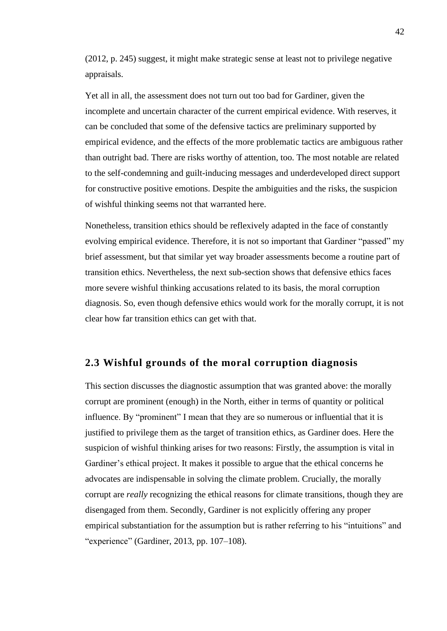(2012, p. 245) suggest, it might make strategic sense at least not to privilege negative appraisals.

Yet all in all, the assessment does not turn out too bad for Gardiner, given the incomplete and uncertain character of the current empirical evidence. With reserves, it can be concluded that some of the defensive tactics are preliminary supported by empirical evidence, and the effects of the more problematic tactics are ambiguous rather than outright bad. There are risks worthy of attention, too. The most notable are related to the self-condemning and guilt-inducing messages and underdeveloped direct support for constructive positive emotions. Despite the ambiguities and the risks, the suspicion of wishful thinking seems not that warranted here.

Nonetheless, transition ethics should be reflexively adapted in the face of constantly evolving empirical evidence. Therefore, it is not so important that Gardiner "passed" my brief assessment, but that similar yet way broader assessments become a routine part of transition ethics. Nevertheless, the next sub-section shows that defensive ethics faces more severe wishful thinking accusations related to its basis, the moral corruption diagnosis. So, even though defensive ethics would work for the morally corrupt, it is not clear how far transition ethics can get with that.

## **2.3 Wishful grounds of the moral corruption diagnosis**

This section discusses the diagnostic assumption that was granted above: the morally corrupt are prominent (enough) in the North, either in terms of quantity or political influence. By "prominent" I mean that they are so numerous or influential that it is justified to privilege them as the target of transition ethics, as Gardiner does. Here the suspicion of wishful thinking arises for two reasons: Firstly, the assumption is vital in Gardiner's ethical project. It makes it possible to argue that the ethical concerns he advocates are indispensable in solving the climate problem. Crucially, the morally corrupt are *really* recognizing the ethical reasons for climate transitions, though they are disengaged from them. Secondly, Gardiner is not explicitly offering any proper empirical substantiation for the assumption but is rather referring to his "intuitions" and "experience" (Gardiner, 2013, pp. 107–108).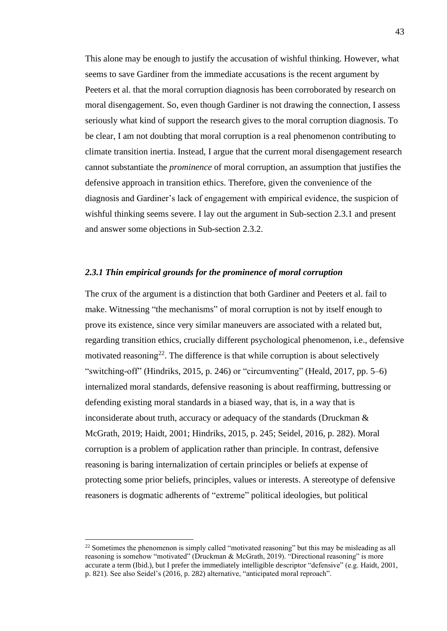This alone may be enough to justify the accusation of wishful thinking. However, what seems to save Gardiner from the immediate accusations is the recent argument by Peeters et al. that the moral corruption diagnosis has been corroborated by research on moral disengagement. So, even though Gardiner is not drawing the connection, I assess seriously what kind of support the research gives to the moral corruption diagnosis. To be clear, I am not doubting that moral corruption is a real phenomenon contributing to climate transition inertia. Instead, I argue that the current moral disengagement research cannot substantiate the *prominence* of moral corruption, an assumption that justifies the defensive approach in transition ethics. Therefore, given the convenience of the diagnosis and Gardiner's lack of engagement with empirical evidence, the suspicion of wishful thinking seems severe. I lay out the argument in Sub-section 2.3.1 and present and answer some objections in Sub-section 2.3.2.

#### *2.3.1 Thin empirical grounds for the prominence of moral corruption*

The crux of the argument is a distinction that both Gardiner and Peeters et al. fail to make. Witnessing "the mechanisms" of moral corruption is not by itself enough to prove its existence, since very similar maneuvers are associated with a related but, regarding transition ethics, crucially different psychological phenomenon, i.e., defensive motivated reasoning<sup>22</sup>. The difference is that while corruption is about selectively "switching-off" (Hindriks, 2015, p. 246) or "circumventing" (Heald, 2017, pp. 5–6) internalized moral standards, defensive reasoning is about reaffirming, buttressing or defending existing moral standards in a biased way, that is, in a way that is inconsiderate about truth, accuracy or adequacy of the standards (Druckman & McGrath, 2019; Haidt, 2001; Hindriks, 2015, p. 245; Seidel, 2016, p. 282). Moral corruption is a problem of application rather than principle. In contrast, defensive reasoning is baring internalization of certain principles or beliefs at expense of protecting some prior beliefs, principles, values or interests. A stereotype of defensive reasoners is dogmatic adherents of "extreme" political ideologies, but political

<sup>&</sup>lt;sup>22</sup> Sometimes the phenomenon is simply called "motivated reasoning" but this may be misleading as all reasoning is somehow "motivated" (Druckman & McGrath, 2019). "Directional reasoning" is more accurate a term (Ibid.), but I prefer the immediately intelligible descriptor "defensive" (e.g. Haidt, 2001, p. 821). See also Seidel's (2016, p. 282) alternative, "anticipated moral reproach".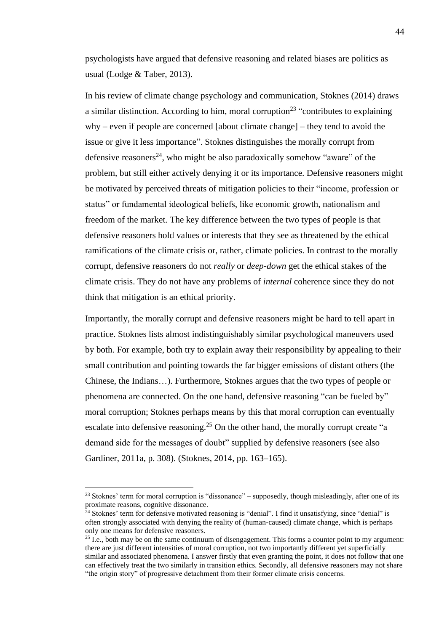psychologists have argued that defensive reasoning and related biases are politics as usual (Lodge & Taber, 2013).

In his review of climate change psychology and communication, Stoknes (2014) draws a similar distinction. According to him, moral corruption<sup>23</sup> "contributes to explaining why – even if people are concerned [about climate change] – they tend to avoid the issue or give it less importance". Stoknes distinguishes the morally corrupt from defensive reasoners<sup>24</sup>, who might be also paradoxically somehow "aware" of the problem, but still either actively denying it or its importance. Defensive reasoners might be motivated by perceived threats of mitigation policies to their "income, profession or status" or fundamental ideological beliefs, like economic growth, nationalism and freedom of the market. The key difference between the two types of people is that defensive reasoners hold values or interests that they see as threatened by the ethical ramifications of the climate crisis or, rather, climate policies. In contrast to the morally corrupt, defensive reasoners do not *really* or *deep-down* get the ethical stakes of the climate crisis. They do not have any problems of *internal* coherence since they do not think that mitigation is an ethical priority.

Importantly, the morally corrupt and defensive reasoners might be hard to tell apart in practice. Stoknes lists almost indistinguishably similar psychological maneuvers used by both. For example, both try to explain away their responsibility by appealing to their small contribution and pointing towards the far bigger emissions of distant others (the Chinese, the Indians…). Furthermore, Stoknes argues that the two types of people or phenomena are connected. On the one hand, defensive reasoning "can be fueled by" moral corruption; Stoknes perhaps means by this that moral corruption can eventually escalate into defensive reasoning.<sup>25</sup> On the other hand, the morally corrupt create "a demand side for the messages of doubt" supplied by defensive reasoners (see also Gardiner, 2011a, p. 308). (Stoknes, 2014, pp. 163–165).

<sup>&</sup>lt;sup>23</sup> Stoknes' term for moral corruption is "dissonance" – supposedly, though misleadingly, after one of its proximate reasons, cognitive dissonance.

 $^{24}$  Stoknes' term for defensive motivated reasoning is "denial". I find it unsatisfying, since "denial" is often strongly associated with denying the reality of (human-caused) climate change, which is perhaps only one means for defensive reasoners.

 $25$  I.e., both may be on the same continuum of disengagement. This forms a counter point to my argument: there are just different intensities of moral corruption, not two importantly different yet superficially similar and associated phenomena. I answer firstly that even granting the point, it does not follow that one can effectively treat the two similarly in transition ethics. Secondly, all defensive reasoners may not share "the origin story" of progressive detachment from their former climate crisis concerns.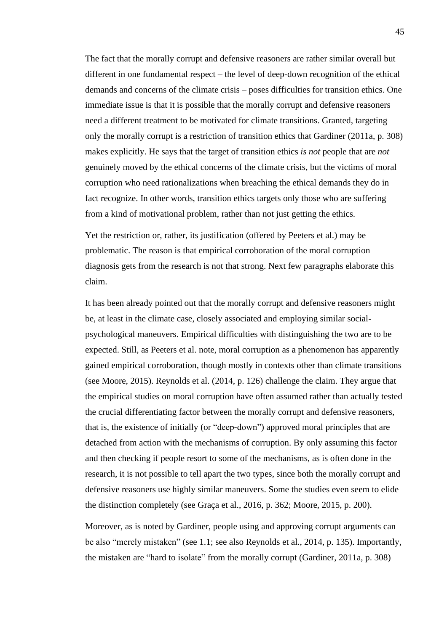The fact that the morally corrupt and defensive reasoners are rather similar overall but different in one fundamental respect – the level of deep-down recognition of the ethical demands and concerns of the climate crisis – poses difficulties for transition ethics. One immediate issue is that it is possible that the morally corrupt and defensive reasoners need a different treatment to be motivated for climate transitions. Granted, targeting only the morally corrupt is a restriction of transition ethics that Gardiner (2011a, p. 308) makes explicitly. He says that the target of transition ethics *is not* people that are *not* genuinely moved by the ethical concerns of the climate crisis, but the victims of moral corruption who need rationalizations when breaching the ethical demands they do in fact recognize. In other words, transition ethics targets only those who are suffering from a kind of motivational problem, rather than not just getting the ethics.

Yet the restriction or, rather, its justification (offered by Peeters et al.) may be problematic. The reason is that empirical corroboration of the moral corruption diagnosis gets from the research is not that strong. Next few paragraphs elaborate this claim.

It has been already pointed out that the morally corrupt and defensive reasoners might be, at least in the climate case, closely associated and employing similar socialpsychological maneuvers. Empirical difficulties with distinguishing the two are to be expected. Still, as Peeters et al. note, moral corruption as a phenomenon has apparently gained empirical corroboration, though mostly in contexts other than climate transitions (see Moore, 2015). Reynolds et al. (2014, p. 126) challenge the claim. They argue that the empirical studies on moral corruption have often assumed rather than actually tested the crucial differentiating factor between the morally corrupt and defensive reasoners, that is, the existence of initially (or "deep-down") approved moral principles that are detached from action with the mechanisms of corruption. By only assuming this factor and then checking if people resort to some of the mechanisms, as is often done in the research, it is not possible to tell apart the two types, since both the morally corrupt and defensive reasoners use highly similar maneuvers. Some the studies even seem to elide the distinction completely (see Graça et al., 2016, p. 362; Moore, 2015, p. 200).

Moreover, as is noted by Gardiner, people using and approving corrupt arguments can be also "merely mistaken" (see 1.1; see also Reynolds et al., 2014, p. 135). Importantly, the mistaken are "hard to isolate" from the morally corrupt (Gardiner, 2011a, p. 308)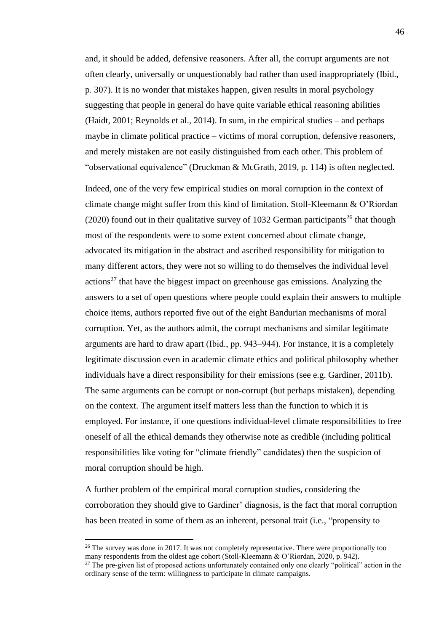and, it should be added, defensive reasoners. After all, the corrupt arguments are not often clearly, universally or unquestionably bad rather than used inappropriately (Ibid., p. 307). It is no wonder that mistakes happen, given results in moral psychology suggesting that people in general do have quite variable ethical reasoning abilities (Haidt,  $2001$ ; Reynolds et al.,  $2014$ ). In sum, in the empirical studies – and perhaps maybe in climate political practice – victims of moral corruption, defensive reasoners, and merely mistaken are not easily distinguished from each other. This problem of "observational equivalence" (Druckman & McGrath, 2019, p. 114) is often neglected.

Indeed, one of the very few empirical studies on moral corruption in the context of climate change might suffer from this kind of limitation. Stoll-Kleemann & O'Riordan (2020) found out in their qualitative survey of 1032 German participants<sup>26</sup> that though most of the respondents were to some extent concerned about climate change, advocated its mitigation in the abstract and ascribed responsibility for mitigation to many different actors, they were not so willing to do themselves the individual level actions<sup>27</sup> that have the biggest impact on greenhouse gas emissions. Analyzing the answers to a set of open questions where people could explain their answers to multiple choice items, authors reported five out of the eight Bandurian mechanisms of moral corruption. Yet, as the authors admit, the corrupt mechanisms and similar legitimate arguments are hard to draw apart (Ibid., pp. 943–944). For instance, it is a completely legitimate discussion even in academic climate ethics and political philosophy whether individuals have a direct responsibility for their emissions (see e.g. Gardiner, 2011b). The same arguments can be corrupt or non-corrupt (but perhaps mistaken), depending on the context. The argument itself matters less than the function to which it is employed. For instance, if one questions individual-level climate responsibilities to free oneself of all the ethical demands they otherwise note as credible (including political responsibilities like voting for "climate friendly" candidates) then the suspicion of moral corruption should be high.

A further problem of the empirical moral corruption studies, considering the corroboration they should give to Gardiner' diagnosis, is the fact that moral corruption has been treated in some of them as an inherent, personal trait (i.e., "propensity to

 $26$  The survey was done in 2017. It was not completely representative. There were proportionally too many respondents from the oldest age cohort (Stoll-Kleemann & O'Riordan, 2020, p. 942).

<sup>&</sup>lt;sup>27</sup> The pre-given list of proposed actions unfortunately contained only one clearly "political" action in the ordinary sense of the term: willingness to participate in climate campaigns.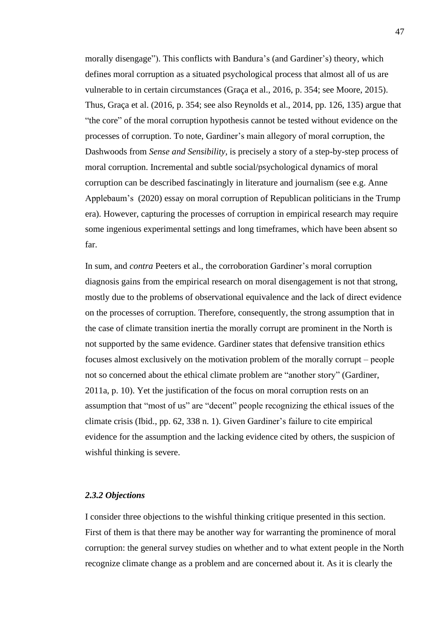morally disengage"). This conflicts with Bandura's (and Gardiner's) theory, which defines moral corruption as a situated psychological process that almost all of us are vulnerable to in certain circumstances (Graça et al., 2016, p. 354; see Moore, 2015). Thus, Graça et al. (2016, p. 354; see also Reynolds et al., 2014, pp. 126, 135) argue that "the core" of the moral corruption hypothesis cannot be tested without evidence on the processes of corruption. To note, Gardiner's main allegory of moral corruption, the Dashwoods from *Sense and Sensibility*, is precisely a story of a step-by-step process of moral corruption. Incremental and subtle social/psychological dynamics of moral corruption can be described fascinatingly in literature and journalism (see e.g. Anne Applebaum's (2020) essay on moral corruption of Republican politicians in the Trump era). However, capturing the processes of corruption in empirical research may require some ingenious experimental settings and long timeframes, which have been absent so far.

In sum, and *contra* Peeters et al., the corroboration Gardiner's moral corruption diagnosis gains from the empirical research on moral disengagement is not that strong, mostly due to the problems of observational equivalence and the lack of direct evidence on the processes of corruption. Therefore, consequently, the strong assumption that in the case of climate transition inertia the morally corrupt are prominent in the North is not supported by the same evidence. Gardiner states that defensive transition ethics focuses almost exclusively on the motivation problem of the morally corrupt ‒ people not so concerned about the ethical climate problem are "another story" (Gardiner, 2011a, p. 10). Yet the justification of the focus on moral corruption rests on an assumption that "most of us" are "decent" people recognizing the ethical issues of the climate crisis (Ibid., pp. 62, 338 n. 1). Given Gardiner's failure to cite empirical evidence for the assumption and the lacking evidence cited by others, the suspicion of wishful thinking is severe.

#### *2.3.2 Objections*

I consider three objections to the wishful thinking critique presented in this section. First of them is that there may be another way for warranting the prominence of moral corruption: the general survey studies on whether and to what extent people in the North recognize climate change as a problem and are concerned about it. As it is clearly the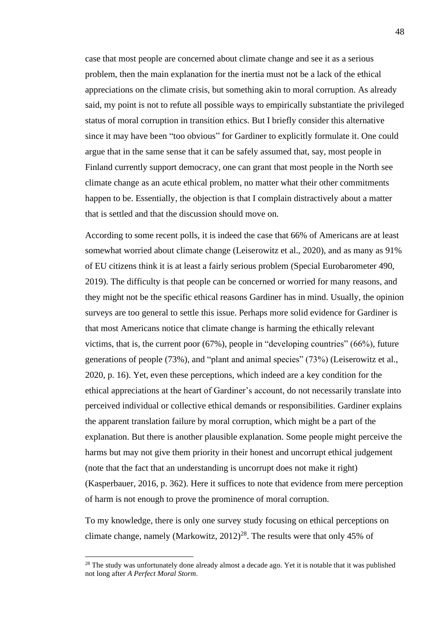case that most people are concerned about climate change and see it as a serious problem, then the main explanation for the inertia must not be a lack of the ethical appreciations on the climate crisis, but something akin to moral corruption. As already said, my point is not to refute all possible ways to empirically substantiate the privileged status of moral corruption in transition ethics. But I briefly consider this alternative since it may have been "too obvious" for Gardiner to explicitly formulate it. One could argue that in the same sense that it can be safely assumed that, say, most people in Finland currently support democracy, one can grant that most people in the North see climate change as an acute ethical problem, no matter what their other commitments happen to be. Essentially, the objection is that I complain distractively about a matter that is settled and that the discussion should move on.

According to some recent polls, it is indeed the case that 66% of Americans are at least somewhat worried about climate change (Leiserowitz et al., 2020), and as many as 91% of EU citizens think it is at least a fairly serious problem (Special Eurobarometer 490, 2019). The difficulty is that people can be concerned or worried for many reasons, and they might not be the specific ethical reasons Gardiner has in mind. Usually, the opinion surveys are too general to settle this issue. Perhaps more solid evidence for Gardiner is that most Americans notice that climate change is harming the ethically relevant victims, that is, the current poor (67%), people in "developing countries" (66%), future generations of people (73%), and "plant and animal species" (73%) (Leiserowitz et al., 2020, p. 16). Yet, even these perceptions, which indeed are a key condition for the ethical appreciations at the heart of Gardiner's account, do not necessarily translate into perceived individual or collective ethical demands or responsibilities. Gardiner explains the apparent translation failure by moral corruption, which might be a part of the explanation. But there is another plausible explanation. Some people might perceive the harms but may not give them priority in their honest and uncorrupt ethical judgement (note that the fact that an understanding is uncorrupt does not make it right) (Kasperbauer, 2016, p. 362). Here it suffices to note that evidence from mere perception of harm is not enough to prove the prominence of moral corruption.

To my knowledge, there is only one survey study focusing on ethical perceptions on climate change, namely (Markowitz,  $2012)^{28}$ . The results were that only 45% of

 $28$  The study was unfortunately done already almost a decade ago. Yet it is notable that it was published not long after *A Perfect Moral Storm*.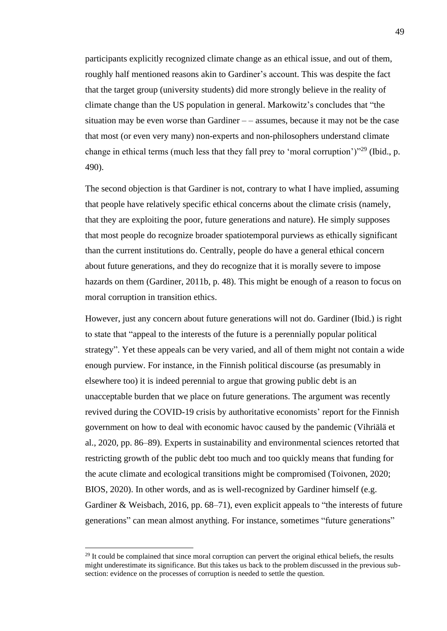participants explicitly recognized climate change as an ethical issue, and out of them, roughly half mentioned reasons akin to Gardiner's account. This was despite the fact that the target group (university students) did more strongly believe in the reality of climate change than the US population in general. Markowitz's concludes that "the situation may be even worse than Gardiner  $-$  – assumes, because it may not be the case that most (or even very many) non-experts and non-philosophers understand climate change in ethical terms (much less that they fall prey to 'moral corruption')"<sup>29</sup> (Ibid., p. 490).

The second objection is that Gardiner is not, contrary to what I have implied, assuming that people have relatively specific ethical concerns about the climate crisis (namely, that they are exploiting the poor, future generations and nature). He simply supposes that most people do recognize broader spatiotemporal purviews as ethically significant than the current institutions do. Centrally, people do have a general ethical concern about future generations, and they do recognize that it is morally severe to impose hazards on them (Gardiner, 2011b, p. 48). This might be enough of a reason to focus on moral corruption in transition ethics.

However, just any concern about future generations will not do. Gardiner (Ibid.) is right to state that "appeal to the interests of the future is a perennially popular political strategy". Yet these appeals can be very varied, and all of them might not contain a wide enough purview. For instance, in the Finnish political discourse (as presumably in elsewhere too) it is indeed perennial to argue that growing public debt is an unacceptable burden that we place on future generations. The argument was recently revived during the COVID-19 crisis by authoritative economists' report for the Finnish government on how to deal with economic havoc caused by the pandemic (Vihriälä et al., 2020, pp. 86–89). Experts in sustainability and environmental sciences retorted that restricting growth of the public debt too much and too quickly means that funding for the acute climate and ecological transitions might be compromised (Toivonen, 2020; BIOS, 2020). In other words, and as is well-recognized by Gardiner himself (e.g. Gardiner & Weisbach, 2016, pp. 68–71), even explicit appeals to "the interests of future generations" can mean almost anything. For instance, sometimes "future generations"

<sup>&</sup>lt;sup>29</sup> It could be complained that since moral corruption can pervert the original ethical beliefs, the results might underestimate its significance. But this takes us back to the problem discussed in the previous subsection: evidence on the processes of corruption is needed to settle the question.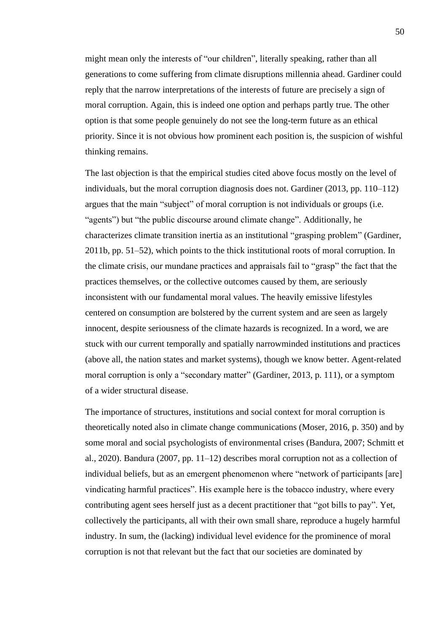might mean only the interests of "our children", literally speaking, rather than all generations to come suffering from climate disruptions millennia ahead. Gardiner could reply that the narrow interpretations of the interests of future are precisely a sign of moral corruption. Again, this is indeed one option and perhaps partly true. The other option is that some people genuinely do not see the long-term future as an ethical priority. Since it is not obvious how prominent each position is, the suspicion of wishful thinking remains.

The last objection is that the empirical studies cited above focus mostly on the level of individuals, but the moral corruption diagnosis does not. Gardiner (2013, pp. 110–112) argues that the main "subject" of moral corruption is not individuals or groups (i.e. "agents") but "the public discourse around climate change". Additionally, he characterizes climate transition inertia as an institutional "grasping problem" (Gardiner, 2011b, pp. 51–52), which points to the thick institutional roots of moral corruption. In the climate crisis, our mundane practices and appraisals fail to "grasp" the fact that the practices themselves, or the collective outcomes caused by them, are seriously inconsistent with our fundamental moral values. The heavily emissive lifestyles centered on consumption are bolstered by the current system and are seen as largely innocent, despite seriousness of the climate hazards is recognized. In a word, we are stuck with our current temporally and spatially narrowminded institutions and practices (above all, the nation states and market systems), though we know better. Agent-related moral corruption is only a "secondary matter" (Gardiner, 2013, p. 111), or a symptom of a wider structural disease.

The importance of structures, institutions and social context for moral corruption is theoretically noted also in climate change communications (Moser, 2016, p. 350) and by some moral and social psychologists of environmental crises (Bandura, 2007; Schmitt et al., 2020). Bandura (2007, pp. 11–12) describes moral corruption not as a collection of individual beliefs, but as an emergent phenomenon where "network of participants [are] vindicating harmful practices". His example here is the tobacco industry, where every contributing agent sees herself just as a decent practitioner that "got bills to pay". Yet, collectively the participants, all with their own small share, reproduce a hugely harmful industry. In sum, the (lacking) individual level evidence for the prominence of moral corruption is not that relevant but the fact that our societies are dominated by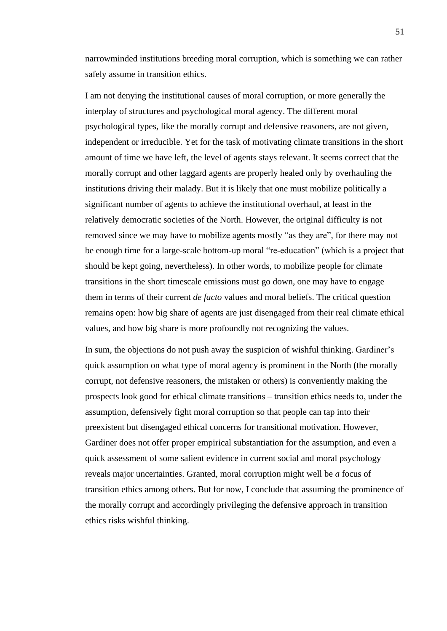narrowminded institutions breeding moral corruption, which is something we can rather safely assume in transition ethics.

I am not denying the institutional causes of moral corruption, or more generally the interplay of structures and psychological moral agency. The different moral psychological types, like the morally corrupt and defensive reasoners, are not given, independent or irreducible. Yet for the task of motivating climate transitions in the short amount of time we have left, the level of agents stays relevant. It seems correct that the morally corrupt and other laggard agents are properly healed only by overhauling the institutions driving their malady. But it is likely that one must mobilize politically a significant number of agents to achieve the institutional overhaul, at least in the relatively democratic societies of the North. However, the original difficulty is not removed since we may have to mobilize agents mostly "as they are", for there may not be enough time for a large-scale bottom-up moral "re-education" (which is a project that should be kept going, nevertheless). In other words, to mobilize people for climate transitions in the short timescale emissions must go down, one may have to engage them in terms of their current *de facto* values and moral beliefs. The critical question remains open: how big share of agents are just disengaged from their real climate ethical values, and how big share is more profoundly not recognizing the values.

In sum, the objections do not push away the suspicion of wishful thinking. Gardiner's quick assumption on what type of moral agency is prominent in the North (the morally corrupt, not defensive reasoners, the mistaken or others) is conveniently making the prospects look good for ethical climate transitions – transition ethics needs to, under the assumption, defensively fight moral corruption so that people can tap into their preexistent but disengaged ethical concerns for transitional motivation. However, Gardiner does not offer proper empirical substantiation for the assumption, and even a quick assessment of some salient evidence in current social and moral psychology reveals major uncertainties. Granted, moral corruption might well be *a* focus of transition ethics among others. But for now, I conclude that assuming the prominence of the morally corrupt and accordingly privileging the defensive approach in transition ethics risks wishful thinking.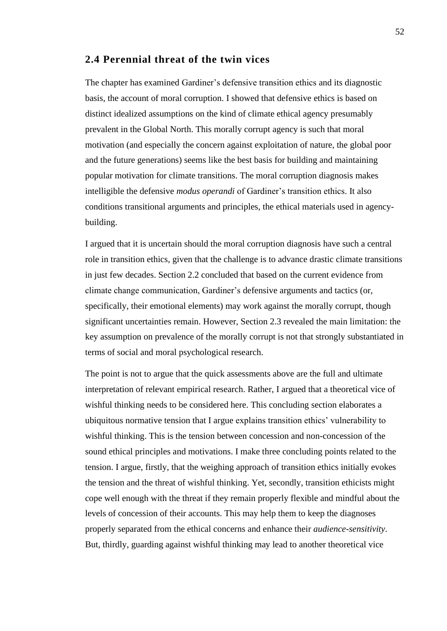## **2.4 Perennial threat of the twin vices**

The chapter has examined Gardiner's defensive transition ethics and its diagnostic basis, the account of moral corruption. I showed that defensive ethics is based on distinct idealized assumptions on the kind of climate ethical agency presumably prevalent in the Global North. This morally corrupt agency is such that moral motivation (and especially the concern against exploitation of nature, the global poor and the future generations) seems like the best basis for building and maintaining popular motivation for climate transitions. The moral corruption diagnosis makes intelligible the defensive *modus operandi* of Gardiner's transition ethics. It also conditions transitional arguments and principles, the ethical materials used in agencybuilding.

I argued that it is uncertain should the moral corruption diagnosis have such a central role in transition ethics, given that the challenge is to advance drastic climate transitions in just few decades. Section 2.2 concluded that based on the current evidence from climate change communication, Gardiner's defensive arguments and tactics (or, specifically, their emotional elements) may work against the morally corrupt, though significant uncertainties remain. However, Section 2.3 revealed the main limitation: the key assumption on prevalence of the morally corrupt is not that strongly substantiated in terms of social and moral psychological research.

The point is not to argue that the quick assessments above are the full and ultimate interpretation of relevant empirical research. Rather, I argued that a theoretical vice of wishful thinking needs to be considered here. This concluding section elaborates a ubiquitous normative tension that I argue explains transition ethics' vulnerability to wishful thinking. This is the tension between concession and non-concession of the sound ethical principles and motivations. I make three concluding points related to the tension. I argue, firstly, that the weighing approach of transition ethics initially evokes the tension and the threat of wishful thinking. Yet, secondly, transition ethicists might cope well enough with the threat if they remain properly flexible and mindful about the levels of concession of their accounts. This may help them to keep the diagnoses properly separated from the ethical concerns and enhance their *audience-sensitivity*. But, thirdly, guarding against wishful thinking may lead to another theoretical vice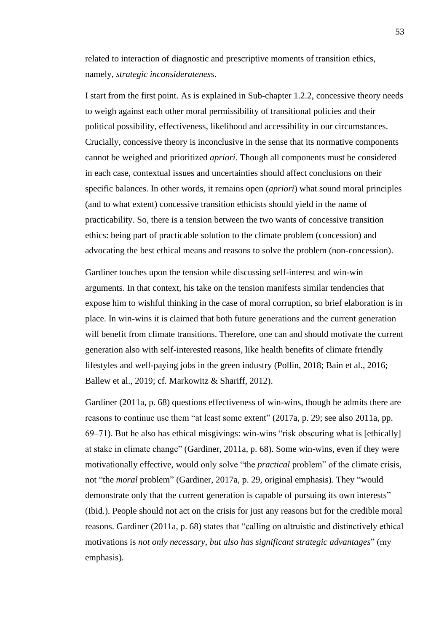related to interaction of diagnostic and prescriptive moments of transition ethics, namely, *strategic inconsiderateness*.

I start from the first point. As is explained in Sub-chapter 1.2.2, concessive theory needs to weigh against each other moral permissibility of transitional policies and their political possibility, effectiveness, likelihood and accessibility in our circumstances. Crucially, concessive theory is inconclusive in the sense that its normative components cannot be weighed and prioritized *apriori*. Though all components must be considered in each case, contextual issues and uncertainties should affect conclusions on their specific balances. In other words, it remains open (*apriori*) what sound moral principles (and to what extent) concessive transition ethicists should yield in the name of practicability. So, there is a tension between the two wants of concessive transition ethics: being part of practicable solution to the climate problem (concession) and advocating the best ethical means and reasons to solve the problem (non-concession).

Gardiner touches upon the tension while discussing self-interest and win-win arguments. In that context, his take on the tension manifests similar tendencies that expose him to wishful thinking in the case of moral corruption, so brief elaboration is in place. In win-wins it is claimed that both future generations and the current generation will benefit from climate transitions. Therefore, one can and should motivate the current generation also with self-interested reasons, like health benefits of climate friendly lifestyles and well-paying jobs in the green industry (Pollin, 2018; Bain et al., 2016; Ballew et al., 2019; cf. Markowitz & Shariff, 2012).

Gardiner (2011a, p. 68) questions effectiveness of win-wins, though he admits there are reasons to continue use them "at least some extent" (2017a, p. 29; see also 2011a, pp.  $69-71$ ). But he also has ethical misgivings: win-wins "risk obscuring what is [ethically] at stake in climate change" (Gardiner, 2011a, p. 68). Some win-wins, even if they were motivationally effective, would only solve "the *practical* problem" of the climate crisis, not "the *moral* problem" (Gardiner, 2017a, p. 29, original emphasis). They "would demonstrate only that the current generation is capable of pursuing its own interests" (Ibid.). People should not act on the crisis for just any reasons but for the credible moral reasons. Gardiner (2011a, p. 68) states that "calling on altruistic and distinctively ethical motivations is *not only necessary, but also has significant strategic advantages*" (my emphasis).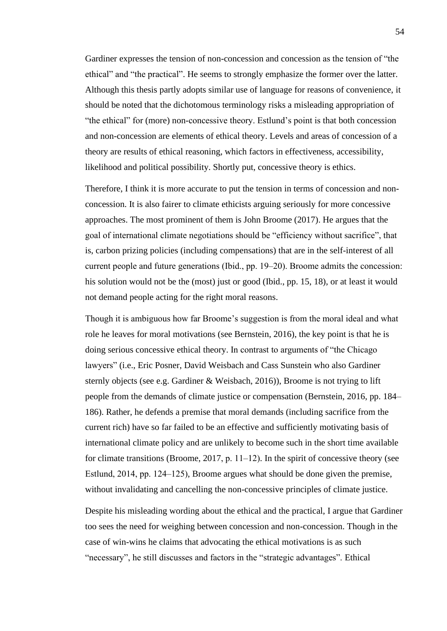Gardiner expresses the tension of non-concession and concession as the tension of "the ethical" and "the practical". He seems to strongly emphasize the former over the latter. Although this thesis partly adopts similar use of language for reasons of convenience, it should be noted that the dichotomous terminology risks a misleading appropriation of "the ethical" for (more) non-concessive theory. Estlund's point is that both concession and non-concession are elements of ethical theory. Levels and areas of concession of a theory are results of ethical reasoning, which factors in effectiveness, accessibility, likelihood and political possibility. Shortly put, concessive theory is ethics.

Therefore, I think it is more accurate to put the tension in terms of concession and nonconcession. It is also fairer to climate ethicists arguing seriously for more concessive approaches. The most prominent of them is John Broome (2017). He argues that the goal of international climate negotiations should be "efficiency without sacrifice", that is, carbon prizing policies (including compensations) that are in the self-interest of all current people and future generations (Ibid., pp. 19–20). Broome admits the concession: his solution would not be the (most) just or good (Ibid., pp. 15, 18), or at least it would not demand people acting for the right moral reasons.

Though it is ambiguous how far Broome's suggestion is from the moral ideal and what role he leaves for moral motivations (see Bernstein, 2016), the key point is that he is doing serious concessive ethical theory. In contrast to arguments of "the Chicago lawyers" (i.e., Eric Posner, David Weisbach and Cass Sunstein who also Gardiner sternly objects (see e.g. Gardiner & Weisbach, 2016)), Broome is not trying to lift people from the demands of climate justice or compensation (Bernstein, 2016, pp. 184– 186). Rather, he defends a premise that moral demands (including sacrifice from the current rich) have so far failed to be an effective and sufficiently motivating basis of international climate policy and are unlikely to become such in the short time available for climate transitions (Broome, 2017, p.  $11-12$ ). In the spirit of concessive theory (see Estlund, 2014, pp. 124–125), Broome argues what should be done given the premise, without invalidating and cancelling the non-concessive principles of climate justice.

Despite his misleading wording about the ethical and the practical, I argue that Gardiner too sees the need for weighing between concession and non-concession. Though in the case of win-wins he claims that advocating the ethical motivations is as such "necessary", he still discusses and factors in the "strategic advantages". Ethical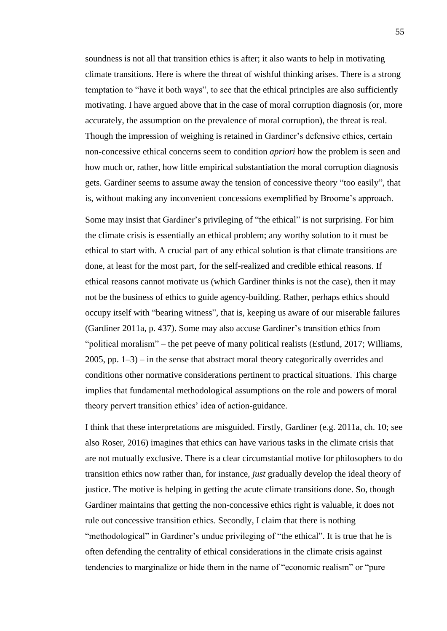soundness is not all that transition ethics is after; it also wants to help in motivating climate transitions. Here is where the threat of wishful thinking arises. There is a strong temptation to "have it both ways", to see that the ethical principles are also sufficiently motivating. I have argued above that in the case of moral corruption diagnosis (or, more accurately, the assumption on the prevalence of moral corruption), the threat is real. Though the impression of weighing is retained in Gardiner's defensive ethics, certain non-concessive ethical concerns seem to condition *apriori* how the problem is seen and how much or, rather, how little empirical substantiation the moral corruption diagnosis gets. Gardiner seems to assume away the tension of concessive theory "too easily", that is, without making any inconvenient concessions exemplified by Broome's approach.

Some may insist that Gardiner's privileging of "the ethical" is not surprising. For him the climate crisis is essentially an ethical problem; any worthy solution to it must be ethical to start with. A crucial part of any ethical solution is that climate transitions are done, at least for the most part, for the self-realized and credible ethical reasons. If ethical reasons cannot motivate us (which Gardiner thinks is not the case), then it may not be the business of ethics to guide agency-building. Rather, perhaps ethics should occupy itself with "bearing witness", that is, keeping us aware of our miserable failures (Gardiner 2011a, p. 437). Some may also accuse Gardiner's transition ethics from "political moralism" – the pet peeve of many political realists (Estlund, 2017; Williams,  $2005$ , pp.  $1-3$ ) – in the sense that abstract moral theory categorically overrides and conditions other normative considerations pertinent to practical situations. This charge implies that fundamental methodological assumptions on the role and powers of moral theory pervert transition ethics' idea of action-guidance.

I think that these interpretations are misguided. Firstly, Gardiner (e.g. 2011a, ch. 10; see also Roser, 2016) imagines that ethics can have various tasks in the climate crisis that are not mutually exclusive. There is a clear circumstantial motive for philosophers to do transition ethics now rather than, for instance, *just* gradually develop the ideal theory of justice. The motive is helping in getting the acute climate transitions done. So, though Gardiner maintains that getting the non-concessive ethics right is valuable, it does not rule out concessive transition ethics. Secondly, I claim that there is nothing "methodological" in Gardiner's undue privileging of "the ethical". It is true that he is often defending the centrality of ethical considerations in the climate crisis against tendencies to marginalize or hide them in the name of "economic realism" or "pure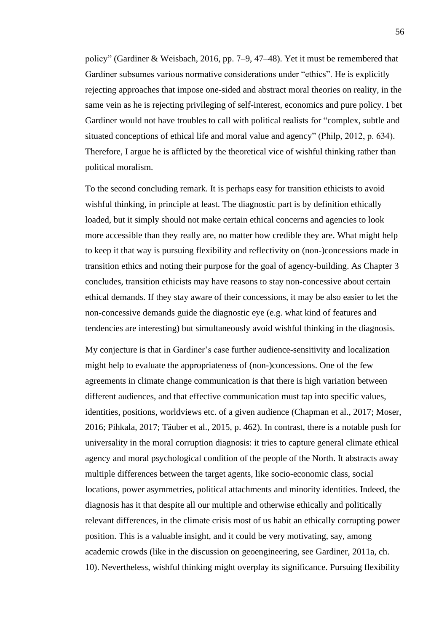policy" (Gardiner & Weisbach, 2016, pp. 7‒9, 47–48). Yet it must be remembered that Gardiner subsumes various normative considerations under "ethics". He is explicitly rejecting approaches that impose one-sided and abstract moral theories on reality, in the same vein as he is rejecting privileging of self-interest, economics and pure policy. I bet Gardiner would not have troubles to call with political realists for "complex, subtle and situated conceptions of ethical life and moral value and agency" (Philp, 2012, p. 634). Therefore, I argue he is afflicted by the theoretical vice of wishful thinking rather than political moralism.

To the second concluding remark. It is perhaps easy for transition ethicists to avoid wishful thinking, in principle at least. The diagnostic part is by definition ethically loaded, but it simply should not make certain ethical concerns and agencies to look more accessible than they really are, no matter how credible they are. What might help to keep it that way is pursuing flexibility and reflectivity on (non-)concessions made in transition ethics and noting their purpose for the goal of agency-building. As Chapter 3 concludes, transition ethicists may have reasons to stay non-concessive about certain ethical demands. If they stay aware of their concessions, it may be also easier to let the non-concessive demands guide the diagnostic eye (e.g. what kind of features and tendencies are interesting) but simultaneously avoid wishful thinking in the diagnosis.

My conjecture is that in Gardiner's case further audience-sensitivity and localization might help to evaluate the appropriateness of (non-)concessions. One of the few agreements in climate change communication is that there is high variation between different audiences, and that effective communication must tap into specific values, identities, positions, worldviews etc. of a given audience (Chapman et al., 2017; Moser, 2016; Pihkala, 2017; Täuber et al., 2015, p. 462). In contrast, there is a notable push for universality in the moral corruption diagnosis: it tries to capture general climate ethical agency and moral psychological condition of the people of the North. It abstracts away multiple differences between the target agents, like socio-economic class, social locations, power asymmetries, political attachments and minority identities. Indeed, the diagnosis has it that despite all our multiple and otherwise ethically and politically relevant differences, in the climate crisis most of us habit an ethically corrupting power position. This is a valuable insight, and it could be very motivating, say, among academic crowds (like in the discussion on geoengineering, see Gardiner, 2011a, ch. 10). Nevertheless, wishful thinking might overplay its significance. Pursuing flexibility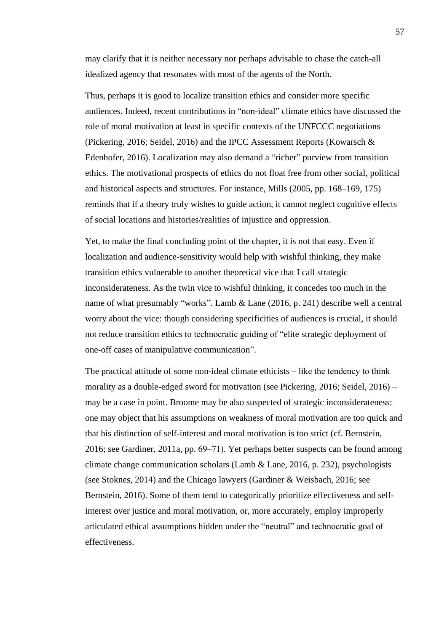may clarify that it is neither necessary nor perhaps advisable to chase the catch-all idealized agency that resonates with most of the agents of the North.

Thus, perhaps it is good to localize transition ethics and consider more specific audiences. Indeed, recent contributions in "non-ideal" climate ethics have discussed the role of moral motivation at least in specific contexts of the UNFCCC negotiations (Pickering, 2016; Seidel, 2016) and the IPCC Assessment Reports (Kowarsch & Edenhofer, 2016). Localization may also demand a "richer" purview from transition ethics. The motivational prospects of ethics do not float free from other social, political and historical aspects and structures. For instance, Mills (2005, pp. 168–169, 175) reminds that if a theory truly wishes to guide action, it cannot neglect cognitive effects of social locations and histories/realities of injustice and oppression.

Yet, to make the final concluding point of the chapter, it is not that easy. Even if localization and audience-sensitivity would help with wishful thinking, they make transition ethics vulnerable to another theoretical vice that I call strategic inconsiderateness. As the twin vice to wishful thinking, it concedes too much in the name of what presumably "works". Lamb & Lane (2016, p. 241) describe well a central worry about the vice: though considering specificities of audiences is crucial, it should not reduce transition ethics to technocratic guiding of "elite strategic deployment of one-off cases of manipulative communication".

The practical attitude of some non-ideal climate ethicists  $-$  like the tendency to think morality as a double-edged sword for motivation (see Pickering,  $2016$ ; Seidel,  $2016$ ) – may be a case in point. Broome may be also suspected of strategic inconsiderateness: one may object that his assumptions on weakness of moral motivation are too quick and that his distinction of self-interest and moral motivation is too strict (cf. Bernstein, 2016; see Gardiner, 2011a, pp. 69–71). Yet perhaps better suspects can be found among climate change communication scholars (Lamb & Lane, 2016, p. 232), psychologists (see Stoknes, 2014) and the Chicago lawyers (Gardiner & Weisbach, 2016; see Bernstein, 2016). Some of them tend to categorically prioritize effectiveness and selfinterest over justice and moral motivation, or, more accurately, employ improperly articulated ethical assumptions hidden under the "neutral" and technocratic goal of effectiveness.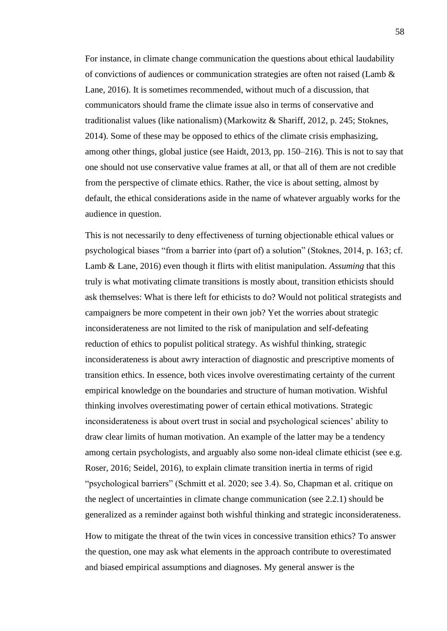For instance, in climate change communication the questions about ethical laudability of convictions of audiences or communication strategies are often not raised (Lamb  $\&$ Lane, 2016). It is sometimes recommended, without much of a discussion, that communicators should frame the climate issue also in terms of conservative and traditionalist values (like nationalism) (Markowitz & Shariff, 2012, p. 245; Stoknes, 2014). Some of these may be opposed to ethics of the climate crisis emphasizing, among other things, global justice (see Haidt, 2013, pp. 150–216). This is not to say that one should not use conservative value frames at all, or that all of them are not credible from the perspective of climate ethics. Rather, the vice is about setting, almost by default, the ethical considerations aside in the name of whatever arguably works for the audience in question.

This is not necessarily to deny effectiveness of turning objectionable ethical values or psychological biases "from a barrier into (part of) a solution" (Stoknes, 2014, p. 163; cf. Lamb & Lane, 2016) even though it flirts with elitist manipulation. *Assuming* that this truly is what motivating climate transitions is mostly about, transition ethicists should ask themselves: What is there left for ethicists to do? Would not political strategists and campaigners be more competent in their own job? Yet the worries about strategic inconsiderateness are not limited to the risk of manipulation and self-defeating reduction of ethics to populist political strategy. As wishful thinking, strategic inconsiderateness is about awry interaction of diagnostic and prescriptive moments of transition ethics. In essence, both vices involve overestimating certainty of the current empirical knowledge on the boundaries and structure of human motivation. Wishful thinking involves overestimating power of certain ethical motivations. Strategic inconsiderateness is about overt trust in social and psychological sciences' ability to draw clear limits of human motivation. An example of the latter may be a tendency among certain psychologists, and arguably also some non-ideal climate ethicist (see e.g. Roser, 2016; Seidel, 2016), to explain climate transition inertia in terms of rigid "psychological barriers" (Schmitt et al. 2020; see 3.4). So, Chapman et al. critique on the neglect of uncertainties in climate change communication (see 2.2.1) should be generalized as a reminder against both wishful thinking and strategic inconsiderateness.

How to mitigate the threat of the twin vices in concessive transition ethics? To answer the question, one may ask what elements in the approach contribute to overestimated and biased empirical assumptions and diagnoses. My general answer is the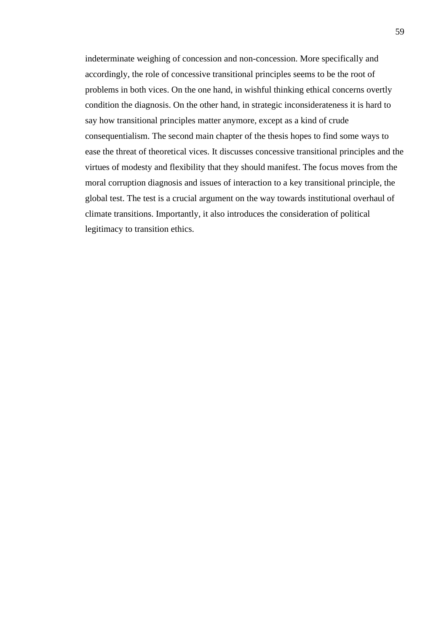indeterminate weighing of concession and non-concession. More specifically and accordingly, the role of concessive transitional principles seems to be the root of problems in both vices. On the one hand, in wishful thinking ethical concerns overtly condition the diagnosis. On the other hand, in strategic inconsiderateness it is hard to say how transitional principles matter anymore, except as a kind of crude consequentialism. The second main chapter of the thesis hopes to find some ways to ease the threat of theoretical vices. It discusses concessive transitional principles and the virtues of modesty and flexibility that they should manifest. The focus moves from the moral corruption diagnosis and issues of interaction to a key transitional principle, the global test. The test is a crucial argument on the way towards institutional overhaul of climate transitions. Importantly, it also introduces the consideration of political legitimacy to transition ethics.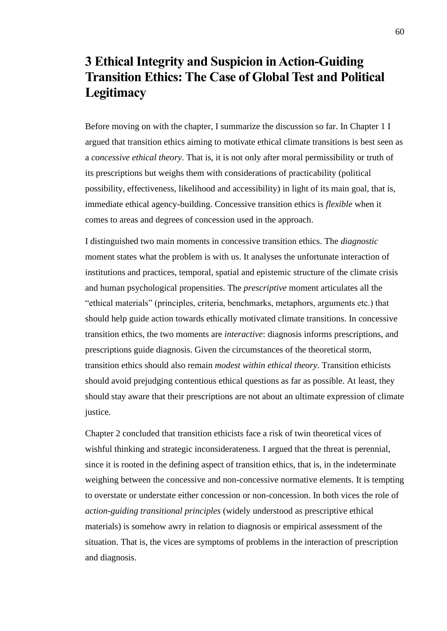# **3 Ethical Integrity and Suspicion in Action-Guiding Transition Ethics: The Case of Global Test and Political Legitimacy**

Before moving on with the chapter, I summarize the discussion so far. In Chapter 1 I argued that transition ethics aiming to motivate ethical climate transitions is best seen as a *concessive ethical theory*. That is, it is not only after moral permissibility or truth of its prescriptions but weighs them with considerations of practicability (political possibility, effectiveness, likelihood and accessibility) in light of its main goal, that is, immediate ethical agency-building. Concessive transition ethics is *flexible* when it comes to areas and degrees of concession used in the approach.

I distinguished two main moments in concessive transition ethics. The *diagnostic* moment states what the problem is with us. It analyses the unfortunate interaction of institutions and practices, temporal, spatial and epistemic structure of the climate crisis and human psychological propensities. The *prescriptive* moment articulates all the "ethical materials" (principles, criteria, benchmarks, metaphors, arguments etc.) that should help guide action towards ethically motivated climate transitions. In concessive transition ethics, the two moments are *interactive*: diagnosis informs prescriptions, and prescriptions guide diagnosis. Given the circumstances of the theoretical storm, transition ethics should also remain *modest within ethical theory*. Transition ethicists should avoid prejudging contentious ethical questions as far as possible. At least, they should stay aware that their prescriptions are not about an ultimate expression of climate justice.

Chapter 2 concluded that transition ethicists face a risk of twin theoretical vices of wishful thinking and strategic inconsiderateness. I argued that the threat is perennial, since it is rooted in the defining aspect of transition ethics, that is, in the indeterminate weighing between the concessive and non-concessive normative elements. It is tempting to overstate or understate either concession or non-concession. In both vices the role of *action-guiding transitional principles* (widely understood as prescriptive ethical materials) is somehow awry in relation to diagnosis or empirical assessment of the situation. That is, the vices are symptoms of problems in the interaction of prescription and diagnosis.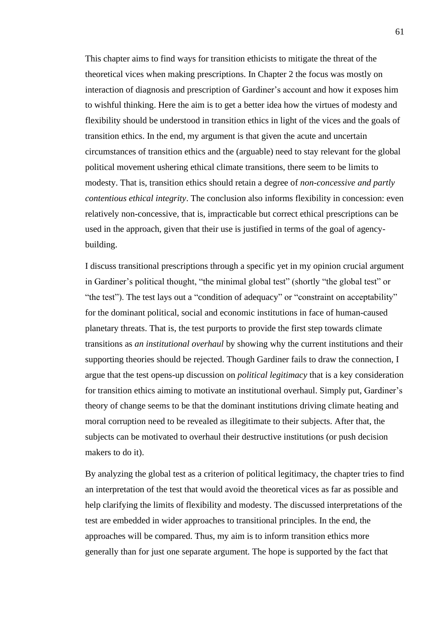This chapter aims to find ways for transition ethicists to mitigate the threat of the theoretical vices when making prescriptions. In Chapter 2 the focus was mostly on interaction of diagnosis and prescription of Gardiner's account and how it exposes him to wishful thinking. Here the aim is to get a better idea how the virtues of modesty and flexibility should be understood in transition ethics in light of the vices and the goals of transition ethics. In the end, my argument is that given the acute and uncertain circumstances of transition ethics and the (arguable) need to stay relevant for the global political movement ushering ethical climate transitions, there seem to be limits to modesty. That is, transition ethics should retain a degree of *non-concessive and partly contentious ethical integrity*. The conclusion also informs flexibility in concession: even relatively non-concessive, that is, impracticable but correct ethical prescriptions can be used in the approach, given that their use is justified in terms of the goal of agencybuilding.

I discuss transitional prescriptions through a specific yet in my opinion crucial argument in Gardiner's political thought, "the minimal global test" (shortly "the global test" or "the test"). The test lays out a "condition of adequacy" or "constraint on acceptability" for the dominant political, social and economic institutions in face of human-caused planetary threats. That is, the test purports to provide the first step towards climate transitions as *an institutional overhaul* by showing why the current institutions and their supporting theories should be rejected. Though Gardiner fails to draw the connection, I argue that the test opens-up discussion on *political legitimacy* that is a key consideration for transition ethics aiming to motivate an institutional overhaul. Simply put, Gardiner's theory of change seems to be that the dominant institutions driving climate heating and moral corruption need to be revealed as illegitimate to their subjects. After that, the subjects can be motivated to overhaul their destructive institutions (or push decision makers to do it).

By analyzing the global test as a criterion of political legitimacy, the chapter tries to find an interpretation of the test that would avoid the theoretical vices as far as possible and help clarifying the limits of flexibility and modesty. The discussed interpretations of the test are embedded in wider approaches to transitional principles. In the end, the approaches will be compared. Thus, my aim is to inform transition ethics more generally than for just one separate argument. The hope is supported by the fact that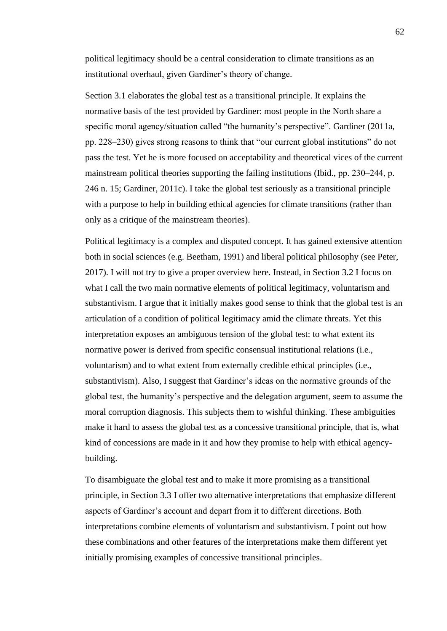political legitimacy should be a central consideration to climate transitions as an institutional overhaul, given Gardiner's theory of change.

Section 3.1 elaborates the global test as a transitional principle. It explains the normative basis of the test provided by Gardiner: most people in the North share a specific moral agency/situation called "the humanity's perspective". Gardiner (2011a, pp. 228–230) gives strong reasons to think that "our current global institutions" do not pass the test. Yet he is more focused on acceptability and theoretical vices of the current mainstream political theories supporting the failing institutions (Ibid., pp. 230–244, p. 246 n. 15; Gardiner, 2011c). I take the global test seriously as a transitional principle with a purpose to help in building ethical agencies for climate transitions (rather than only as a critique of the mainstream theories).

Political legitimacy is a complex and disputed concept. It has gained extensive attention both in social sciences (e.g. Beetham, 1991) and liberal political philosophy (see Peter, 2017). I will not try to give a proper overview here. Instead, in Section 3.2 I focus on what I call the two main normative elements of political legitimacy, voluntarism and substantivism. I argue that it initially makes good sense to think that the global test is an articulation of a condition of political legitimacy amid the climate threats. Yet this interpretation exposes an ambiguous tension of the global test: to what extent its normative power is derived from specific consensual institutional relations (i.e., voluntarism) and to what extent from externally credible ethical principles (i.e., substantivism). Also, I suggest that Gardiner's ideas on the normative grounds of the global test, the humanity's perspective and the delegation argument, seem to assume the moral corruption diagnosis. This subjects them to wishful thinking. These ambiguities make it hard to assess the global test as a concessive transitional principle, that is, what kind of concessions are made in it and how they promise to help with ethical agencybuilding.

To disambiguate the global test and to make it more promising as a transitional principle, in Section 3.3 I offer two alternative interpretations that emphasize different aspects of Gardiner's account and depart from it to different directions. Both interpretations combine elements of voluntarism and substantivism. I point out how these combinations and other features of the interpretations make them different yet initially promising examples of concessive transitional principles.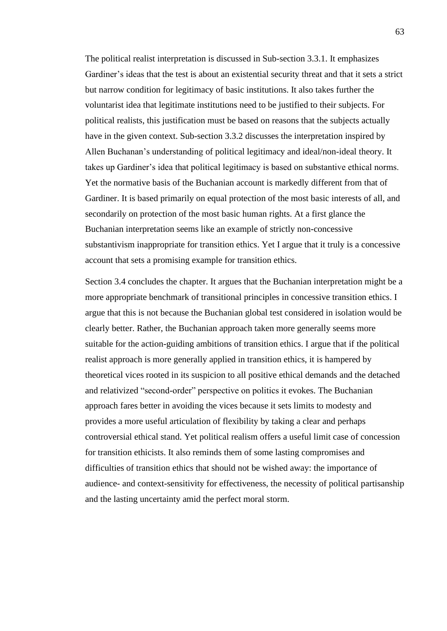The political realist interpretation is discussed in Sub-section 3.3.1. It emphasizes Gardiner's ideas that the test is about an existential security threat and that it sets a strict but narrow condition for legitimacy of basic institutions. It also takes further the voluntarist idea that legitimate institutions need to be justified to their subjects. For political realists, this justification must be based on reasons that the subjects actually have in the given context. Sub-section 3.3.2 discusses the interpretation inspired by Allen Buchanan's understanding of political legitimacy and ideal/non-ideal theory. It takes up Gardiner's idea that political legitimacy is based on substantive ethical norms. Yet the normative basis of the Buchanian account is markedly different from that of Gardiner. It is based primarily on equal protection of the most basic interests of all, and secondarily on protection of the most basic human rights. At a first glance the Buchanian interpretation seems like an example of strictly non-concessive substantivism inappropriate for transition ethics. Yet I argue that it truly is a concessive account that sets a promising example for transition ethics.

Section 3.4 concludes the chapter. It argues that the Buchanian interpretation might be a more appropriate benchmark of transitional principles in concessive transition ethics. I argue that this is not because the Buchanian global test considered in isolation would be clearly better. Rather, the Buchanian approach taken more generally seems more suitable for the action-guiding ambitions of transition ethics. I argue that if the political realist approach is more generally applied in transition ethics, it is hampered by theoretical vices rooted in its suspicion to all positive ethical demands and the detached and relativized "second-order" perspective on politics it evokes. The Buchanian approach fares better in avoiding the vices because it sets limits to modesty and provides a more useful articulation of flexibility by taking a clear and perhaps controversial ethical stand. Yet political realism offers a useful limit case of concession for transition ethicists. It also reminds them of some lasting compromises and difficulties of transition ethics that should not be wished away: the importance of audience- and context-sensitivity for effectiveness, the necessity of political partisanship and the lasting uncertainty amid the perfect moral storm.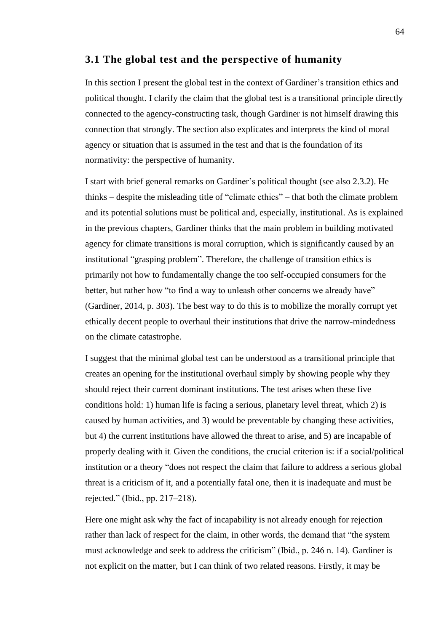## **3.1 The global test and the perspective of humanity**

In this section I present the global test in the context of Gardiner's transition ethics and political thought. I clarify the claim that the global test is a transitional principle directly connected to the agency-constructing task, though Gardiner is not himself drawing this connection that strongly. The section also explicates and interprets the kind of moral agency or situation that is assumed in the test and that is the foundation of its normativity: the perspective of humanity.

I start with brief general remarks on Gardiner's political thought (see also 2.3.2). He thinks ‒ despite the misleading title of "climate ethics" ‒ that both the climate problem and its potential solutions must be political and, especially, institutional. As is explained in the previous chapters, Gardiner thinks that the main problem in building motivated agency for climate transitions is moral corruption, which is significantly caused by an institutional "grasping problem". Therefore, the challenge of transition ethics is primarily not how to fundamentally change the too self-occupied consumers for the better, but rather how "to find a way to unleash other concerns we already have" (Gardiner, 2014, p. 303). The best way to do this is to mobilize the morally corrupt yet ethically decent people to overhaul their institutions that drive the narrow-mindedness on the climate catastrophe.

I suggest that the minimal global test can be understood as a transitional principle that creates an opening for the institutional overhaul simply by showing people why they should reject their current dominant institutions. The test arises when these five conditions hold: 1) human life is facing a serious, planetary level threat, which 2) is caused by human activities, and 3) would be preventable by changing these activities, but 4) the current institutions have allowed the threat to arise, and 5) are incapable of properly dealing with it. Given the conditions, the crucial criterion is: if a social/political institution or a theory "does not respect the claim that failure to address a serious global threat is a criticism of it, and a potentially fatal one, then it is inadequate and must be rejected." (Ibid., pp. 217‒218).

Here one might ask why the fact of incapability is not already enough for rejection rather than lack of respect for the claim, in other words, the demand that "the system must acknowledge and seek to address the criticism" (Ibid., p. 246 n. 14). Gardiner is not explicit on the matter, but I can think of two related reasons. Firstly, it may be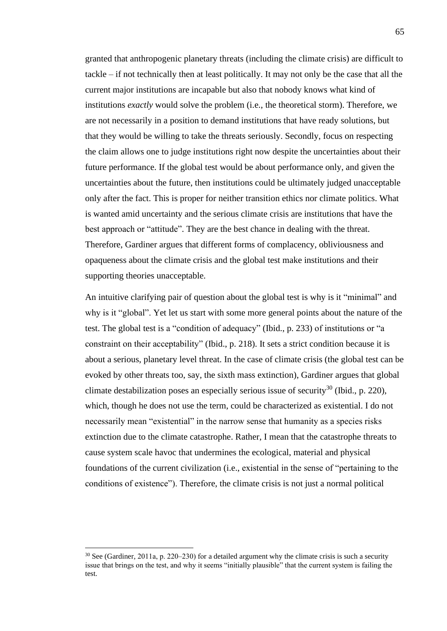granted that anthropogenic planetary threats (including the climate crisis) are difficult to tackle ‒ if not technically then at least politically. It may not only be the case that all the current major institutions are incapable but also that nobody knows what kind of institutions *exactly* would solve the problem (i.e., the theoretical storm). Therefore, we are not necessarily in a position to demand institutions that have ready solutions, but that they would be willing to take the threats seriously. Secondly, focus on respecting the claim allows one to judge institutions right now despite the uncertainties about their future performance. If the global test would be about performance only, and given the uncertainties about the future, then institutions could be ultimately judged unacceptable only after the fact. This is proper for neither transition ethics nor climate politics. What is wanted amid uncertainty and the serious climate crisis are institutions that have the best approach or "attitude". They are the best chance in dealing with the threat. Therefore, Gardiner argues that different forms of complacency, obliviousness and opaqueness about the climate crisis and the global test make institutions and their supporting theories unacceptable.

An intuitive clarifying pair of question about the global test is why is it "minimal" and why is it "global". Yet let us start with some more general points about the nature of the test. The global test is a "condition of adequacy" (Ibid., p. 233) of institutions or "a constraint on their acceptability" (Ibid., p. 218). It sets a strict condition because it is about a serious, planetary level threat. In the case of climate crisis (the global test can be evoked by other threats too, say, the sixth mass extinction), Gardiner argues that global climate destabilization poses an especially serious issue of security<sup>30</sup> (Ibid., p. 220), which, though he does not use the term, could be characterized as existential. I do not necessarily mean "existential" in the narrow sense that humanity as a species risks extinction due to the climate catastrophe. Rather, I mean that the catastrophe threats to cause system scale havoc that undermines the ecological, material and physical foundations of the current civilization (i.e., existential in the sense of "pertaining to the conditions of existence"). Therefore, the climate crisis is not just a normal political

 $30$  See (Gardiner, 2011a, p. 220–230) for a detailed argument why the climate crisis is such a security issue that brings on the test, and why it seems "initially plausible" that the current system is failing the test.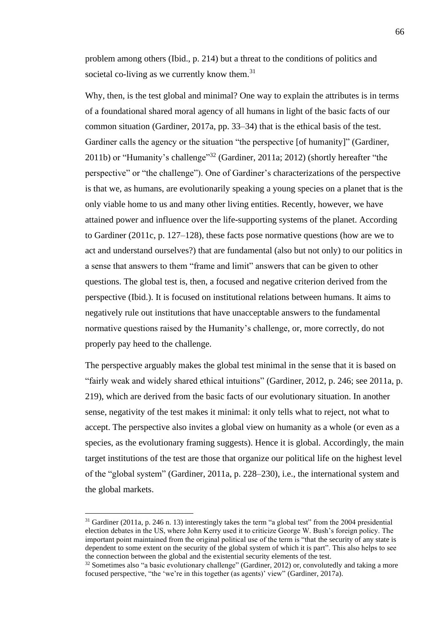problem among others (Ibid., p. 214) but a threat to the conditions of politics and societal co-living as we currently know them.<sup>31</sup>

Why, then, is the test global and minimal? One way to explain the attributes is in terms of a foundational shared moral agency of all humans in light of the basic facts of our common situation (Gardiner, 2017a, pp. 33–34) that is the ethical basis of the test. Gardiner calls the agency or the situation "the perspective [of humanity]" (Gardiner, 2011b) or "Humanity's challenge"<sup>32</sup> (Gardiner, 2011a; 2012) (shortly hereafter "the perspective" or "the challenge"). One of Gardiner's characterizations of the perspective is that we, as humans, are evolutionarily speaking a young species on a planet that is the only viable home to us and many other living entities. Recently, however, we have attained power and influence over the life-supporting systems of the planet. According to Gardiner (2011c, p. 127–128), these facts pose normative questions (how are we to act and understand ourselves?) that are fundamental (also but not only) to our politics in a sense that answers to them "frame and limit" answers that can be given to other questions. The global test is, then, a focused and negative criterion derived from the perspective (Ibid.). It is focused on institutional relations between humans. It aims to negatively rule out institutions that have unacceptable answers to the fundamental normative questions raised by the Humanity's challenge, or, more correctly, do not properly pay heed to the challenge.

The perspective arguably makes the global test minimal in the sense that it is based on "fairly weak and widely shared ethical intuitions" (Gardiner, 2012, p. 246; see 2011a, p. 219), which are derived from the basic facts of our evolutionary situation. In another sense, negativity of the test makes it minimal: it only tells what to reject, not what to accept. The perspective also invites a global view on humanity as a whole (or even as a species, as the evolutionary framing suggests). Hence it is global. Accordingly, the main target institutions of the test are those that organize our political life on the highest level of the "global system" (Gardiner, 2011a, p. 228–230), i.e., the international system and the global markets.

<sup>&</sup>lt;sup>31</sup> Gardiner (2011a, p. 246 n. 13) interestingly takes the term "a global test" from the 2004 presidential election debates in the US, where John Kerry used it to criticize George W. Bush's foreign policy. The important point maintained from the original political use of the term is "that the security of any state is dependent to some extent on the security of the global system of which it is part". This also helps to see the connection between the global and the existential security elements of the test.

 $32$  Sometimes also "a basic evolutionary challenge" (Gardiner, 2012) or, convolutedly and taking a more focused perspective, "the 'we're in this together (as agents)' view" (Gardiner, 2017a).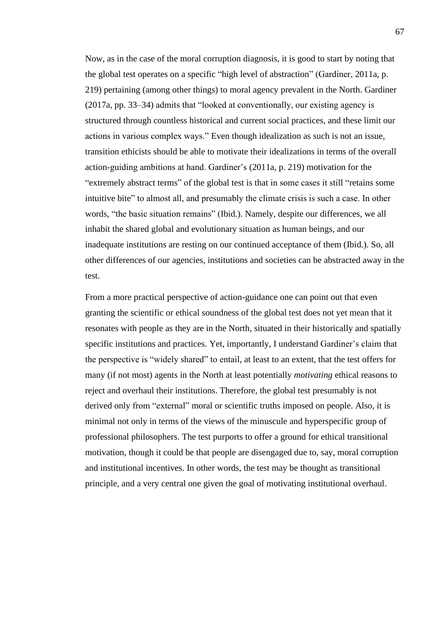Now, as in the case of the moral corruption diagnosis, it is good to start by noting that the global test operates on a specific "high level of abstraction" (Gardiner, 2011a, p. 219) pertaining (among other things) to moral agency prevalent in the North. Gardiner (2017a, pp. 33–34) admits that "looked at conventionally, our existing agency is structured through countless historical and current social practices, and these limit our actions in various complex ways." Even though idealization as such is not an issue, transition ethicists should be able to motivate their idealizations in terms of the overall action-guiding ambitions at hand. Gardiner's (2011a, p. 219) motivation for the "extremely abstract terms" of the global test is that in some cases it still "retains some intuitive bite" to almost all, and presumably the climate crisis is such a case. In other words, "the basic situation remains" (Ibid.). Namely, despite our differences, we all inhabit the shared global and evolutionary situation as human beings, and our inadequate institutions are resting on our continued acceptance of them (Ibid.). So, all other differences of our agencies, institutions and societies can be abstracted away in the test.

From a more practical perspective of action-guidance one can point out that even granting the scientific or ethical soundness of the global test does not yet mean that it resonates with people as they are in the North, situated in their historically and spatially specific institutions and practices. Yet, importantly, I understand Gardiner's claim that the perspective is "widely shared" to entail, at least to an extent, that the test offers for many (if not most) agents in the North at least potentially *motivating* ethical reasons to reject and overhaul their institutions. Therefore, the global test presumably is not derived only from "external" moral or scientific truths imposed on people. Also, it is minimal not only in terms of the views of the minuscule and hyperspecific group of professional philosophers. The test purports to offer a ground for ethical transitional motivation, though it could be that people are disengaged due to, say, moral corruption and institutional incentives. In other words, the test may be thought as transitional principle, and a very central one given the goal of motivating institutional overhaul.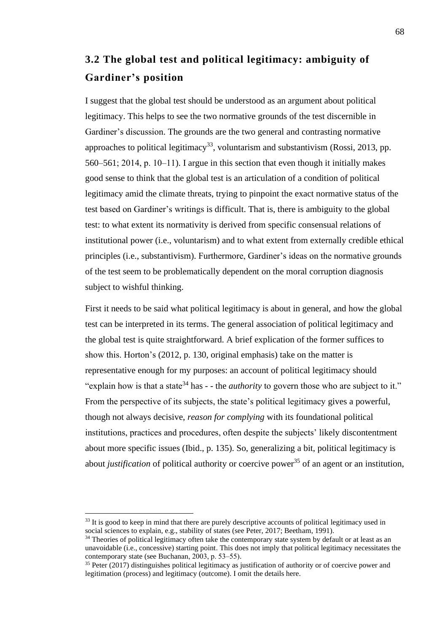# **3.2 The global test and political legitimacy: ambiguity of Gardiner's position**

I suggest that the global test should be understood as an argument about political legitimacy. This helps to see the two normative grounds of the test discernible in Gardiner's discussion. The grounds are the two general and contrasting normative approaches to political legitimacy<sup>33</sup>, voluntarism and substantivism (Rossi, 2013, pp.  $560-561$ ;  $2014$ , p.  $10-11$ ). I argue in this section that even though it initially makes good sense to think that the global test is an articulation of a condition of political legitimacy amid the climate threats, trying to pinpoint the exact normative status of the test based on Gardiner's writings is difficult. That is, there is ambiguity to the global test: to what extent its normativity is derived from specific consensual relations of institutional power (i.e., voluntarism) and to what extent from externally credible ethical principles (i.e., substantivism). Furthermore, Gardiner's ideas on the normative grounds of the test seem to be problematically dependent on the moral corruption diagnosis subject to wishful thinking.

First it needs to be said what political legitimacy is about in general, and how the global test can be interpreted in its terms. The general association of political legitimacy and the global test is quite straightforward. A brief explication of the former suffices to show this. Horton's (2012, p. 130, original emphasis) take on the matter is representative enough for my purposes: an account of political legitimacy should "explain how is that a state<sup>34</sup> has - - the *authority* to govern those who are subject to it." From the perspective of its subjects, the state's political legitimacy gives a powerful, though not always decisive, *reason for complying* with its foundational political institutions, practices and procedures, often despite the subjects' likely discontentment about more specific issues (Ibid., p. 135). So, generalizing a bit, political legitimacy is about *justification* of political authority or coercive power<sup>35</sup> of an agent or an institution.

<sup>&</sup>lt;sup>33</sup> It is good to keep in mind that there are purely descriptive accounts of political legitimacy used in social sciences to explain, e.g., stability of states (see Peter, 2017; Beetham, 1991).

<sup>&</sup>lt;sup>34</sup> Theories of political legitimacy often take the contemporary state system by default or at least as an unavoidable (i.e., concessive) starting point. This does not imply that political legitimacy necessitates the contemporary state (see Buchanan,  $2003$ , p. 53–55).

<sup>&</sup>lt;sup>35</sup> Peter (2017) distinguishes political legitimacy as justification of authority or of coercive power and legitimation (process) and legitimacy (outcome). I omit the details here.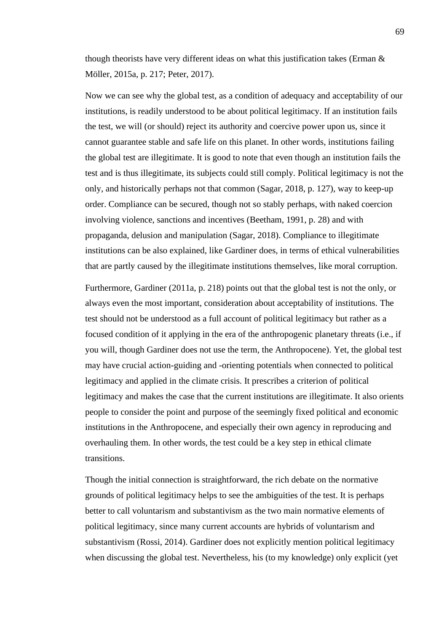though theorists have very different ideas on what this justification takes (Erman & Möller, 2015a, p. 217; Peter, 2017).

Now we can see why the global test, as a condition of adequacy and acceptability of our institutions, is readily understood to be about political legitimacy. If an institution fails the test, we will (or should) reject its authority and coercive power upon us, since it cannot guarantee stable and safe life on this planet. In other words, institutions failing the global test are illegitimate. It is good to note that even though an institution fails the test and is thus illegitimate, its subjects could still comply. Political legitimacy is not the only, and historically perhaps not that common (Sagar, 2018, p. 127), way to keep-up order. Compliance can be secured, though not so stably perhaps, with naked coercion involving violence, sanctions and incentives (Beetham, 1991, p. 28) and with propaganda, delusion and manipulation (Sagar, 2018). Compliance to illegitimate institutions can be also explained, like Gardiner does, in terms of ethical vulnerabilities that are partly caused by the illegitimate institutions themselves, like moral corruption.

Furthermore, Gardiner (2011a, p. 218) points out that the global test is not the only, or always even the most important, consideration about acceptability of institutions. The test should not be understood as a full account of political legitimacy but rather as a focused condition of it applying in the era of the anthropogenic planetary threats (i.e., if you will, though Gardiner does not use the term, the Anthropocene). Yet, the global test may have crucial action-guiding and -orienting potentials when connected to political legitimacy and applied in the climate crisis. It prescribes a criterion of political legitimacy and makes the case that the current institutions are illegitimate. It also orients people to consider the point and purpose of the seemingly fixed political and economic institutions in the Anthropocene, and especially their own agency in reproducing and overhauling them. In other words, the test could be a key step in ethical climate transitions.

Though the initial connection is straightforward, the rich debate on the normative grounds of political legitimacy helps to see the ambiguities of the test. It is perhaps better to call voluntarism and substantivism as the two main normative elements of political legitimacy, since many current accounts are hybrids of voluntarism and substantivism (Rossi, 2014). Gardiner does not explicitly mention political legitimacy when discussing the global test. Nevertheless, his (to my knowledge) only explicit (yet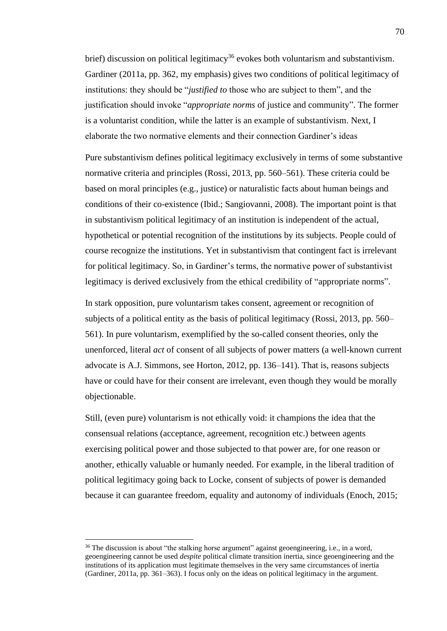brief) discussion on political legitimacy<sup>36</sup> evokes both voluntarism and substantivism. Gardiner (2011a, pp. 362, my emphasis) gives two conditions of political legitimacy of institutions: they should be "*justified to* those who are subject to them", and the justification should invoke "*appropriate norms* of justice and community". The former is a voluntarist condition, while the latter is an example of substantivism. Next, I elaborate the two normative elements and their connection Gardiner's ideas

Pure substantivism defines political legitimacy exclusively in terms of some substantive normative criteria and principles (Rossi, 2013, pp. 560–561). These criteria could be based on moral principles (e.g., justice) or naturalistic facts about human beings and conditions of their co-existence (Ibid.; Sangiovanni, 2008). The important point is that in substantivism political legitimacy of an institution is independent of the actual, hypothetical or potential recognition of the institutions by its subjects. People could of course recognize the institutions. Yet in substantivism that contingent fact is irrelevant for political legitimacy. So, in Gardiner's terms, the normative power of substantivist legitimacy is derived exclusively from the ethical credibility of "appropriate norms".

In stark opposition, pure voluntarism takes consent, agreement or recognition of subjects of a political entity as the basis of political legitimacy (Rossi, 2013, pp. 560– 561). In pure voluntarism, exemplified by the so-called consent theories, only the unenforced, literal *act* of consent of all subjects of power matters (a well-known current advocate is A.J. Simmons, see Horton, 2012, pp. 136–141). That is, reasons subjects have or could have for their consent are irrelevant, even though they would be morally objectionable.

Still, (even pure) voluntarism is not ethically void: it champions the idea that the consensual relations (acceptance, agreement, recognition etc.) between agents exercising political power and those subjected to that power are, for one reason or another, ethically valuable or humanly needed. For example, in the liberal tradition of political legitimacy going back to Locke, consent of subjects of power is demanded because it can guarantee freedom, equality and autonomy of individuals (Enoch, 2015;

<sup>&</sup>lt;sup>36</sup> The discussion is about "the stalking horse argument" against geoengineering, i.e., in a word, geoengineering cannot be used *despite* political climate transition inertia, since geoengineering and the institutions of its application must legitimate themselves in the very same circumstances of inertia (Gardiner, 2011a, pp. 361–363). I focus only on the ideas on political legitimacy in the argument.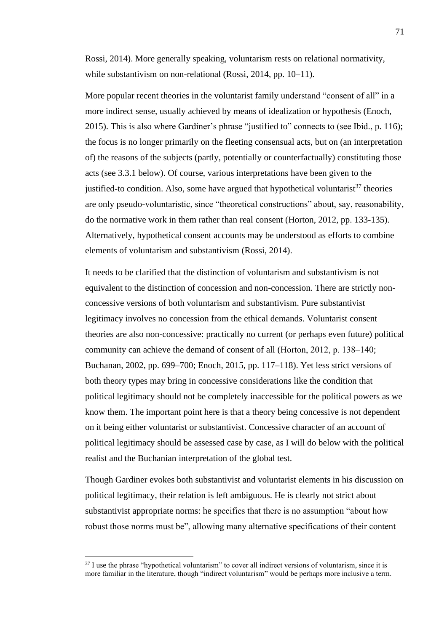Rossi, 2014). More generally speaking, voluntarism rests on relational normativity, while substantivism on non-relational (Rossi, 2014, pp. 10–11).

More popular recent theories in the voluntarist family understand "consent of all" in a more indirect sense, usually achieved by means of idealization or hypothesis (Enoch, 2015). This is also where Gardiner's phrase "justified to" connects to (see Ibid., p. 116); the focus is no longer primarily on the fleeting consensual acts, but on (an interpretation of) the reasons of the subjects (partly, potentially or counterfactually) constituting those acts (see 3.3.1 below). Of course, various interpretations have been given to the justified-to condition. Also, some have argued that hypothetical voluntarist<sup>37</sup> theories are only pseudo-voluntaristic, since "theoretical constructions" about, say, reasonability, do the normative work in them rather than real consent (Horton, 2012, pp. 133-135). Alternatively, hypothetical consent accounts may be understood as efforts to combine elements of voluntarism and substantivism (Rossi, 2014).

It needs to be clarified that the distinction of voluntarism and substantivism is not equivalent to the distinction of concession and non-concession. There are strictly nonconcessive versions of both voluntarism and substantivism. Pure substantivist legitimacy involves no concession from the ethical demands. Voluntarist consent theories are also non-concessive: practically no current (or perhaps even future) political community can achieve the demand of consent of all (Horton, 2012, p. 138–140; Buchanan, 2002, pp. 699–700; Enoch, 2015, pp. 117–118). Yet less strict versions of both theory types may bring in concessive considerations like the condition that political legitimacy should not be completely inaccessible for the political powers as we know them. The important point here is that a theory being concessive is not dependent on it being either voluntarist or substantivist. Concessive character of an account of political legitimacy should be assessed case by case, as I will do below with the political realist and the Buchanian interpretation of the global test.

Though Gardiner evokes both substantivist and voluntarist elements in his discussion on political legitimacy, their relation is left ambiguous. He is clearly not strict about substantivist appropriate norms: he specifies that there is no assumption "about how robust those norms must be", allowing many alternative specifications of their content

 $37$  I use the phrase "hypothetical voluntarism" to cover all indirect versions of voluntarism, since it is more familiar in the literature, though "indirect voluntarism" would be perhaps more inclusive a term.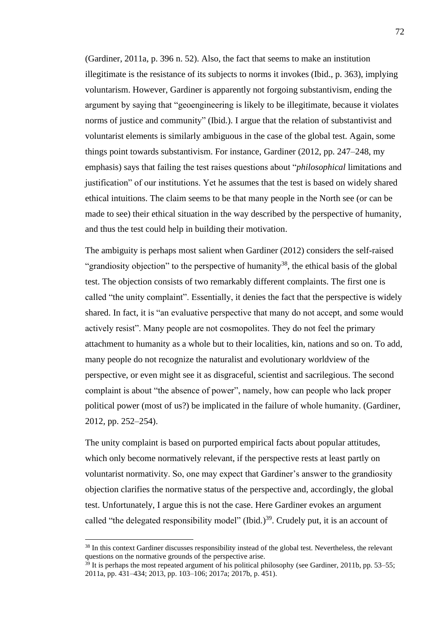(Gardiner, 2011a, p. 396 n. 52). Also, the fact that seems to make an institution illegitimate is the resistance of its subjects to norms it invokes (Ibid., p. 363), implying voluntarism. However, Gardiner is apparently not forgoing substantivism, ending the argument by saying that "geoengineering is likely to be illegitimate, because it violates norms of justice and community" (Ibid.). I argue that the relation of substantivist and voluntarist elements is similarly ambiguous in the case of the global test. Again, some things point towards substantivism. For instance, Gardiner (2012, pp. 247–248, my emphasis) says that failing the test raises questions about "*philosophical* limitations and justification" of our institutions. Yet he assumes that the test is based on widely shared ethical intuitions. The claim seems to be that many people in the North see (or can be made to see) their ethical situation in the way described by the perspective of humanity, and thus the test could help in building their motivation.

The ambiguity is perhaps most salient when Gardiner (2012) considers the self-raised "grandiosity objection" to the perspective of humanity<sup>38</sup>, the ethical basis of the global test. The objection consists of two remarkably different complaints. The first one is called "the unity complaint". Essentially, it denies the fact that the perspective is widely shared. In fact, it is "an evaluative perspective that many do not accept, and some would actively resist". Many people are not cosmopolites. They do not feel the primary attachment to humanity as a whole but to their localities, kin, nations and so on. To add, many people do not recognize the naturalist and evolutionary worldview of the perspective, or even might see it as disgraceful, scientist and sacrilegious. The second complaint is about "the absence of power", namely, how can people who lack proper political power (most of us?) be implicated in the failure of whole humanity. (Gardiner, 2012, pp. 252–254).

The unity complaint is based on purported empirical facts about popular attitudes, which only become normatively relevant, if the perspective rests at least partly on voluntarist normativity. So, one may expect that Gardiner's answer to the grandiosity objection clarifies the normative status of the perspective and, accordingly, the global test. Unfortunately, I argue this is not the case. Here Gardiner evokes an argument called "the delegated responsibility model" (Ibid.) $39$ . Crudely put, it is an account of

<sup>&</sup>lt;sup>38</sup> In this context Gardiner discusses responsibility instead of the global test. Nevertheless, the relevant questions on the normative grounds of the perspective arise.

 $39$  It is perhaps the most repeated argument of his political philosophy (see Gardiner, 2011b, pp. 53–55; 2011a, pp. 431–434; 2013, pp. 103–106; 2017a; 2017b, p. 451).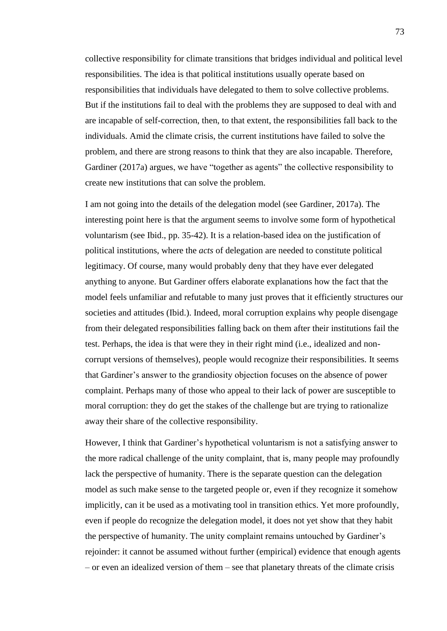collective responsibility for climate transitions that bridges individual and political level responsibilities. The idea is that political institutions usually operate based on responsibilities that individuals have delegated to them to solve collective problems. But if the institutions fail to deal with the problems they are supposed to deal with and are incapable of self-correction, then, to that extent, the responsibilities fall back to the individuals. Amid the climate crisis, the current institutions have failed to solve the problem, and there are strong reasons to think that they are also incapable. Therefore, Gardiner (2017a) argues, we have "together as agents" the collective responsibility to create new institutions that can solve the problem.

I am not going into the details of the delegation model (see Gardiner, 2017a). The interesting point here is that the argument seems to involve some form of hypothetical voluntarism (see Ibid., pp. 35-42). It is a relation-based idea on the justification of political institutions, where the *acts* of delegation are needed to constitute political legitimacy. Of course, many would probably deny that they have ever delegated anything to anyone. But Gardiner offers elaborate explanations how the fact that the model feels unfamiliar and refutable to many just proves that it efficiently structures our societies and attitudes (Ibid.). Indeed, moral corruption explains why people disengage from their delegated responsibilities falling back on them after their institutions fail the test. Perhaps, the idea is that were they in their right mind (i.e., idealized and noncorrupt versions of themselves), people would recognize their responsibilities. It seems that Gardiner's answer to the grandiosity objection focuses on the absence of power complaint. Perhaps many of those who appeal to their lack of power are susceptible to moral corruption: they do get the stakes of the challenge but are trying to rationalize away their share of the collective responsibility.

However, I think that Gardiner's hypothetical voluntarism is not a satisfying answer to the more radical challenge of the unity complaint, that is, many people may profoundly lack the perspective of humanity. There is the separate question can the delegation model as such make sense to the targeted people or, even if they recognize it somehow implicitly, can it be used as a motivating tool in transition ethics. Yet more profoundly, even if people do recognize the delegation model, it does not yet show that they habit the perspective of humanity. The unity complaint remains untouched by Gardiner's rejoinder: it cannot be assumed without further (empirical) evidence that enough agents – or even an idealized version of them – see that planetary threats of the climate crisis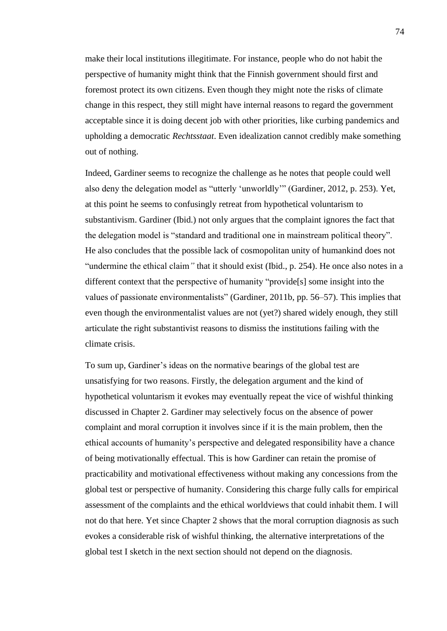make their local institutions illegitimate. For instance, people who do not habit the perspective of humanity might think that the Finnish government should first and foremost protect its own citizens. Even though they might note the risks of climate change in this respect, they still might have internal reasons to regard the government acceptable since it is doing decent job with other priorities, like curbing pandemics and upholding a democratic *Rechtsstaat*. Even idealization cannot credibly make something out of nothing.

Indeed, Gardiner seems to recognize the challenge as he notes that people could well also deny the delegation model as "utterly 'unworldly'" (Gardiner, 2012, p. 253). Yet, at this point he seems to confusingly retreat from hypothetical voluntarism to substantivism. Gardiner (Ibid.) not only argues that the complaint ignores the fact that the delegation model is "standard and traditional one in mainstream political theory". He also concludes that the possible lack of cosmopolitan unity of humankind does not "undermine the ethical claim*"* that it should exist (Ibid., p. 254). He once also notes in a different context that the perspective of humanity "provide[s] some insight into the values of passionate environmentalists" (Gardiner, 2011b, pp. 56–57). This implies that even though the environmentalist values are not (yet?) shared widely enough, they still articulate the right substantivist reasons to dismiss the institutions failing with the climate crisis.

To sum up, Gardiner's ideas on the normative bearings of the global test are unsatisfying for two reasons. Firstly, the delegation argument and the kind of hypothetical voluntarism it evokes may eventually repeat the vice of wishful thinking discussed in Chapter 2. Gardiner may selectively focus on the absence of power complaint and moral corruption it involves since if it is the main problem, then the ethical accounts of humanity's perspective and delegated responsibility have a chance of being motivationally effectual. This is how Gardiner can retain the promise of practicability and motivational effectiveness without making any concessions from the global test or perspective of humanity. Considering this charge fully calls for empirical assessment of the complaints and the ethical worldviews that could inhabit them. I will not do that here. Yet since Chapter 2 shows that the moral corruption diagnosis as such evokes a considerable risk of wishful thinking, the alternative interpretations of the global test I sketch in the next section should not depend on the diagnosis.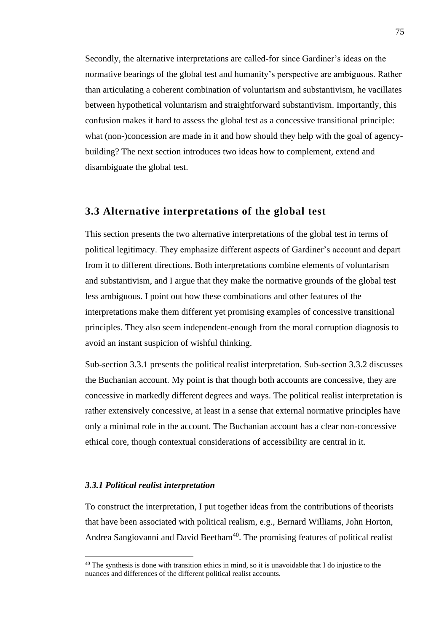Secondly, the alternative interpretations are called-for since Gardiner's ideas on the normative bearings of the global test and humanity's perspective are ambiguous. Rather than articulating a coherent combination of voluntarism and substantivism, he vacillates between hypothetical voluntarism and straightforward substantivism. Importantly, this confusion makes it hard to assess the global test as a concessive transitional principle: what (non-)concession are made in it and how should they help with the goal of agencybuilding? The next section introduces two ideas how to complement, extend and disambiguate the global test.

## **3.3 Alternative interpretations of the global test**

This section presents the two alternative interpretations of the global test in terms of political legitimacy. They emphasize different aspects of Gardiner's account and depart from it to different directions. Both interpretations combine elements of voluntarism and substantivism, and I argue that they make the normative grounds of the global test less ambiguous. I point out how these combinations and other features of the interpretations make them different yet promising examples of concessive transitional principles. They also seem independent-enough from the moral corruption diagnosis to avoid an instant suspicion of wishful thinking.

Sub-section 3.3.1 presents the political realist interpretation. Sub-section 3.3.2 discusses the Buchanian account. My point is that though both accounts are concessive, they are concessive in markedly different degrees and ways. The political realist interpretation is rather extensively concessive, at least in a sense that external normative principles have only a minimal role in the account. The Buchanian account has a clear non-concessive ethical core, though contextual considerations of accessibility are central in it.

#### *3.3.1 Political realist interpretation*

To construct the interpretation, I put together ideas from the contributions of theorists that have been associated with political realism, e.g., Bernard Williams, John Horton, Andrea Sangiovanni and David Beetham<sup>40</sup>. The promising features of political realist

 $40$  The synthesis is done with transition ethics in mind, so it is unavoidable that I do injustice to the nuances and differences of the different political realist accounts.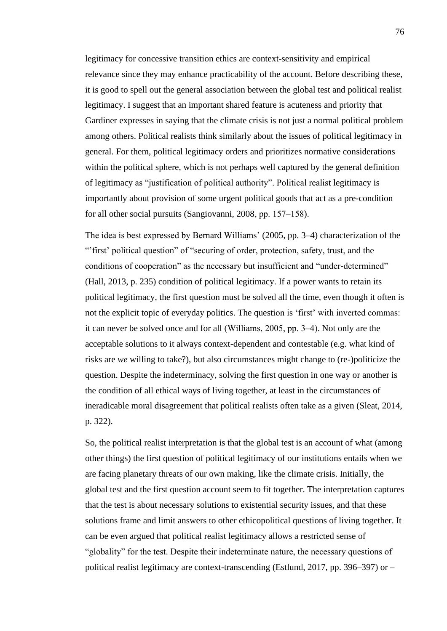legitimacy for concessive transition ethics are context-sensitivity and empirical relevance since they may enhance practicability of the account. Before describing these, it is good to spell out the general association between the global test and political realist legitimacy. I suggest that an important shared feature is acuteness and priority that Gardiner expresses in saying that the climate crisis is not just a normal political problem among others. Political realists think similarly about the issues of political legitimacy in general. For them, political legitimacy orders and prioritizes normative considerations within the political sphere, which is not perhaps well captured by the general definition of legitimacy as "justification of political authority". Political realist legitimacy is importantly about provision of some urgent political goods that act as a pre-condition for all other social pursuits (Sangiovanni, 2008, pp. 157–158).

The idea is best expressed by Bernard Williams' (2005, pp. 3–4) characterization of the "'first' political question" of "securing of order, protection, safety, trust, and the conditions of cooperation" as the necessary but insufficient and "under-determined" (Hall, 2013, p. 235) condition of political legitimacy. If a power wants to retain its political legitimacy, the first question must be solved all the time, even though it often is not the explicit topic of everyday politics. The question is 'first' with inverted commas: it can never be solved once and for all (Williams, 2005, pp. 3‒4). Not only are the acceptable solutions to it always context-dependent and contestable (e.g. what kind of risks are *we* willing to take?), but also circumstances might change to (re-)politicize the question. Despite the indeterminacy, solving the first question in one way or another is the condition of all ethical ways of living together, at least in the circumstances of ineradicable moral disagreement that political realists often take as a given (Sleat, 2014, p. 322).

So, the political realist interpretation is that the global test is an account of what (among other things) the first question of political legitimacy of our institutions entails when we are facing planetary threats of our own making, like the climate crisis. Initially, the global test and the first question account seem to fit together. The interpretation captures that the test is about necessary solutions to existential security issues, and that these solutions frame and limit answers to other ethicopolitical questions of living together. It can be even argued that political realist legitimacy allows a restricted sense of "globality" for the test. Despite their indeterminate nature, the necessary questions of political realist legitimacy are context-transcending (Estlund, 2017, pp. 396–397) or  $-$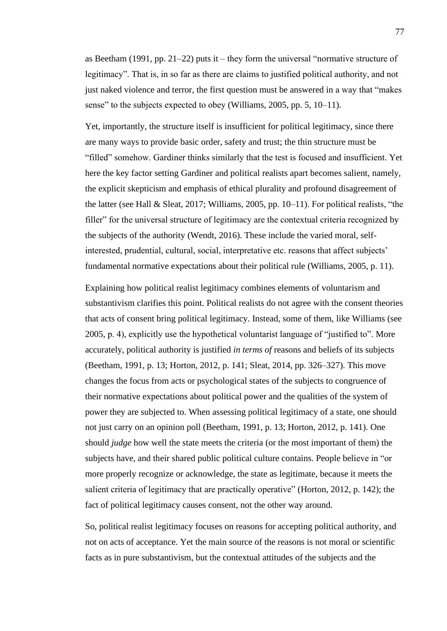as Beetham (1991, pp. 21–22) puts it – they form the universal "normative structure of legitimacy". That is, in so far as there are claims to justified political authority, and not just naked violence and terror, the first question must be answered in a way that "makes sense" to the subjects expected to obey (Williams, 2005, pp. 5, 10–11).

Yet, importantly, the structure itself is insufficient for political legitimacy, since there are many ways to provide basic order, safety and trust; the thin structure must be "filled" somehow. Gardiner thinks similarly that the test is focused and insufficient. Yet here the key factor setting Gardiner and political realists apart becomes salient, namely, the explicit skepticism and emphasis of ethical plurality and profound disagreement of the latter (see Hall & Sleat, 2017; Williams, 2005, pp. 10–11). For political realists, "the filler" for the universal structure of legitimacy are the contextual criteria recognized by the subjects of the authority (Wendt, 2016). These include the varied moral, selfinterested, prudential, cultural, social, interpretative etc. reasons that affect subjects' fundamental normative expectations about their political rule (Williams, 2005, p. 11).

Explaining how political realist legitimacy combines elements of voluntarism and substantivism clarifies this point. Political realists do not agree with the consent theories that acts of consent bring political legitimacy. Instead, some of them, like Williams (see 2005, p. 4), explicitly use the hypothetical voluntarist language of "justified to". More accurately, political authority is justified *in terms of* reasons and beliefs of its subjects (Beetham, 1991, p. 13; Horton, 2012, p. 141; Sleat, 2014, pp. 326–327). This move changes the focus from acts or psychological states of the subjects to congruence of their normative expectations about political power and the qualities of the system of power they are subjected to. When assessing political legitimacy of a state, one should not just carry on an opinion poll (Beetham, 1991, p. 13; Horton, 2012, p. 141). One should *judge* how well the state meets the criteria (or the most important of them) the subjects have, and their shared public political culture contains. People believe in "or more properly recognize or acknowledge, the state as legitimate, because it meets the salient criteria of legitimacy that are practically operative" (Horton, 2012, p. 142); the fact of political legitimacy causes consent, not the other way around.

So, political realist legitimacy focuses on reasons for accepting political authority, and not on acts of acceptance. Yet the main source of the reasons is not moral or scientific facts as in pure substantivism, but the contextual attitudes of the subjects and the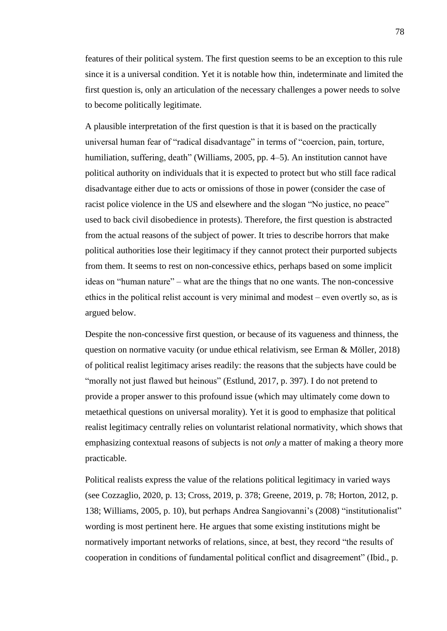features of their political system. The first question seems to be an exception to this rule since it is a universal condition. Yet it is notable how thin, indeterminate and limited the first question is, only an articulation of the necessary challenges a power needs to solve to become politically legitimate.

A plausible interpretation of the first question is that it is based on the practically universal human fear of "radical disadvantage" in terms of "coercion, pain, torture, humiliation, suffering, death" (Williams, 2005, pp. 4–5). An institution cannot have political authority on individuals that it is expected to protect but who still face radical disadvantage either due to acts or omissions of those in power (consider the case of racist police violence in the US and elsewhere and the slogan "No justice, no peace" used to back civil disobedience in protests). Therefore, the first question is abstracted from the actual reasons of the subject of power. It tries to describe horrors that make political authorities lose their legitimacy if they cannot protect their purported subjects from them. It seems to rest on non-concessive ethics, perhaps based on some implicit ideas on "human nature" – what are the things that no one wants. The non-concessive ethics in the political relist account is very minimal and modest  $-$  even overtly so, as is argued below.

Despite the non-concessive first question, or because of its vagueness and thinness, the question on normative vacuity (or undue ethical relativism, see Erman & Möller, 2018) of political realist legitimacy arises readily: the reasons that the subjects have could be "morally not just flawed but heinous" (Estlund, 2017, p. 397). I do not pretend to provide a proper answer to this profound issue (which may ultimately come down to metaethical questions on universal morality). Yet it is good to emphasize that political realist legitimacy centrally relies on voluntarist relational normativity, which shows that emphasizing contextual reasons of subjects is not *only* a matter of making a theory more practicable.

Political realists express the value of the relations political legitimacy in varied ways (see Cozzaglio, 2020, p. 13; Cross, 2019, p. 378; Greene, 2019, p. 78; Horton, 2012, p. 138; Williams, 2005, p. 10), but perhaps Andrea Sangiovanni's (2008) "institutionalist" wording is most pertinent here. He argues that some existing institutions might be normatively important networks of relations, since, at best, they record "the results of cooperation in conditions of fundamental political conflict and disagreement" (Ibid., p.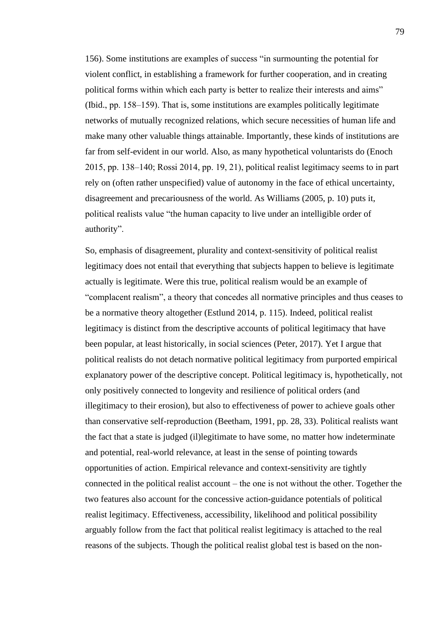156). Some institutions are examples of success "in surmounting the potential for violent conflict, in establishing a framework for further cooperation, and in creating political forms within which each party is better to realize their interests and aims" (Ibid., pp. 158–159). That is, some institutions are examples politically legitimate networks of mutually recognized relations, which secure necessities of human life and make many other valuable things attainable. Importantly, these kinds of institutions are far from self-evident in our world. Also, as many hypothetical voluntarists do (Enoch 2015, pp. 138‒140; Rossi 2014, pp. 19, 21), political realist legitimacy seems to in part rely on (often rather unspecified) value of autonomy in the face of ethical uncertainty, disagreement and precariousness of the world. As Williams (2005, p. 10) puts it, political realists value "the human capacity to live under an intelligible order of authority".

So, emphasis of disagreement, plurality and context-sensitivity of political realist legitimacy does not entail that everything that subjects happen to believe is legitimate actually is legitimate. Were this true, political realism would be an example of "complacent realism", a theory that concedes all normative principles and thus ceases to be a normative theory altogether (Estlund 2014, p. 115). Indeed, political realist legitimacy is distinct from the descriptive accounts of political legitimacy that have been popular, at least historically, in social sciences (Peter, 2017). Yet I argue that political realists do not detach normative political legitimacy from purported empirical explanatory power of the descriptive concept. Political legitimacy is, hypothetically, not only positively connected to longevity and resilience of political orders (and illegitimacy to their erosion), but also to effectiveness of power to achieve goals other than conservative self-reproduction (Beetham, 1991, pp. 28, 33). Political realists want the fact that a state is judged (il)legitimate to have some, no matter how indeterminate and potential, real-world relevance, at least in the sense of pointing towards opportunities of action. Empirical relevance and context-sensitivity are tightly connected in the political realist account  $-$  the one is not without the other. Together the two features also account for the concessive action-guidance potentials of political realist legitimacy. Effectiveness, accessibility, likelihood and political possibility arguably follow from the fact that political realist legitimacy is attached to the real reasons of the subjects. Though the political realist global test is based on the non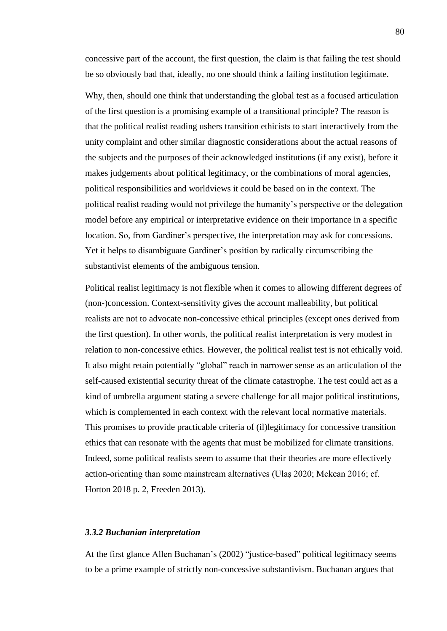concessive part of the account, the first question, the claim is that failing the test should be so obviously bad that, ideally, no one should think a failing institution legitimate.

Why, then, should one think that understanding the global test as a focused articulation of the first question is a promising example of a transitional principle? The reason is that the political realist reading ushers transition ethicists to start interactively from the unity complaint and other similar diagnostic considerations about the actual reasons of the subjects and the purposes of their acknowledged institutions (if any exist), before it makes judgements about political legitimacy, or the combinations of moral agencies, political responsibilities and worldviews it could be based on in the context. The political realist reading would not privilege the humanity's perspective or the delegation model before any empirical or interpretative evidence on their importance in a specific location. So, from Gardiner's perspective, the interpretation may ask for concessions. Yet it helps to disambiguate Gardiner's position by radically circumscribing the substantivist elements of the ambiguous tension.

Political realist legitimacy is not flexible when it comes to allowing different degrees of (non-)concession. Context-sensitivity gives the account malleability, but political realists are not to advocate non-concessive ethical principles (except ones derived from the first question). In other words, the political realist interpretation is very modest in relation to non-concessive ethics. However, the political realist test is not ethically void. It also might retain potentially "global" reach in narrower sense as an articulation of the self-caused existential security threat of the climate catastrophe. The test could act as a kind of umbrella argument stating a severe challenge for all major political institutions, which is complemented in each context with the relevant local normative materials. This promises to provide practicable criteria of (il)legitimacy for concessive transition ethics that can resonate with the agents that must be mobilized for climate transitions. Indeed, some political realists seem to assume that their theories are more effectively action-orienting than some mainstream alternatives (Ulaş 2020; Mckean 2016; cf. Horton 2018 p. 2, Freeden 2013).

#### *3.3.2 Buchanian interpretation*

At the first glance Allen Buchanan's (2002) "justice-based" political legitimacy seems to be a prime example of strictly non-concessive substantivism. Buchanan argues that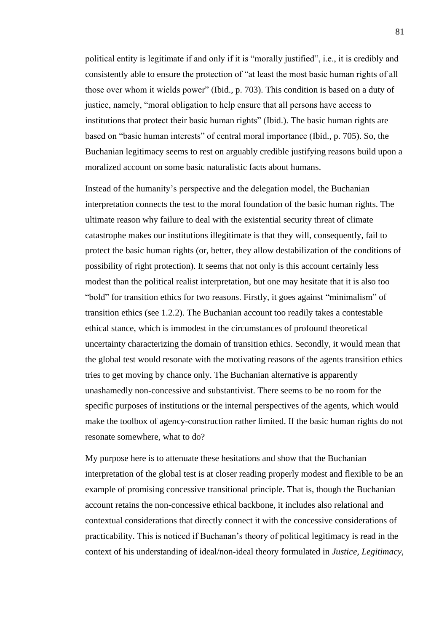political entity is legitimate if and only if it is "morally justified", i.e., it is credibly and consistently able to ensure the protection of "at least the most basic human rights of all those over whom it wields power" (Ibid., p. 703). This condition is based on a duty of justice, namely, "moral obligation to help ensure that all persons have access to institutions that protect their basic human rights" (Ibid.). The basic human rights are based on "basic human interests" of central moral importance (Ibid., p. 705). So, the Buchanian legitimacy seems to rest on arguably credible justifying reasons build upon a moralized account on some basic naturalistic facts about humans.

Instead of the humanity's perspective and the delegation model, the Buchanian interpretation connects the test to the moral foundation of the basic human rights. The ultimate reason why failure to deal with the existential security threat of climate catastrophe makes our institutions illegitimate is that they will, consequently, fail to protect the basic human rights (or, better, they allow destabilization of the conditions of possibility of right protection). It seems that not only is this account certainly less modest than the political realist interpretation, but one may hesitate that it is also too "bold" for transition ethics for two reasons. Firstly, it goes against "minimalism" of transition ethics (see 1.2.2). The Buchanian account too readily takes a contestable ethical stance, which is immodest in the circumstances of profound theoretical uncertainty characterizing the domain of transition ethics. Secondly, it would mean that the global test would resonate with the motivating reasons of the agents transition ethics tries to get moving by chance only. The Buchanian alternative is apparently unashamedly non-concessive and substantivist. There seems to be no room for the specific purposes of institutions or the internal perspectives of the agents, which would make the toolbox of agency-construction rather limited. If the basic human rights do not resonate somewhere, what to do?

My purpose here is to attenuate these hesitations and show that the Buchanian interpretation of the global test is at closer reading properly modest and flexible to be an example of promising concessive transitional principle. That is, though the Buchanian account retains the non-concessive ethical backbone, it includes also relational and contextual considerations that directly connect it with the concessive considerations of practicability. This is noticed if Buchanan's theory of political legitimacy is read in the context of his understanding of ideal/non-ideal theory formulated in *Justice, Legitimacy,*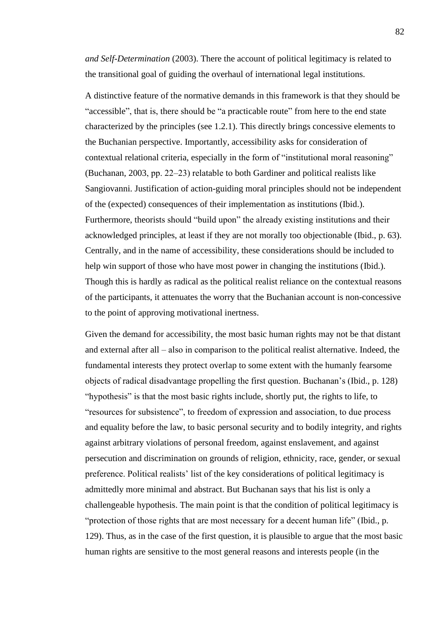*and Self-Determination* (2003). There the account of political legitimacy is related to the transitional goal of guiding the overhaul of international legal institutions.

A distinctive feature of the normative demands in this framework is that they should be "accessible", that is, there should be "a practicable route" from here to the end state characterized by the principles (see 1.2.1). This directly brings concessive elements to the Buchanian perspective. Importantly, accessibility asks for consideration of contextual relational criteria, especially in the form of "institutional moral reasoning" (Buchanan, 2003, pp. 22–23) relatable to both Gardiner and political realists like Sangiovanni. Justification of action-guiding moral principles should not be independent of the (expected) consequences of their implementation as institutions (Ibid.). Furthermore, theorists should "build upon" the already existing institutions and their acknowledged principles, at least if they are not morally too objectionable (Ibid., p. 63). Centrally, and in the name of accessibility, these considerations should be included to help win support of those who have most power in changing the institutions (Ibid.). Though this is hardly as radical as the political realist reliance on the contextual reasons of the participants, it attenuates the worry that the Buchanian account is non-concessive to the point of approving motivational inertness.

Given the demand for accessibility, the most basic human rights may not be that distant and external after all  $-$  also in comparison to the political realist alternative. Indeed, the fundamental interests they protect overlap to some extent with the humanly fearsome objects of radical disadvantage propelling the first question. Buchanan's (Ibid., p. 128) "hypothesis" is that the most basic rights include, shortly put, the rights to life, to "resources for subsistence", to freedom of expression and association, to due process and equality before the law, to basic personal security and to bodily integrity, and rights against arbitrary violations of personal freedom, against enslavement, and against persecution and discrimination on grounds of religion, ethnicity, race, gender, or sexual preference. Political realists' list of the key considerations of political legitimacy is admittedly more minimal and abstract. But Buchanan says that his list is only a challengeable hypothesis. The main point is that the condition of political legitimacy is "protection of those rights that are most necessary for a decent human life" (Ibid., p. 129). Thus, as in the case of the first question, it is plausible to argue that the most basic human rights are sensitive to the most general reasons and interests people (in the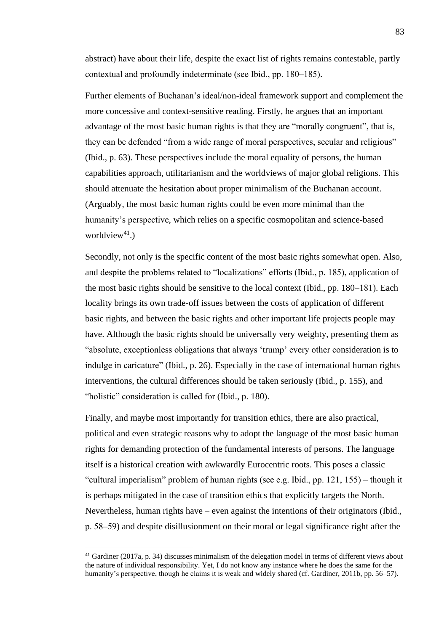abstract) have about their life, despite the exact list of rights remains contestable, partly contextual and profoundly indeterminate (see Ibid., pp. 180–185).

Further elements of Buchanan's ideal/non-ideal framework support and complement the more concessive and context-sensitive reading. Firstly, he argues that an important advantage of the most basic human rights is that they are "morally congruent", that is, they can be defended "from a wide range of moral perspectives, secular and religious" (Ibid., p. 63). These perspectives include the moral equality of persons, the human capabilities approach, utilitarianism and the worldviews of major global religions. This should attenuate the hesitation about proper minimalism of the Buchanan account. (Arguably, the most basic human rights could be even more minimal than the humanity's perspective, which relies on a specific cosmopolitan and science-based worldview<sup>41</sup>.)

Secondly, not only is the specific content of the most basic rights somewhat open. Also, and despite the problems related to "localizations" efforts (Ibid., p. 185), application of the most basic rights should be sensitive to the local context (Ibid., pp. 180–181). Each locality brings its own trade-off issues between the costs of application of different basic rights, and between the basic rights and other important life projects people may have. Although the basic rights should be universally very weighty, presenting them as "absolute, exceptionless obligations that always 'trump' every other consideration is to indulge in caricature" (Ibid., p. 26). Especially in the case of international human rights interventions, the cultural differences should be taken seriously (Ibid., p. 155), and "holistic" consideration is called for (Ibid., p. 180).

Finally, and maybe most importantly for transition ethics, there are also practical, political and even strategic reasons why to adopt the language of the most basic human rights for demanding protection of the fundamental interests of persons. The language itself is a historical creation with awkwardly Eurocentric roots. This poses a classic "cultural imperialism" problem of human rights (see e.g. Ibid., pp. 121, 155) ‒ though it is perhaps mitigated in the case of transition ethics that explicitly targets the North. Nevertheless, human rights have – even against the intentions of their originators (Ibid., p. 58‒59) and despite disillusionment on their moral or legal significance right after the

<sup>41</sup> Gardiner (2017a, p. 34) discusses minimalism of the delegation model in terms of different views about the nature of individual responsibility. Yet, I do not know any instance where he does the same for the humanity's perspective, though he claims it is weak and widely shared (cf. Gardiner, 2011b, pp. 56–57).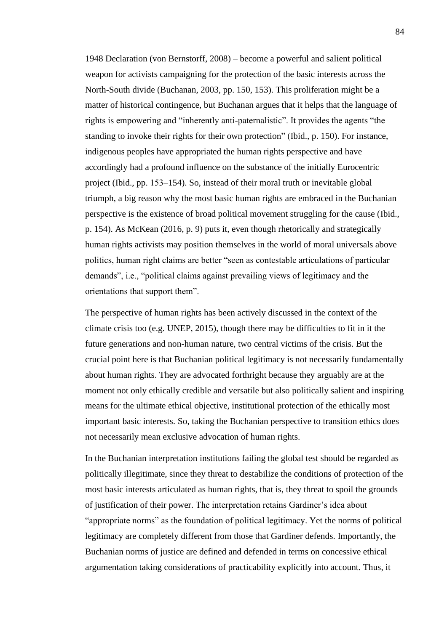1948 Declaration (von Bernstorff, 2008) ‒ become a powerful and salient political weapon for activists campaigning for the protection of the basic interests across the North-South divide (Buchanan, 2003, pp. 150, 153). This proliferation might be a matter of historical contingence, but Buchanan argues that it helps that the language of rights is empowering and "inherently anti-paternalistic". It provides the agents "the standing to invoke their rights for their own protection" (Ibid., p. 150). For instance, indigenous peoples have appropriated the human rights perspective and have accordingly had a profound influence on the substance of the initially Eurocentric project (Ibid., pp. 153‒154). So, instead of their moral truth or inevitable global triumph, a big reason why the most basic human rights are embraced in the Buchanian perspective is the existence of broad political movement struggling for the cause (Ibid., p. 154). As McKean (2016, p. 9) puts it, even though rhetorically and strategically human rights activists may position themselves in the world of moral universals above politics, human right claims are better "seen as contestable articulations of particular demands", i.e., "political claims against prevailing views of legitimacy and the orientations that support them".

The perspective of human rights has been actively discussed in the context of the climate crisis too (e.g. UNEP, 2015), though there may be difficulties to fit in it the future generations and non-human nature, two central victims of the crisis. But the crucial point here is that Buchanian political legitimacy is not necessarily fundamentally about human rights. They are advocated forthright because they arguably are at the moment not only ethically credible and versatile but also politically salient and inspiring means for the ultimate ethical objective, institutional protection of the ethically most important basic interests. So, taking the Buchanian perspective to transition ethics does not necessarily mean exclusive advocation of human rights.

In the Buchanian interpretation institutions failing the global test should be regarded as politically illegitimate, since they threat to destabilize the conditions of protection of the most basic interests articulated as human rights, that is, they threat to spoil the grounds of justification of their power. The interpretation retains Gardiner's idea about "appropriate norms" as the foundation of political legitimacy. Yet the norms of political legitimacy are completely different from those that Gardiner defends. Importantly, the Buchanian norms of justice are defined and defended in terms on concessive ethical argumentation taking considerations of practicability explicitly into account. Thus, it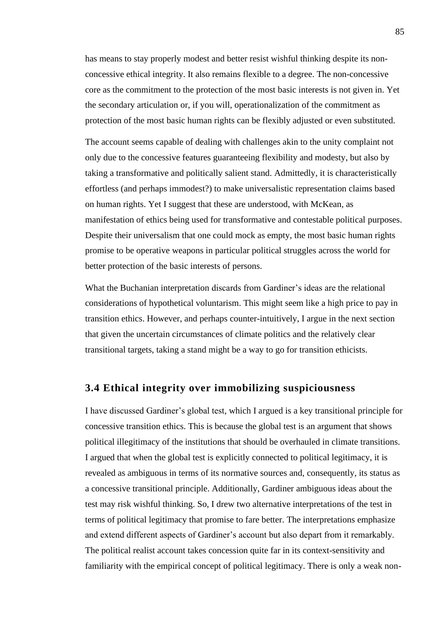has means to stay properly modest and better resist wishful thinking despite its nonconcessive ethical integrity. It also remains flexible to a degree. The non-concessive core as the commitment to the protection of the most basic interests is not given in. Yet the secondary articulation or, if you will, operationalization of the commitment as protection of the most basic human rights can be flexibly adjusted or even substituted.

The account seems capable of dealing with challenges akin to the unity complaint not only due to the concessive features guaranteeing flexibility and modesty, but also by taking a transformative and politically salient stand. Admittedly, it is characteristically effortless (and perhaps immodest?) to make universalistic representation claims based on human rights. Yet I suggest that these are understood, with McKean, as manifestation of ethics being used for transformative and contestable political purposes. Despite their universalism that one could mock as empty, the most basic human rights promise to be operative weapons in particular political struggles across the world for better protection of the basic interests of persons.

What the Buchanian interpretation discards from Gardiner's ideas are the relational considerations of hypothetical voluntarism. This might seem like a high price to pay in transition ethics. However, and perhaps counter-intuitively, I argue in the next section that given the uncertain circumstances of climate politics and the relatively clear transitional targets, taking a stand might be a way to go for transition ethicists.

## **3.4 Ethical integrity over immobilizing suspiciousness**

I have discussed Gardiner's global test, which I argued is a key transitional principle for concessive transition ethics. This is because the global test is an argument that shows political illegitimacy of the institutions that should be overhauled in climate transitions. I argued that when the global test is explicitly connected to political legitimacy, it is revealed as ambiguous in terms of its normative sources and, consequently, its status as a concessive transitional principle. Additionally, Gardiner ambiguous ideas about the test may risk wishful thinking. So, I drew two alternative interpretations of the test in terms of political legitimacy that promise to fare better. The interpretations emphasize and extend different aspects of Gardiner's account but also depart from it remarkably. The political realist account takes concession quite far in its context-sensitivity and familiarity with the empirical concept of political legitimacy. There is only a weak non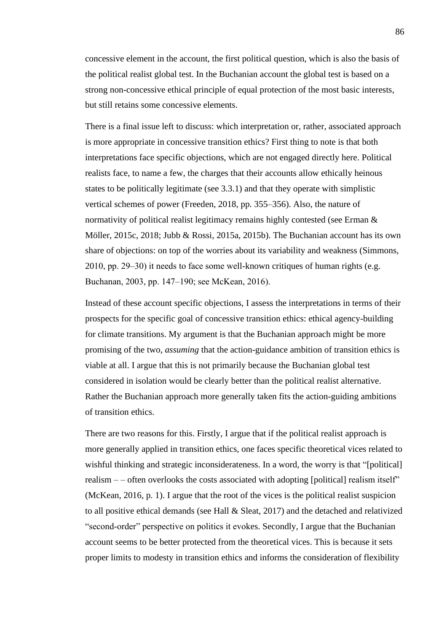concessive element in the account, the first political question, which is also the basis of the political realist global test. In the Buchanian account the global test is based on a strong non-concessive ethical principle of equal protection of the most basic interests, but still retains some concessive elements.

There is a final issue left to discuss: which interpretation or, rather, associated approach is more appropriate in concessive transition ethics? First thing to note is that both interpretations face specific objections, which are not engaged directly here. Political realists face, to name a few, the charges that their accounts allow ethically heinous states to be politically legitimate (see 3.3.1) and that they operate with simplistic vertical schemes of power (Freeden, 2018, pp. 355‒356). Also, the nature of normativity of political realist legitimacy remains highly contested (see Erman & Möller, 2015c, 2018; Jubb & Rossi, 2015a, 2015b). The Buchanian account has its own share of objections: on top of the worries about its variability and weakness (Simmons,  $2010$ , pp.  $29-30$ ) it needs to face some well-known critiques of human rights (e.g. Buchanan, 2003, pp. 147‒190; see McKean, 2016).

Instead of these account specific objections, I assess the interpretations in terms of their prospects for the specific goal of concessive transition ethics: ethical agency-building for climate transitions. My argument is that the Buchanian approach might be more promising of the two, *assuming* that the action-guidance ambition of transition ethics is viable at all. I argue that this is not primarily because the Buchanian global test considered in isolation would be clearly better than the political realist alternative. Rather the Buchanian approach more generally taken fits the action-guiding ambitions of transition ethics.

There are two reasons for this. Firstly, I argue that if the political realist approach is more generally applied in transition ethics, one faces specific theoretical vices related to wishful thinking and strategic inconsiderateness. In a word, the worry is that "[political] realism  $-$  – often overlooks the costs associated with adopting [political] realism itself" (McKean, 2016, p. 1). I argue that the root of the vices is the political realist suspicion to all positive ethical demands (see Hall & Sleat, 2017) and the detached and relativized "second-order" perspective on politics it evokes. Secondly, I argue that the Buchanian account seems to be better protected from the theoretical vices. This is because it sets proper limits to modesty in transition ethics and informs the consideration of flexibility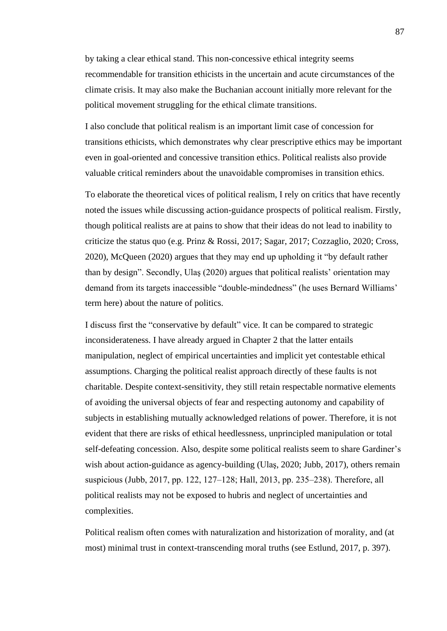by taking a clear ethical stand. This non-concessive ethical integrity seems recommendable for transition ethicists in the uncertain and acute circumstances of the climate crisis. It may also make the Buchanian account initially more relevant for the political movement struggling for the ethical climate transitions.

I also conclude that political realism is an important limit case of concession for transitions ethicists, which demonstrates why clear prescriptive ethics may be important even in goal-oriented and concessive transition ethics. Political realists also provide valuable critical reminders about the unavoidable compromises in transition ethics.

To elaborate the theoretical vices of political realism, I rely on critics that have recently noted the issues while discussing action-guidance prospects of political realism. Firstly, though political realists are at pains to show that their ideas do not lead to inability to criticize the status quo (e.g. Prinz & Rossi, 2017; Sagar, 2017; Cozzaglio, 2020; Cross, 2020), McQueen (2020) argues that they may end up upholding it "by default rather than by design". Secondly, Ulaş (2020) argues that political realists' orientation may demand from its targets inaccessible "double-mindedness" (he uses Bernard Williams' term here) about the nature of politics.

I discuss first the "conservative by default" vice. It can be compared to strategic inconsiderateness. I have already argued in Chapter 2 that the latter entails manipulation, neglect of empirical uncertainties and implicit yet contestable ethical assumptions. Charging the political realist approach directly of these faults is not charitable. Despite context-sensitivity, they still retain respectable normative elements of avoiding the universal objects of fear and respecting autonomy and capability of subjects in establishing mutually acknowledged relations of power. Therefore, it is not evident that there are risks of ethical heedlessness, unprincipled manipulation or total self-defeating concession. Also, despite some political realists seem to share Gardiner's wish about action-guidance as agency-building (Ulaş, 2020; Jubb, 2017), others remain suspicious (Jubb, 2017, pp. 122, 127–128; Hall, 2013, pp. 235–238). Therefore, all political realists may not be exposed to hubris and neglect of uncertainties and complexities.

Political realism often comes with naturalization and historization of morality, and (at most) minimal trust in context-transcending moral truths (see Estlund, 2017, p. 397).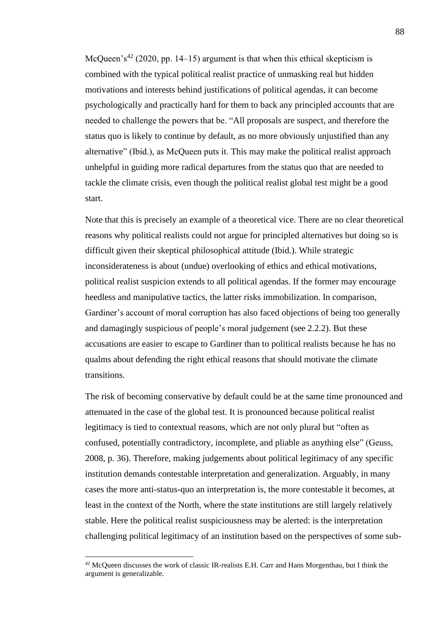McQueen's<sup>42</sup> (2020, pp. 14–15) argument is that when this ethical skepticism is combined with the typical political realist practice of unmasking real but hidden motivations and interests behind justifications of political agendas, it can become psychologically and practically hard for them to back any principled accounts that are needed to challenge the powers that be. "All proposals are suspect, and therefore the status quo is likely to continue by default, as no more obviously unjustified than any alternative" (Ibid.), as McQueen puts it. This may make the political realist approach unhelpful in guiding more radical departures from the status quo that are needed to tackle the climate crisis, even though the political realist global test might be a good start.

Note that this is precisely an example of a theoretical vice. There are no clear theoretical reasons why political realists could not argue for principled alternatives but doing so is difficult given their skeptical philosophical attitude (Ibid.). While strategic inconsiderateness is about (undue) overlooking of ethics and ethical motivations, political realist suspicion extends to all political agendas. If the former may encourage heedless and manipulative tactics, the latter risks immobilization. In comparison, Gardiner's account of moral corruption has also faced objections of being too generally and damagingly suspicious of people's moral judgement (see 2.2.2). But these accusations are easier to escape to Gardiner than to political realists because he has no qualms about defending the right ethical reasons that should motivate the climate transitions.

The risk of becoming conservative by default could be at the same time pronounced and attenuated in the case of the global test. It is pronounced because political realist legitimacy is tied to contextual reasons, which are not only plural but "often as confused, potentially contradictory, incomplete, and pliable as anything else" (Geuss, 2008, p. 36). Therefore, making judgements about political legitimacy of any specific institution demands contestable interpretation and generalization. Arguably, in many cases the more anti-status-quo an interpretation is, the more contestable it becomes, at least in the context of the North, where the state institutions are still largely relatively stable. Here the political realist suspiciousness may be alerted: is the interpretation challenging political legitimacy of an institution based on the perspectives of some sub-

 $42$  McQueen discusses the work of classic IR-realists E.H. Carr and Hans Morgenthau, but I think the argument is generalizable.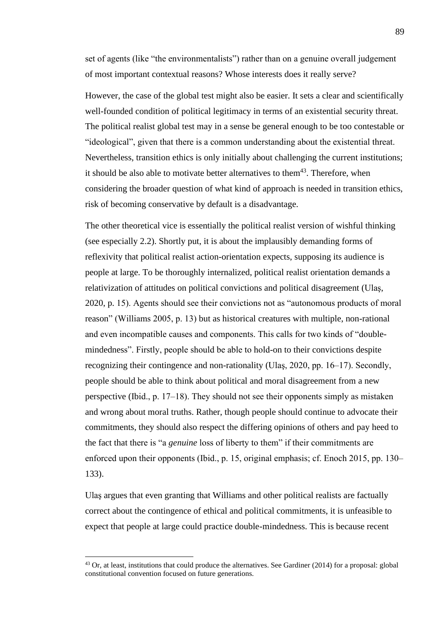set of agents (like "the environmentalists") rather than on a genuine overall judgement of most important contextual reasons? Whose interests does it really serve?

However, the case of the global test might also be easier. It sets a clear and scientifically well-founded condition of political legitimacy in terms of an existential security threat. The political realist global test may in a sense be general enough to be too contestable or "ideological", given that there is a common understanding about the existential threat. Nevertheless, transition ethics is only initially about challenging the current institutions; it should be also able to motivate better alternatives to them<sup>43</sup>. Therefore, when considering the broader question of what kind of approach is needed in transition ethics, risk of becoming conservative by default is a disadvantage.

The other theoretical vice is essentially the political realist version of wishful thinking (see especially 2.2). Shortly put, it is about the implausibly demanding forms of reflexivity that political realist action-orientation expects, supposing its audience is people at large. To be thoroughly internalized, political realist orientation demands a relativization of attitudes on political convictions and political disagreement (Ulaş, 2020, p. 15). Agents should see their convictions not as "autonomous products of moral reason" (Williams 2005, p. 13) but as historical creatures with multiple, non-rational and even incompatible causes and components. This calls for two kinds of "doublemindedness". Firstly, people should be able to hold-on to their convictions despite recognizing their contingence and non-rationality (Ulas, 2020, pp. 16–17). Secondly, people should be able to think about political and moral disagreement from a new perspective (Ibid., p. 17‒18). They should not see their opponents simply as mistaken and wrong about moral truths. Rather, though people should continue to advocate their commitments, they should also respect the differing opinions of others and pay heed to the fact that there is "a *genuine* loss of liberty to them" if their commitments are enforced upon their opponents (Ibid., p. 15, original emphasis; cf. Enoch 2015, pp. 130– 133).

Ulaş argues that even granting that Williams and other political realists are factually correct about the contingence of ethical and political commitments, it is unfeasible to expect that people at large could practice double-mindedness. This is because recent

<sup>&</sup>lt;sup>43</sup> Or, at least, institutions that could produce the alternatives. See Gardiner (2014) for a proposal: global constitutional convention focused on future generations.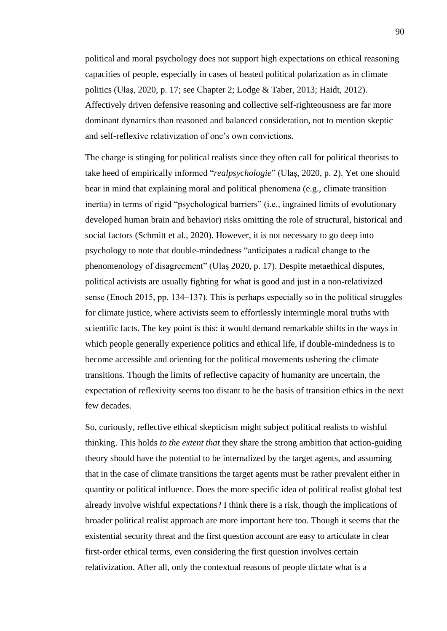political and moral psychology does not support high expectations on ethical reasoning capacities of people, especially in cases of heated political polarization as in climate politics (Ulaş, 2020, p. 17; see Chapter 2; Lodge & Taber, 2013; Haidt, 2012). Affectively driven defensive reasoning and collective self-righteousness are far more dominant dynamics than reasoned and balanced consideration, not to mention skeptic and self-reflexive relativization of one's own convictions.

The charge is stinging for political realists since they often call for political theorists to take heed of empirically informed "*realpsychologie*" (Ulaş, 2020, p. 2). Yet one should bear in mind that explaining moral and political phenomena (e.g., climate transition inertia) in terms of rigid "psychological barriers" (i.e., ingrained limits of evolutionary developed human brain and behavior) risks omitting the role of structural, historical and social factors (Schmitt et al., 2020). However, it is not necessary to go deep into psychology to note that double-mindedness "anticipates a radical change to the phenomenology of disagreement" (Ulaş 2020, p. 17). Despite metaethical disputes, political activists are usually fighting for what is good and just in a non-relativized sense (Enoch 2015, pp. 134–137). This is perhaps especially so in the political struggles for climate justice, where activists seem to effortlessly intermingle moral truths with scientific facts. The key point is this: it would demand remarkable shifts in the ways in which people generally experience politics and ethical life, if double-mindedness is to become accessible and orienting for the political movements ushering the climate transitions. Though the limits of reflective capacity of humanity are uncertain, the expectation of reflexivity seems too distant to be the basis of transition ethics in the next few decades.

So, curiously, reflective ethical skepticism might subject political realists to wishful thinking. This holds *to the extent that* they share the strong ambition that action-guiding theory should have the potential to be internalized by the target agents, and assuming that in the case of climate transitions the target agents must be rather prevalent either in quantity or political influence. Does the more specific idea of political realist global test already involve wishful expectations? I think there is a risk, though the implications of broader political realist approach are more important here too. Though it seems that the existential security threat and the first question account are easy to articulate in clear first-order ethical terms, even considering the first question involves certain relativization. After all, only the contextual reasons of people dictate what is a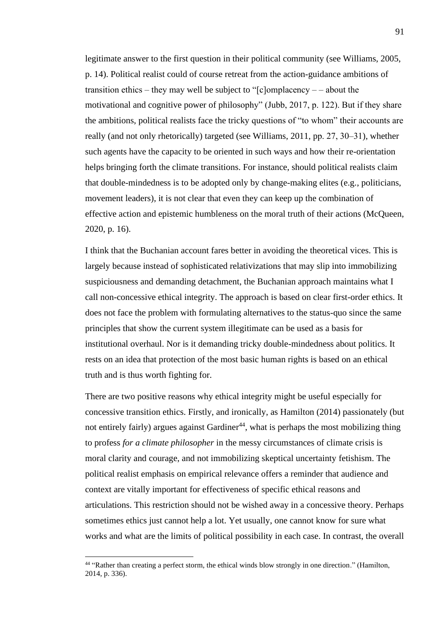legitimate answer to the first question in their political community (see Williams, 2005, p. 14). Political realist could of course retreat from the action-guidance ambitions of transition ethics – they may well be subject to " $[c]$ omplacency – – about the motivational and cognitive power of philosophy" (Jubb, 2017, p. 122). But if they share the ambitions, political realists face the tricky questions of "to whom" their accounts are really (and not only rhetorically) targeted (see Williams, 2011, pp. 27, 30‒31), whether such agents have the capacity to be oriented in such ways and how their re-orientation helps bringing forth the climate transitions. For instance, should political realists claim that double-mindedness is to be adopted only by change-making elites (e.g., politicians, movement leaders), it is not clear that even they can keep up the combination of effective action and epistemic humbleness on the moral truth of their actions (McQueen, 2020, p. 16).

I think that the Buchanian account fares better in avoiding the theoretical vices. This is largely because instead of sophisticated relativizations that may slip into immobilizing suspiciousness and demanding detachment, the Buchanian approach maintains what I call non-concessive ethical integrity. The approach is based on clear first-order ethics. It does not face the problem with formulating alternatives to the status-quo since the same principles that show the current system illegitimate can be used as a basis for institutional overhaul. Nor is it demanding tricky double-mindedness about politics. It rests on an idea that protection of the most basic human rights is based on an ethical truth and is thus worth fighting for.

There are two positive reasons why ethical integrity might be useful especially for concessive transition ethics. Firstly, and ironically, as Hamilton (2014) passionately (but not entirely fairly) argues against Gardiner<sup>44</sup>, what is perhaps the most mobilizing thing to profess *for a climate philosopher* in the messy circumstances of climate crisis is moral clarity and courage, and not immobilizing skeptical uncertainty fetishism. The political realist emphasis on empirical relevance offers a reminder that audience and context are vitally important for effectiveness of specific ethical reasons and articulations. This restriction should not be wished away in a concessive theory. Perhaps sometimes ethics just cannot help a lot. Yet usually, one cannot know for sure what works and what are the limits of political possibility in each case. In contrast, the overall

<sup>44</sup> "Rather than creating a perfect storm, the ethical winds blow strongly in one direction." (Hamilton, 2014, p. 336).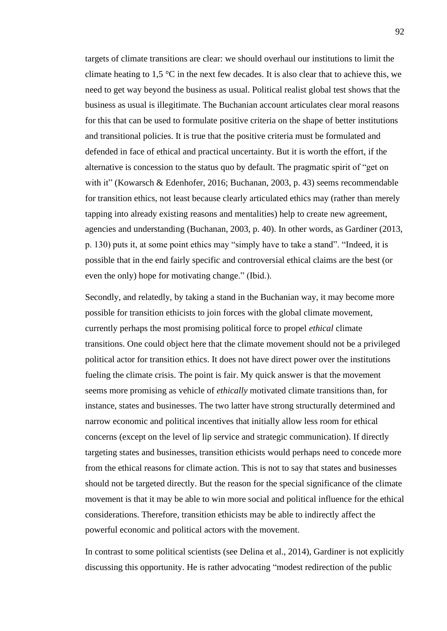targets of climate transitions are clear: we should overhaul our institutions to limit the climate heating to 1,5  $\degree$ C in the next few decades. It is also clear that to achieve this, we need to get way beyond the business as usual. Political realist global test shows that the business as usual is illegitimate. The Buchanian account articulates clear moral reasons for this that can be used to formulate positive criteria on the shape of better institutions and transitional policies. It is true that the positive criteria must be formulated and defended in face of ethical and practical uncertainty. But it is worth the effort, if the alternative is concession to the status quo by default. The pragmatic spirit of "get on with it" (Kowarsch & Edenhofer, 2016; Buchanan, 2003, p. 43) seems recommendable for transition ethics, not least because clearly articulated ethics may (rather than merely tapping into already existing reasons and mentalities) help to create new agreement, agencies and understanding (Buchanan, 2003, p. 40). In other words, as Gardiner (2013, p. 130) puts it, at some point ethics may "simply have to take a stand". "Indeed, it is possible that in the end fairly specific and controversial ethical claims are the best (or even the only) hope for motivating change." (Ibid.).

Secondly, and relatedly, by taking a stand in the Buchanian way, it may become more possible for transition ethicists to join forces with the global climate movement, currently perhaps the most promising political force to propel *ethical* climate transitions. One could object here that the climate movement should not be a privileged political actor for transition ethics. It does not have direct power over the institutions fueling the climate crisis. The point is fair. My quick answer is that the movement seems more promising as vehicle of *ethically* motivated climate transitions than, for instance, states and businesses. The two latter have strong structurally determined and narrow economic and political incentives that initially allow less room for ethical concerns (except on the level of lip service and strategic communication). If directly targeting states and businesses, transition ethicists would perhaps need to concede more from the ethical reasons for climate action. This is not to say that states and businesses should not be targeted directly. But the reason for the special significance of the climate movement is that it may be able to win more social and political influence for the ethical considerations. Therefore, transition ethicists may be able to indirectly affect the powerful economic and political actors with the movement.

In contrast to some political scientists (see Delina et al., 2014), Gardiner is not explicitly discussing this opportunity. He is rather advocating "modest redirection of the public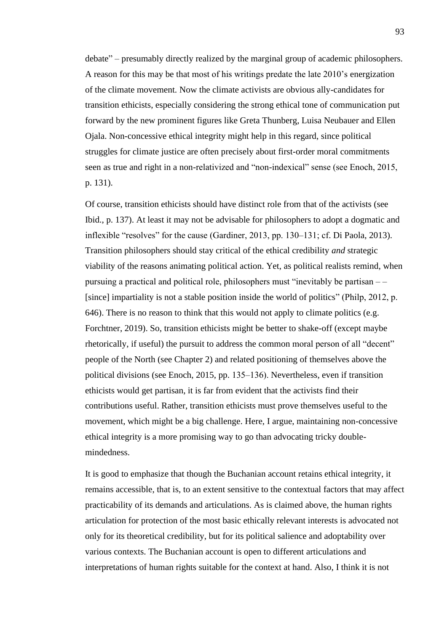debate" ‒ presumably directly realized by the marginal group of academic philosophers. A reason for this may be that most of his writings predate the late 2010's energization of the climate movement. Now the climate activists are obvious ally-candidates for transition ethicists, especially considering the strong ethical tone of communication put forward by the new prominent figures like Greta Thunberg, Luisa Neubauer and Ellen Ojala. Non-concessive ethical integrity might help in this regard, since political struggles for climate justice are often precisely about first-order moral commitments seen as true and right in a non-relativized and "non-indexical" sense (see Enoch, 2015, p. 131).

Of course, transition ethicists should have distinct role from that of the activists (see Ibid., p. 137). At least it may not be advisable for philosophers to adopt a dogmatic and inflexible "resolves" for the cause (Gardiner, 2013, pp. 130–131; cf. Di Paola, 2013). Transition philosophers should stay critical of the ethical credibility *and* strategic viability of the reasons animating political action. Yet, as political realists remind, when pursuing a practical and political role, philosophers must "inevitably be partisan  $--$ [since] impartiality is not a stable position inside the world of politics" (Philp, 2012, p. 646). There is no reason to think that this would not apply to climate politics (e.g. Forchtner, 2019). So, transition ethicists might be better to shake-off (except maybe rhetorically, if useful) the pursuit to address the common moral person of all "decent" people of the North (see Chapter 2) and related positioning of themselves above the political divisions (see Enoch, 2015, pp. 135–136). Nevertheless, even if transition ethicists would get partisan, it is far from evident that the activists find their contributions useful. Rather, transition ethicists must prove themselves useful to the movement, which might be a big challenge. Here, I argue, maintaining non-concessive ethical integrity is a more promising way to go than advocating tricky doublemindedness.

It is good to emphasize that though the Buchanian account retains ethical integrity, it remains accessible, that is, to an extent sensitive to the contextual factors that may affect practicability of its demands and articulations. As is claimed above, the human rights articulation for protection of the most basic ethically relevant interests is advocated not only for its theoretical credibility, but for its political salience and adoptability over various contexts. The Buchanian account is open to different articulations and interpretations of human rights suitable for the context at hand. Also, I think it is not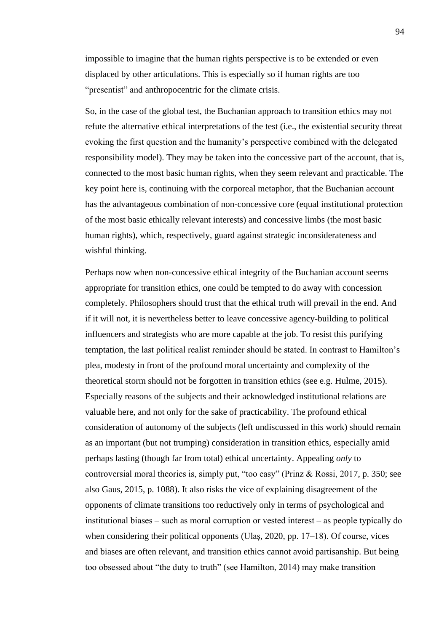impossible to imagine that the human rights perspective is to be extended or even displaced by other articulations. This is especially so if human rights are too "presentist" and anthropocentric for the climate crisis.

So, in the case of the global test, the Buchanian approach to transition ethics may not refute the alternative ethical interpretations of the test (i.e., the existential security threat evoking the first question and the humanity's perspective combined with the delegated responsibility model). They may be taken into the concessive part of the account, that is, connected to the most basic human rights, when they seem relevant and practicable. The key point here is, continuing with the corporeal metaphor, that the Buchanian account has the advantageous combination of non-concessive core (equal institutional protection of the most basic ethically relevant interests) and concessive limbs (the most basic human rights), which, respectively, guard against strategic inconsiderateness and wishful thinking.

Perhaps now when non-concessive ethical integrity of the Buchanian account seems appropriate for transition ethics, one could be tempted to do away with concession completely. Philosophers should trust that the ethical truth will prevail in the end. And if it will not, it is nevertheless better to leave concessive agency-building to political influencers and strategists who are more capable at the job. To resist this purifying temptation, the last political realist reminder should be stated. In contrast to Hamilton's plea, modesty in front of the profound moral uncertainty and complexity of the theoretical storm should not be forgotten in transition ethics (see e.g. Hulme, 2015). Especially reasons of the subjects and their acknowledged institutional relations are valuable here, and not only for the sake of practicability. The profound ethical consideration of autonomy of the subjects (left undiscussed in this work) should remain as an important (but not trumping) consideration in transition ethics, especially amid perhaps lasting (though far from total) ethical uncertainty. Appealing *only* to controversial moral theories is, simply put, "too easy" (Prinz & Rossi, 2017, p. 350; see also Gaus, 2015, p. 1088). It also risks the vice of explaining disagreement of the opponents of climate transitions too reductively only in terms of psychological and institutional biases  $-$  such as moral corruption or vested interest  $-$  as people typically do when considering their political opponents (Ulaş, 2020, pp.  $17-18$ ). Of course, vices and biases are often relevant, and transition ethics cannot avoid partisanship. But being too obsessed about "the duty to truth" (see Hamilton, 2014) may make transition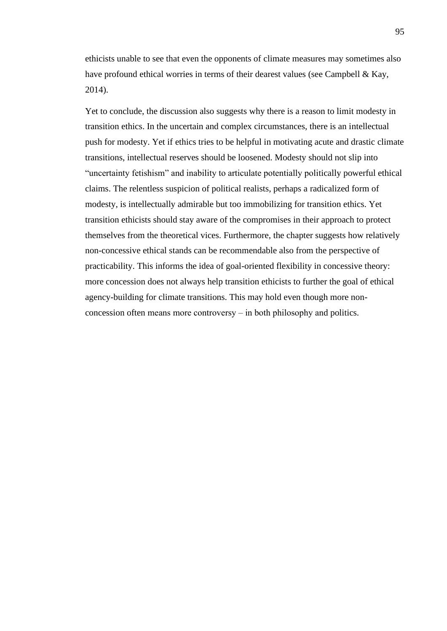ethicists unable to see that even the opponents of climate measures may sometimes also have profound ethical worries in terms of their dearest values (see Campbell & Kay, 2014).

Yet to conclude, the discussion also suggests why there is a reason to limit modesty in transition ethics. In the uncertain and complex circumstances, there is an intellectual push for modesty. Yet if ethics tries to be helpful in motivating acute and drastic climate transitions, intellectual reserves should be loosened. Modesty should not slip into "uncertainty fetishism" and inability to articulate potentially politically powerful ethical claims. The relentless suspicion of political realists, perhaps a radicalized form of modesty, is intellectually admirable but too immobilizing for transition ethics. Yet transition ethicists should stay aware of the compromises in their approach to protect themselves from the theoretical vices. Furthermore, the chapter suggests how relatively non-concessive ethical stands can be recommendable also from the perspective of practicability. This informs the idea of goal-oriented flexibility in concessive theory: more concession does not always help transition ethicists to further the goal of ethical agency-building for climate transitions. This may hold even though more nonconcession often means more controversy – in both philosophy and politics.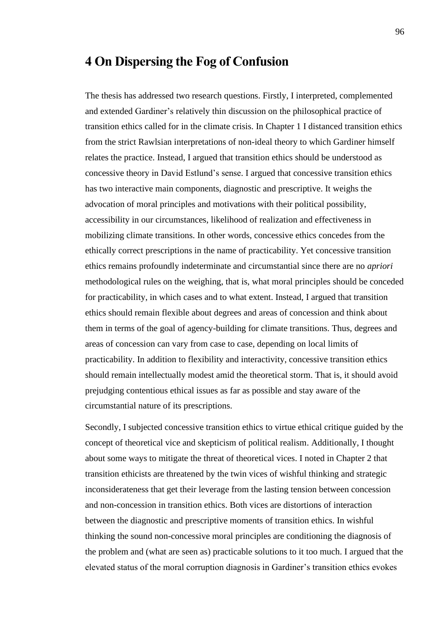## **4 On Dispersing the Fog of Confusion**

The thesis has addressed two research questions. Firstly, I interpreted, complemented and extended Gardiner's relatively thin discussion on the philosophical practice of transition ethics called for in the climate crisis. In Chapter 1 I distanced transition ethics from the strict Rawlsian interpretations of non-ideal theory to which Gardiner himself relates the practice. Instead, I argued that transition ethics should be understood as concessive theory in David Estlund's sense. I argued that concessive transition ethics has two interactive main components, diagnostic and prescriptive. It weighs the advocation of moral principles and motivations with their political possibility, accessibility in our circumstances, likelihood of realization and effectiveness in mobilizing climate transitions. In other words, concessive ethics concedes from the ethically correct prescriptions in the name of practicability. Yet concessive transition ethics remains profoundly indeterminate and circumstantial since there are no *apriori*  methodological rules on the weighing, that is, what moral principles should be conceded for practicability, in which cases and to what extent. Instead, I argued that transition ethics should remain flexible about degrees and areas of concession and think about them in terms of the goal of agency-building for climate transitions. Thus, degrees and areas of concession can vary from case to case, depending on local limits of practicability. In addition to flexibility and interactivity, concessive transition ethics should remain intellectually modest amid the theoretical storm. That is, it should avoid prejudging contentious ethical issues as far as possible and stay aware of the circumstantial nature of its prescriptions.

Secondly, I subjected concessive transition ethics to virtue ethical critique guided by the concept of theoretical vice and skepticism of political realism. Additionally, I thought about some ways to mitigate the threat of theoretical vices. I noted in Chapter 2 that transition ethicists are threatened by the twin vices of wishful thinking and strategic inconsiderateness that get their leverage from the lasting tension between concession and non-concession in transition ethics. Both vices are distortions of interaction between the diagnostic and prescriptive moments of transition ethics. In wishful thinking the sound non-concessive moral principles are conditioning the diagnosis of the problem and (what are seen as) practicable solutions to it too much. I argued that the elevated status of the moral corruption diagnosis in Gardiner's transition ethics evokes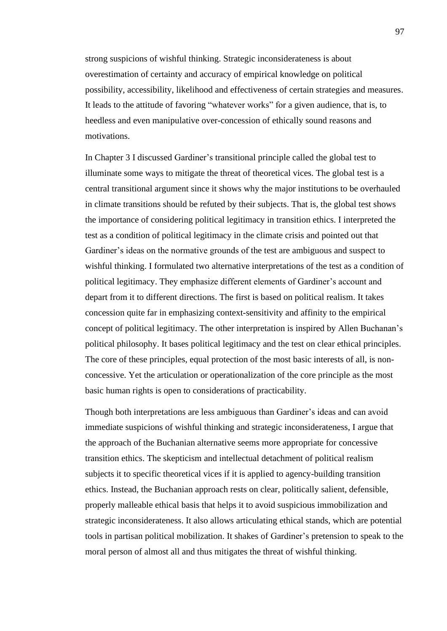strong suspicions of wishful thinking. Strategic inconsiderateness is about overestimation of certainty and accuracy of empirical knowledge on political possibility, accessibility, likelihood and effectiveness of certain strategies and measures. It leads to the attitude of favoring "whatever works" for a given audience, that is, to heedless and even manipulative over-concession of ethically sound reasons and motivations.

In Chapter 3 I discussed Gardiner's transitional principle called the global test to illuminate some ways to mitigate the threat of theoretical vices. The global test is a central transitional argument since it shows why the major institutions to be overhauled in climate transitions should be refuted by their subjects. That is, the global test shows the importance of considering political legitimacy in transition ethics. I interpreted the test as a condition of political legitimacy in the climate crisis and pointed out that Gardiner's ideas on the normative grounds of the test are ambiguous and suspect to wishful thinking. I formulated two alternative interpretations of the test as a condition of political legitimacy. They emphasize different elements of Gardiner's account and depart from it to different directions. The first is based on political realism. It takes concession quite far in emphasizing context-sensitivity and affinity to the empirical concept of political legitimacy. The other interpretation is inspired by Allen Buchanan's political philosophy. It bases political legitimacy and the test on clear ethical principles. The core of these principles, equal protection of the most basic interests of all, is nonconcessive. Yet the articulation or operationalization of the core principle as the most basic human rights is open to considerations of practicability.

Though both interpretations are less ambiguous than Gardiner's ideas and can avoid immediate suspicions of wishful thinking and strategic inconsiderateness, I argue that the approach of the Buchanian alternative seems more appropriate for concessive transition ethics. The skepticism and intellectual detachment of political realism subjects it to specific theoretical vices if it is applied to agency-building transition ethics. Instead, the Buchanian approach rests on clear, politically salient, defensible, properly malleable ethical basis that helps it to avoid suspicious immobilization and strategic inconsiderateness. It also allows articulating ethical stands, which are potential tools in partisan political mobilization. It shakes of Gardiner's pretension to speak to the moral person of almost all and thus mitigates the threat of wishful thinking.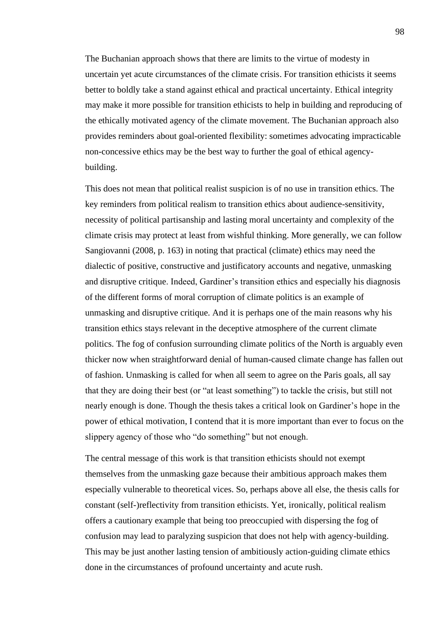The Buchanian approach shows that there are limits to the virtue of modesty in uncertain yet acute circumstances of the climate crisis. For transition ethicists it seems better to boldly take a stand against ethical and practical uncertainty. Ethical integrity may make it more possible for transition ethicists to help in building and reproducing of the ethically motivated agency of the climate movement. The Buchanian approach also provides reminders about goal-oriented flexibility: sometimes advocating impracticable non-concessive ethics may be the best way to further the goal of ethical agencybuilding.

This does not mean that political realist suspicion is of no use in transition ethics. The key reminders from political realism to transition ethics about audience-sensitivity, necessity of political partisanship and lasting moral uncertainty and complexity of the climate crisis may protect at least from wishful thinking. More generally, we can follow Sangiovanni (2008, p. 163) in noting that practical (climate) ethics may need the dialectic of positive, constructive and justificatory accounts and negative, unmasking and disruptive critique. Indeed, Gardiner's transition ethics and especially his diagnosis of the different forms of moral corruption of climate politics is an example of unmasking and disruptive critique. And it is perhaps one of the main reasons why his transition ethics stays relevant in the deceptive atmosphere of the current climate politics. The fog of confusion surrounding climate politics of the North is arguably even thicker now when straightforward denial of human-caused climate change has fallen out of fashion. Unmasking is called for when all seem to agree on the Paris goals, all say that they are doing their best (or "at least something") to tackle the crisis, but still not nearly enough is done. Though the thesis takes a critical look on Gardiner's hope in the power of ethical motivation, I contend that it is more important than ever to focus on the slippery agency of those who "do something" but not enough.

The central message of this work is that transition ethicists should not exempt themselves from the unmasking gaze because their ambitious approach makes them especially vulnerable to theoretical vices. So, perhaps above all else, the thesis calls for constant (self-)reflectivity from transition ethicists. Yet, ironically, political realism offers a cautionary example that being too preoccupied with dispersing the fog of confusion may lead to paralyzing suspicion that does not help with agency-building. This may be just another lasting tension of ambitiously action-guiding climate ethics done in the circumstances of profound uncertainty and acute rush.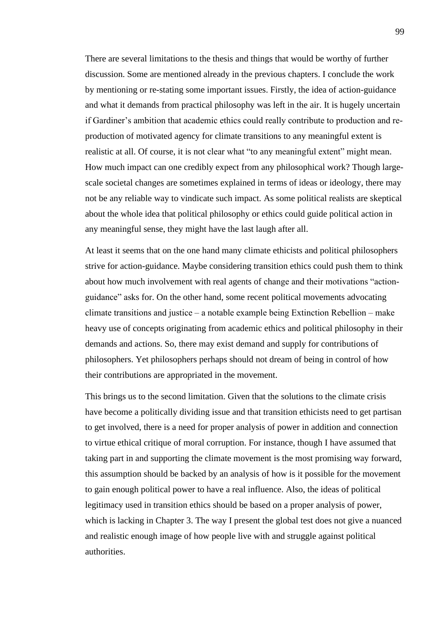There are several limitations to the thesis and things that would be worthy of further discussion. Some are mentioned already in the previous chapters. I conclude the work by mentioning or re-stating some important issues. Firstly, the idea of action-guidance and what it demands from practical philosophy was left in the air. It is hugely uncertain if Gardiner's ambition that academic ethics could really contribute to production and reproduction of motivated agency for climate transitions to any meaningful extent is realistic at all. Of course, it is not clear what "to any meaningful extent" might mean. How much impact can one credibly expect from any philosophical work? Though largescale societal changes are sometimes explained in terms of ideas or ideology, there may not be any reliable way to vindicate such impact. As some political realists are skeptical about the whole idea that political philosophy or ethics could guide political action in any meaningful sense, they might have the last laugh after all.

At least it seems that on the one hand many climate ethicists and political philosophers strive for action-guidance. Maybe considering transition ethics could push them to think about how much involvement with real agents of change and their motivations "actionguidance" asks for. On the other hand, some recent political movements advocating climate transitions and justice  $-$  a notable example being Extinction Rebellion  $-$  make heavy use of concepts originating from academic ethics and political philosophy in their demands and actions. So, there may exist demand and supply for contributions of philosophers. Yet philosophers perhaps should not dream of being in control of how their contributions are appropriated in the movement.

This brings us to the second limitation. Given that the solutions to the climate crisis have become a politically dividing issue and that transition ethicists need to get partisan to get involved, there is a need for proper analysis of power in addition and connection to virtue ethical critique of moral corruption. For instance, though I have assumed that taking part in and supporting the climate movement is the most promising way forward, this assumption should be backed by an analysis of how is it possible for the movement to gain enough political power to have a real influence. Also, the ideas of political legitimacy used in transition ethics should be based on a proper analysis of power, which is lacking in Chapter 3. The way I present the global test does not give a nuanced and realistic enough image of how people live with and struggle against political authorities.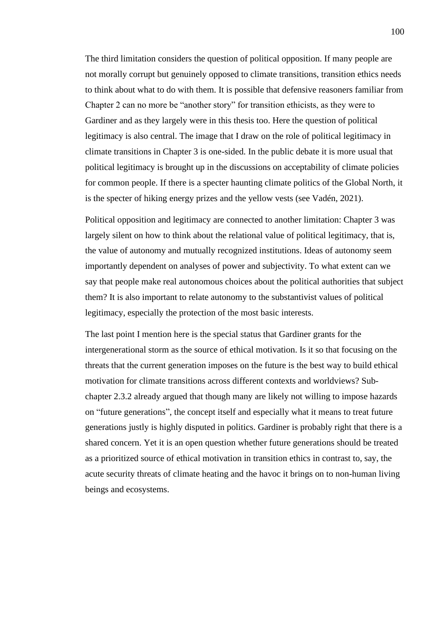The third limitation considers the question of political opposition. If many people are not morally corrupt but genuinely opposed to climate transitions, transition ethics needs to think about what to do with them. It is possible that defensive reasoners familiar from Chapter 2 can no more be "another story" for transition ethicists, as they were to Gardiner and as they largely were in this thesis too. Here the question of political legitimacy is also central. The image that I draw on the role of political legitimacy in climate transitions in Chapter 3 is one-sided. In the public debate it is more usual that political legitimacy is brought up in the discussions on acceptability of climate policies for common people. If there is a specter haunting climate politics of the Global North, it is the specter of hiking energy prizes and the yellow vests (see Vadén, 2021).

Political opposition and legitimacy are connected to another limitation: Chapter 3 was largely silent on how to think about the relational value of political legitimacy, that is, the value of autonomy and mutually recognized institutions. Ideas of autonomy seem importantly dependent on analyses of power and subjectivity. To what extent can we say that people make real autonomous choices about the political authorities that subject them? It is also important to relate autonomy to the substantivist values of political legitimacy, especially the protection of the most basic interests.

The last point I mention here is the special status that Gardiner grants for the intergenerational storm as the source of ethical motivation. Is it so that focusing on the threats that the current generation imposes on the future is the best way to build ethical motivation for climate transitions across different contexts and worldviews? Subchapter 2.3.2 already argued that though many are likely not willing to impose hazards on "future generations", the concept itself and especially what it means to treat future generations justly is highly disputed in politics. Gardiner is probably right that there is a shared concern. Yet it is an open question whether future generations should be treated as a prioritized source of ethical motivation in transition ethics in contrast to, say, the acute security threats of climate heating and the havoc it brings on to non-human living beings and ecosystems.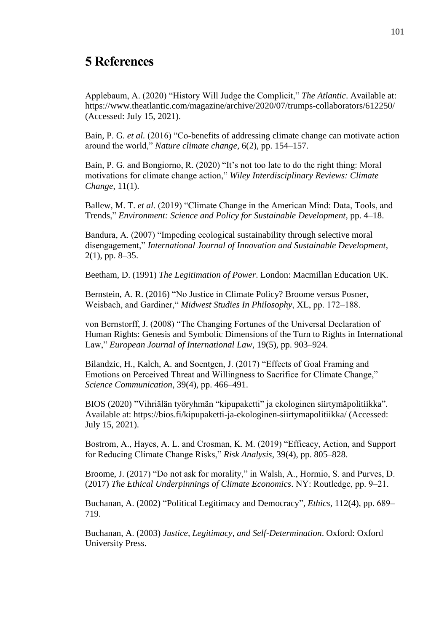# **5 References**

Applebaum, A. (2020) "History Will Judge the Complicit," *The Atlantic*. Available at: https://www.theatlantic.com/magazine/archive/2020/07/trumps-collaborators/612250/ (Accessed: July 15, 2021).

Bain, P. G. *et al.* (2016) "Co-benefits of addressing climate change can motivate action around the world," *Nature climate change*, 6(2), pp. 154–157.

Bain, P. G. and Bongiorno, R. (2020) "It's not too late to do the right thing: Moral motivations for climate change action," *Wiley Interdisciplinary Reviews: Climate Change*, 11(1).

Ballew, M. T. *et al.* (2019) "Climate Change in the American Mind: Data, Tools, and Trends," *Environment: Science and Policy for Sustainable Development*, pp. 4–18.

Bandura, A. (2007) "Impeding ecological sustainability through selective moral disengagement," *International Journal of Innovation and Sustainable Development*, 2(1), pp. 8–35.

Beetham, D. (1991) *The Legitimation of Power*. London: Macmillan Education UK.

Bernstein, A. R. (2016) "No Justice in Climate Policy? Broome versus Posner, Weisbach, and Gardiner," *Midwest Studies In Philosophy*, XL, pp. 172–188.

von Bernstorff, J. (2008) "The Changing Fortunes of the Universal Declaration of Human Rights: Genesis and Symbolic Dimensions of the Turn to Rights in International Law," *European Journal of International Law*, 19(5), pp. 903–924.

Bilandzic, H., Kalch, A. and Soentgen, J. (2017) "Effects of Goal Framing and Emotions on Perceived Threat and Willingness to Sacrifice for Climate Change," *Science Communication*, 39(4), pp. 466–491.

BIOS (2020) "Vihriälän työryhmän "kipupaketti" ja ekologinen siirtymäpolitiikka". Available at: https://bios.fi/kipupaketti-ja-ekologinen-siirtymapolitiikka/ (Accessed: July 15, 2021).

Bostrom, A., Hayes, A. L. and Crosman, K. M. (2019) "Efficacy, Action, and Support for Reducing Climate Change Risks," *Risk Analysis*, 39(4), pp. 805–828.

Broome, J. (2017) "Do not ask for morality," in Walsh, A., Hormio, S. and Purves, D. (2017) *The Ethical Underpinnings of Climate Economics*. NY: Routledge, pp. 9‒21.

Buchanan, A. (2002) "Political Legitimacy and Democracy", *Ethics*, 112(4), pp. 689– 719.

Buchanan, A. (2003) *Justice, Legitimacy, and Self-Determination*. Oxford: Oxford University Press.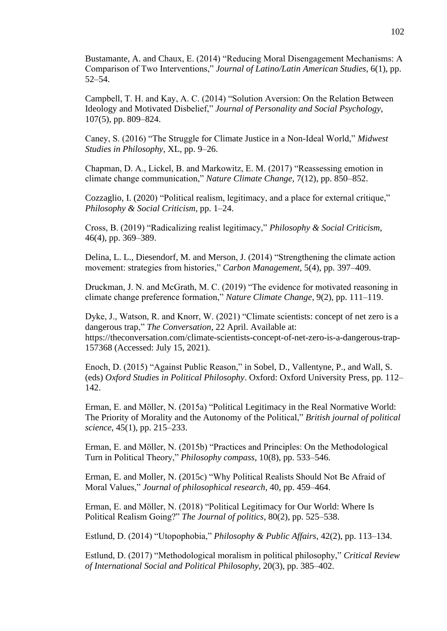Bustamante, A. and Chaux, E. (2014) "Reducing Moral Disengagement Mechanisms: A Comparison of Two Interventions," *Journal of Latino/Latin American Studies*, 6(1), pp. 52–54.

Campbell, T. H. and Kay, A. C. (2014) "Solution Aversion: On the Relation Between Ideology and Motivated Disbelief," *Journal of Personality and Social Psychology*, 107(5), pp. 809–824.

Caney, S. (2016) "The Struggle for Climate Justice in a Non-Ideal World," *Midwest Studies in Philosophy*, XL, pp. 9–26.

Chapman, D. A., Lickel, B. and Markowitz, E. M. (2017) "Reassessing emotion in climate change communication," *Nature Climate Change*, 7(12), pp. 850–852.

Cozzaglio, I. (2020) "Political realism, legitimacy, and a place for external critique," *Philosophy & Social Criticism*, pp. 1–24.

Cross, B. (2019) "Radicalizing realist legitimacy," *Philosophy & Social Criticism*, 46(4), pp. 369–389.

Delina, L. L., Diesendorf, M. and Merson, J. (2014) "Strengthening the climate action movement: strategies from histories," *Carbon Management*, 5(4), pp. 397–409.

Druckman, J. N. and McGrath, M. C. (2019) "The evidence for motivated reasoning in climate change preference formation," *Nature Climate Change*, 9(2), pp. 111–119.

Dyke, J., Watson, R. and Knorr, W. (2021) "Climate scientists: concept of net zero is a dangerous trap," *The Conversation*, 22 April. Available at: https://theconversation.com/climate-scientists-concept-of-net-zero-is-a-dangerous-trap-157368 (Accessed: July 15, 2021).

Enoch, D. (2015) "Against Public Reason," in Sobel, D., Vallentyne, P., and Wall, S. (eds) *Oxford Studies in Political Philosophy*. Oxford: Oxford University Press, pp. 112– 142.

Erman, E. and Möller, N. (2015a) "Political Legitimacy in the Real Normative World: The Priority of Morality and the Autonomy of the Political," *British journal of political science*, 45(1), pp. 215–233.

Erman, E. and Möller, N. (2015b) "Practices and Principles: On the Methodological Turn in Political Theory," *Philosophy compass*, 10(8), pp. 533–546.

Erman, E. and Moller, N. (2015c) "Why Political Realists Should Not Be Afraid of Moral Values," *Journal of philosophical research*, 40, pp. 459–464.

Erman, E. and Möller, N. (2018) "Political Legitimacy for Our World: Where Is Political Realism Going?" *The Journal of politics*, 80(2), pp. 525–538.

Estlund, D. (2014) "Utopophobia," *Philosophy & Public Affairs*, 42(2), pp. 113–134.

Estlund, D. (2017) "Methodological moralism in political philosophy," *Critical Review of International Social and Political Philosophy*, 20(3), pp. 385–402.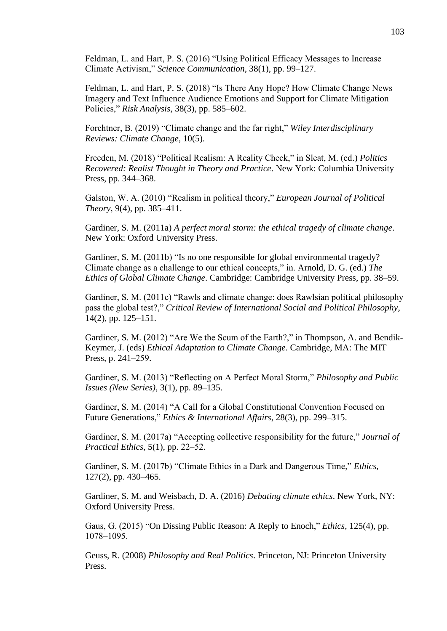Feldman, L. and Hart, P. S. (2016) "Using Political Efficacy Messages to Increase Climate Activism," *Science Communication*, 38(1), pp. 99–127.

Feldman, L. and Hart, P. S. (2018) "Is There Any Hope? How Climate Change News Imagery and Text Influence Audience Emotions and Support for Climate Mitigation Policies," *Risk Analysis*, 38(3), pp. 585–602.

Forchtner, B. (2019) "Climate change and the far right," *Wiley Interdisciplinary Reviews: Climate Change*, 10(5).

Freeden, M. (2018) "Political Realism: A Reality Check," in Sleat, M. (ed.) *Politics Recovered: Realist Thought in Theory and Practice*. New York: Columbia University Press, pp. 344–368.

Galston, W. A. (2010) "Realism in political theory," *European Journal of Political Theory*, 9(4), pp. 385–411.

Gardiner, S. M. (2011a) *A perfect moral storm: the ethical tragedy of climate change*. New York: Oxford University Press.

Gardiner, S. M. (2011b) "Is no one responsible for global environmental tragedy? Climate change as a challenge to our ethical concepts," in. Arnold, D. G. (ed.) *The Ethics of Global Climate Change*. Cambridge: Cambridge University Press, pp. 38–59.

Gardiner, S. M. (2011c) "Rawls and climate change: does Rawlsian political philosophy pass the global test?," *Critical Review of International Social and Political Philosophy*, 14(2), pp. 125–151.

Gardiner, S. M. (2012) "Are We the Scum of the Earth?," in Thompson, A. and Bendik-Keymer, J. (eds) *Ethical Adaptation to Climate Change*. Cambridge, MA: The MIT Press, p. 241–259.

Gardiner, S. M. (2013) "Reflecting on A Perfect Moral Storm," *Philosophy and Public Issues (New Series)*, 3(1), pp. 89–135.

Gardiner, S. M. (2014) "A Call for a Global Constitutional Convention Focused on Future Generations," *Ethics & International Affairs*, 28(3), pp. 299–315.

Gardiner, S. M. (2017a) "Accepting collective responsibility for the future," *Journal of Practical Ethics*, 5(1), pp. 22‒52.

Gardiner, S. M. (2017b) "Climate Ethics in a Dark and Dangerous Time," *Ethics*, 127(2), pp. 430–465.

Gardiner, S. M. and Weisbach, D. A. (2016) *Debating climate ethics*. New York, NY: Oxford University Press.

Gaus, G. (2015) "On Dissing Public Reason: A Reply to Enoch," *Ethics*, 125(4), pp. 1078‒1095.

Geuss, R. (2008) *Philosophy and Real Politics*. Princeton, NJ: Princeton University Press.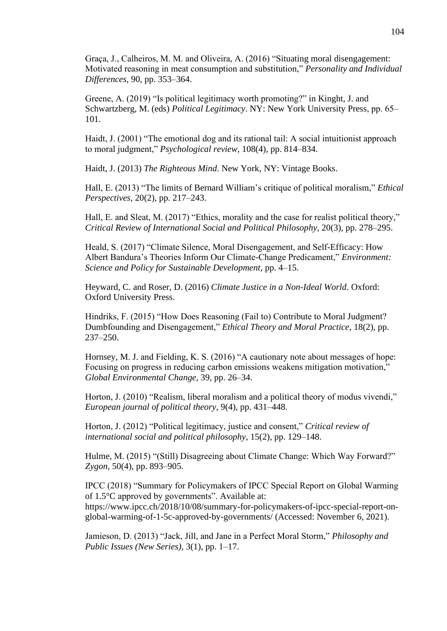Graça, J., Calheiros, M. M. and Oliveira, A. (2016) "Situating moral disengagement: Motivated reasoning in meat consumption and substitution," *Personality and Individual Differences*, 90, pp. 353–364.

Greene, A. (2019) "Is political legitimacy worth promoting?" in Kinght, J. and Schwartzberg, M. (eds) *Political Legitimacy*. NY: New York University Press, pp. 65– 101.

Haidt, J. (2001) "The emotional dog and its rational tail: A social intuitionist approach to moral judgment," *Psychological review*, 108(4), pp. 814–834.

Haidt, J. (2013) *The Righteous Mind*. New York, NY: Vintage Books.

Hall, E. (2013) "The limits of Bernard William's critique of political moralism," *Ethical Perspectives*, 20(2), pp. 217–243.

Hall, E. and Sleat, M. (2017) "Ethics, morality and the case for realist political theory," *Critical Review of International Social and Political Philosophy*, 20(3), pp. 278–295.

Heald, S. (2017) "Climate Silence, Moral Disengagement, and Self-Efficacy: How Albert Bandura's Theories Inform Our Climate-Change Predicament," *Environment: Science and Policy for Sustainable Development*, pp. 4–15.

Heyward, C. and Roser, D. (2016) *Climate Justice in a Non-Ideal World*. Oxford: Oxford University Press.

Hindriks, F. (2015) "How Does Reasoning (Fail to) Contribute to Moral Judgment? Dumbfounding and Disengagement," *Ethical Theory and Moral Practice*, 18(2), pp. 237–250.

Hornsey, M. J. and Fielding, K. S. (2016) "A cautionary note about messages of hope: Focusing on progress in reducing carbon emissions weakens mitigation motivation," *Global Environmental Change*, 39, pp. 26–34.

Horton, J. (2010) "Realism, liberal moralism and a political theory of modus vivendi," *European journal of political theory*, 9(4), pp. 431–448.

Horton, J. (2012) "Political legitimacy, justice and consent," *Critical review of international social and political philosophy*, 15(2), pp. 129–148.

Hulme, M. (2015) "(Still) Disagreeing about Climate Change: Which Way Forward?" *Zygon*, 50(4), pp. 893–905.

IPCC (2018) "Summary for Policymakers of IPCC Special Report on Global Warming of 1.5°C approved by governments". Available at: https://www.ipcc.ch/2018/10/08/summary-for-policymakers-of-ipcc-special-report-onglobal-warming-of-1-5c-approved-by-governments/ (Accessed: November 6, 2021).

Jamieson, D. (2013) "Jack, Jill, and Jane in a Perfect Moral Storm," *Philosophy and Public Issues (New Series)*, 3(1), pp. 1–17.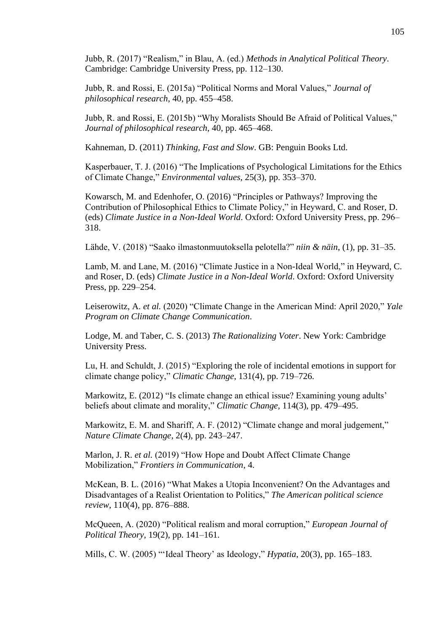Jubb, R. (2017) "Realism," in Blau, A. (ed.) *Methods in Analytical Political Theory*. Cambridge: Cambridge University Press, pp. 112–130.

Jubb, R. and Rossi, E. (2015a) "Political Norms and Moral Values," *Journal of philosophical research*, 40, pp. 455–458.

Jubb, R. and Rossi, E. (2015b) "Why Moralists Should Be Afraid of Political Values," *Journal of philosophical research*, 40, pp. 465–468.

Kahneman, D. (2011) *Thinking, Fast and Slow*. GB: Penguin Books Ltd.

Kasperbauer, T. J. (2016) "The Implications of Psychological Limitations for the Ethics of Climate Change," *Environmental values*, 25(3), pp. 353–370.

Kowarsch, M. and Edenhofer, O. (2016) "Principles or Pathways? Improving the Contribution of Philosophical Ethics to Climate Policy," in Heyward, C. and Roser, D. (eds) *Climate Justice in a Non-Ideal World*. Oxford: Oxford University Press, pp. 296– 318.

Lähde, V. (2018) "Saako ilmastonmuutoksella pelotella?" *niin & näin*, (1), pp. 31–35.

Lamb, M. and Lane, M. (2016) "Climate Justice in a Non-Ideal World," in Heyward, C. and Roser, D. (eds) *Climate Justice in a Non-Ideal World*. Oxford: Oxford University Press, pp. 229–254.

Leiserowitz, A. *et al.* (2020) "Climate Change in the American Mind: April 2020," *Yale Program on Climate Change Communication*.

Lodge, M. and Taber, C. S. (2013) *The Rationalizing Voter*. New York: Cambridge University Press.

Lu, H. and Schuldt, J. (2015) "Exploring the role of incidental emotions in support for climate change policy," *Climatic Change*, 131(4), pp. 719–726.

Markowitz, E. (2012) "Is climate change an ethical issue? Examining young adults' beliefs about climate and morality," *Climatic Change*, 114(3), pp. 479–495.

Markowitz, E. M. and Shariff, A. F. (2012) "Climate change and moral judgement," *Nature Climate Change*, 2(4), pp. 243–247.

Marlon, J. R. *et al.* (2019) "How Hope and Doubt Affect Climate Change Mobilization," *Frontiers in Communication*, 4.

McKean, B. L. (2016) "What Makes a Utopia Inconvenient? On the Advantages and Disadvantages of a Realist Orientation to Politics," *The American political science review*, 110(4), pp. 876–888.

McQueen, A. (2020) "Political realism and moral corruption," *European Journal of Political Theory*, 19(2), pp. 141–161.

Mills, C. W. (2005) "'Ideal Theory' as Ideology," *Hypatia*, 20(3), pp. 165–183.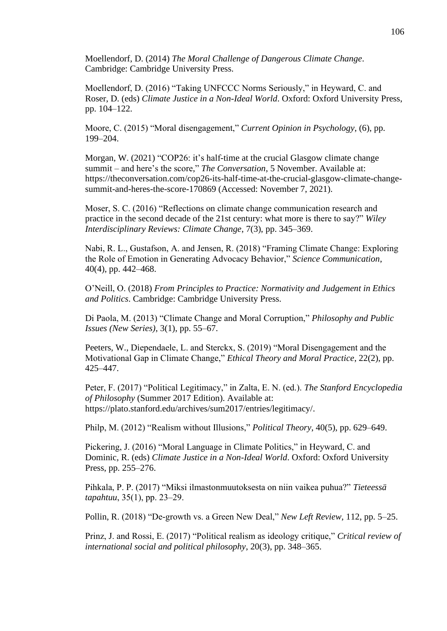Moellendorf, D. (2014) *The Moral Challenge of Dangerous Climate Change*. Cambridge: Cambridge University Press.

Moellendorf, D. (2016) "Taking UNFCCC Norms Seriously," in Heyward, C. and Roser, D. (eds) *Climate Justice in a Non-Ideal World*. Oxford: Oxford University Press, pp. 104–122.

Moore, C. (2015) "Moral disengagement," *Current Opinion in Psychology*, (6), pp. 199–204.

Morgan, W. (2021) "COP26: it's half-time at the crucial Glasgow climate change summit – and here's the score," *The Conversation*, 5 November. Available at: https://theconversation.com/cop26-its-half-time-at-the-crucial-glasgow-climate-changesummit-and-heres-the-score-170869 (Accessed: November 7, 2021).

Moser, S. C. (2016) "Reflections on climate change communication research and practice in the second decade of the 21st century: what more is there to say?" *Wiley Interdisciplinary Reviews: Climate Change*, 7(3), pp. 345–369.

Nabi, R. L., Gustafson, A. and Jensen, R. (2018) "Framing Climate Change: Exploring the Role of Emotion in Generating Advocacy Behavior," *Science Communication*, 40(4), pp. 442–468.

O'Neill, O. (2018) *From Principles to Practice: Normativity and Judgement in Ethics and Politics*. Cambridge: Cambridge University Press.

Di Paola, M. (2013) "Climate Change and Moral Corruption," *Philosophy and Public Issues (New Series)*, 3(1), pp. 55–67.

Peeters, W., Diependaele, L. and Sterckx, S. (2019) "Moral Disengagement and the Motivational Gap in Climate Change," *Ethical Theory and Moral Practice*, 22(2), pp. 425–447.

Peter, F. (2017) "Political Legitimacy," in Zalta, E. N. (ed.). *The Stanford Encyclopedia of Philosophy* (Summer 2017 Edition). Available at: https://plato.stanford.edu/archives/sum2017/entries/legitimacy/.

Philp, M. (2012) "Realism without Illusions," *Political Theory*, 40(5), pp. 629–649.

Pickering, J. (2016) "Moral Language in Climate Politics," in Heyward, C. and Dominic, R. (eds) *Climate Justice in a Non-Ideal World*. Oxford: Oxford University Press, pp. 255–276.

Pihkala, P. P. (2017) "Miksi ilmastonmuutoksesta on niin vaikea puhua?" *Tieteessä tapahtuu*, 35(1), pp. 23–29.

Pollin, R. (2018) "De-growth vs. a Green New Deal," *New Left Review*, 112, pp. 5–25.

Prinz, J. and Rossi, E. (2017) "Political realism as ideology critique," *Critical review of international social and political philosophy*, 20(3), pp. 348–365.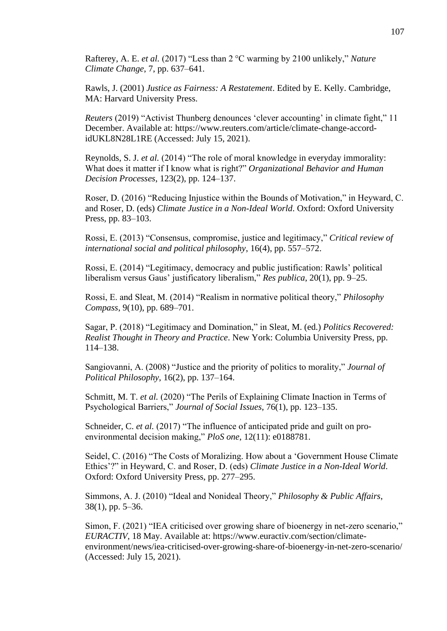Rafterey, A. E. *et al.* (2017) "Less than 2 °C warming by 2100 unlikely," *Nature Climate Change*, 7, pp. 637–641.

Rawls, J. (2001) *Justice as Fairness: A Restatement*. Edited by E. Kelly. Cambridge, MA: Harvard University Press.

*Reuters* (2019) "Activist Thunberg denounces 'clever accounting' in climate fight," 11 December. Available at: https://www.reuters.com/article/climate-change-accordidUKL8N28L1RE (Accessed: July 15, 2021).

Reynolds, S. J. *et al.* (2014) "The role of moral knowledge in everyday immorality: What does it matter if I know what is right?" *Organizational Behavior and Human Decision Processes*, 123(2), pp. 124–137.

Roser, D. (2016) "Reducing Injustice within the Bounds of Motivation," in Heyward, C. and Roser, D. (eds) *Climate Justice in a Non-Ideal World*. Oxford: Oxford University Press, pp. 83–103.

Rossi, E. (2013) "Consensus, compromise, justice and legitimacy," *Critical review of international social and political philosophy*, 16(4), pp. 557–572.

Rossi, E. (2014) "Legitimacy, democracy and public justification: Rawls' political liberalism versus Gaus' justificatory liberalism," *Res publica*, 20(1), pp. 9–25.

Rossi, E. and Sleat, M. (2014) "Realism in normative political theory," *Philosophy Compass*, 9(10), pp. 689–701.

Sagar, P. (2018) "Legitimacy and Domination," in Sleat, M. (ed.) *Politics Recovered: Realist Thought in Theory and Practice*. New York: Columbia University Press, pp. 114–138.

Sangiovanni, A. (2008) "Justice and the priority of politics to morality," *Journal of Political Philosophy*, 16(2), pp. 137–164.

Schmitt, M. T. *et al.* (2020) "The Perils of Explaining Climate Inaction in Terms of Psychological Barriers," *Journal of Social Issues*, 76(1), pp. 123–135.

Schneider, C. *et al.* (2017) "The influence of anticipated pride and guilt on proenvironmental decision making," *PloS one*, 12(11): e0188781.

Seidel, C. (2016) "The Costs of Moralizing. How about a 'Government House Climate Ethics'?" in Heyward, C. and Roser, D. (eds) *Climate Justice in a Non-Ideal World*. Oxford: Oxford University Press, pp. 277–295.

Simmons, A. J. (2010) "Ideal and Nonideal Theory," *Philosophy & Public Affairs*, 38(1), pp. 5–36.

Simon, F. (2021) "IEA criticised over growing share of bioenergy in net-zero scenario," *EURACTIV*, 18 May. Available at: https://www.euractiv.com/section/climateenvironment/news/iea-criticised-over-growing-share-of-bioenergy-in-net-zero-scenario/ (Accessed: July 15, 2021).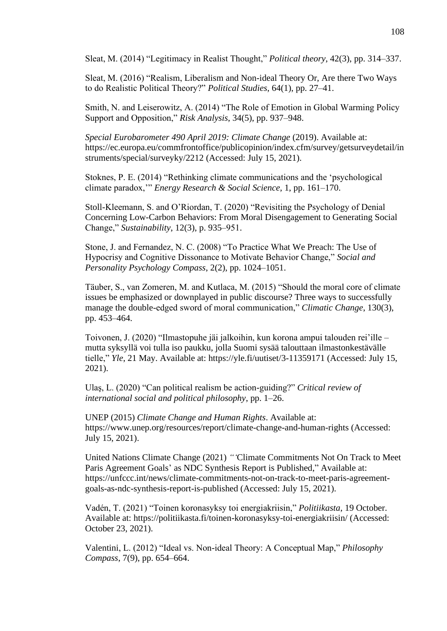Sleat, M. (2014) "Legitimacy in Realist Thought," *Political theory*, 42(3), pp. 314–337.

Sleat, M. (2016) "Realism, Liberalism and Non-ideal Theory Or, Are there Two Ways to do Realistic Political Theory?" *Political Studies*, 64(1), pp. 27–41.

Smith, N. and Leiserowitz, A. (2014) "The Role of Emotion in Global Warming Policy Support and Opposition," *Risk Analysis*, 34(5), pp. 937–948.

*Special Eurobarometer 490 April 2019: Climate Change* (2019). Available at: https://ec.europa.eu/commfrontoffice/publicopinion/index.cfm/survey/getsurveydetail/in struments/special/surveyky/2212 (Accessed: July 15, 2021).

Stoknes, P. E. (2014) "Rethinking climate communications and the 'psychological climate paradox,'" *Energy Research & Social Science*, 1, pp. 161–170.

Stoll-Kleemann, S. and O'Riordan, T. (2020) "Revisiting the Psychology of Denial Concerning Low-Carbon Behaviors: From Moral Disengagement to Generating Social Change," *Sustainability*, 12(3), p. 935‒951.

Stone, J. and Fernandez, N. C. (2008) "To Practice What We Preach: The Use of Hypocrisy and Cognitive Dissonance to Motivate Behavior Change," *Social and Personality Psychology Compass*, 2(2), pp. 1024–1051.

Täuber, S., van Zomeren, M. and Kutlaca, M. (2015) "Should the moral core of climate issues be emphasized or downplayed in public discourse? Three ways to successfully manage the double-edged sword of moral communication," *Climatic Change*, 130(3), pp. 453–464.

Toivonen, J. (2020) "Ilmastopuhe jäi jalkoihin, kun korona ampui talouden rei'ille – mutta syksyllä voi tulla iso paukku, jolla Suomi sysää talouttaan ilmastonkestävälle tielle," *Yle*, 21 May. Available at: https://yle.fi/uutiset/3-11359171 (Accessed: July 15, 2021).

Ulaş, L. (2020) "Can political realism be action-guiding?" *Critical review of international social and political philosophy*, pp. 1–26.

UNEP (2015) *Climate Change and Human Rights*. Available at: https://www.unep.org/resources/report/climate-change-and-human-rights (Accessed: July 15, 2021).

United Nations Climate Change (2021) *"'*Climate Commitments Not On Track to Meet Paris Agreement Goals' as NDC Synthesis Report is Published," Available at: https://unfccc.int/news/climate-commitments-not-on-track-to-meet-paris-agreementgoals-as-ndc-synthesis-report-is-published (Accessed: July 15, 2021).

Vadén, T. (2021) "Toinen koronasyksy toi energiakriisin," *Politiikasta*, 19 October. Available at: https://politiikasta.fi/toinen-koronasyksy-toi-energiakriisin/ (Accessed: October 23, 2021).

Valentini, L. (2012) "Ideal vs. Non-ideal Theory: A Conceptual Map," *Philosophy Compass*, 7(9), pp. 654–664.